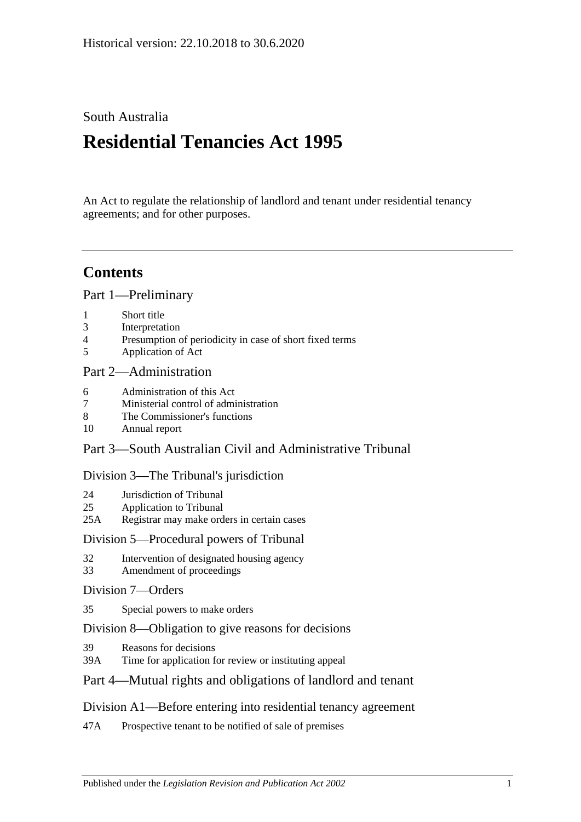## South Australia

# **Residential Tenancies Act 1995**

An Act to regulate the relationship of landlord and tenant under residential tenancy agreements; and for other purposes.

# **Contents**

[Part 1—Preliminary](#page-5-0)

- 1 [Short title](#page-5-1)
- 3 [Interpretation](#page-5-2)
- 4 [Presumption of periodicity in case of short fixed terms](#page-9-0)
- 5 [Application of Act](#page-9-1)

## [Part 2—Administration](#page-11-0)

- 6 [Administration of this Act](#page-11-1)
- 7 [Ministerial control of administration](#page-11-2)
- 8 [The Commissioner's functions](#page-11-3)
- 10 [Annual report](#page-12-0)

## Part [3—South Australian Civil and Administrative Tribunal](#page-12-1)

## [Division 3—The Tribunal's jurisdiction](#page-12-2)

- 24 [Jurisdiction of Tribunal](#page-12-3)
- 25 [Application to Tribunal](#page-13-0)
- 25A [Registrar may make orders in certain cases](#page-13-1)

## [Division 5—Procedural powers of Tribunal](#page-13-2)

- 32 [Intervention of designated housing agency](#page-13-3)
- 33 [Amendment of proceedings](#page-13-4)

## [Division 7—Orders](#page-13-5)

35 [Special powers to make orders](#page-13-6)

## [Division 8—Obligation to give reasons for decisions](#page-14-0)

- 39 [Reasons for decisions](#page-14-1)
- 39A [Time for application for review or instituting appeal](#page-14-2)

## [Part 4—Mutual rights and obligations of landlord and tenant](#page-14-3)

## [Division A1—Before entering into residential tenancy agreement](#page-14-4)

47A [Prospective tenant to be notified of sale of premises](#page-14-5)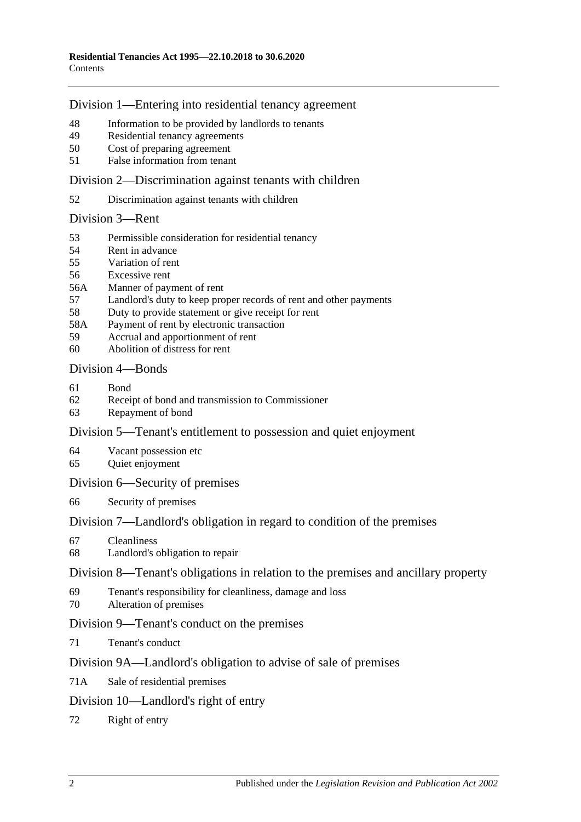## [Division 1—Entering into residential tenancy agreement](#page-14-6)

- [Information to be provided by landlords to tenants](#page-14-7)
- [Residential tenancy agreements](#page-15-0)
- [Cost of preparing agreement](#page-17-0)
- False [information from tenant](#page-17-1)

[Division 2—Discrimination against tenants with children](#page-17-2)

[Discrimination against tenants with children](#page-17-3)

### [Division 3—Rent](#page-17-4)

- [Permissible consideration for residential tenancy](#page-17-5)
- [Rent in advance](#page-18-0)
- [Variation of rent](#page-18-1)
- [Excessive rent](#page-20-0)
- 56A [Manner of payment of rent](#page-20-1)
- [Landlord's duty to keep proper records of rent and other payments](#page-21-0)
- [Duty to provide statement or give receipt for rent](#page-21-1)
- 58A [Payment of rent by electronic transaction](#page-21-2)
- [Accrual and apportionment of rent](#page-21-3)
- [Abolition of distress for rent](#page-22-0)

## [Division 4—Bonds](#page-22-1)

- [Bond](#page-22-2)
- [Receipt of bond and transmission to Commissioner](#page-23-0)
- [Repayment of bond](#page-23-1)

## [Division 5—Tenant's entitlement to possession and quiet enjoyment](#page-25-0)

- [Vacant possession etc](#page-25-1)
- [Quiet enjoyment](#page-25-2)

## [Division 6—Security of premises](#page-26-0)

[Security of premises](#page-26-1)

## [Division 7—Landlord's obligation in regard to condition of the premises](#page-26-2)

- [Cleanliness](#page-26-3)
- [Landlord's obligation to repair](#page-26-4)

### [Division 8—Tenant's obligations in relation to the premises and ancillary property](#page-27-0)

- [Tenant's responsibility for cleanliness, damage and loss](#page-27-1)
- [Alteration of premises](#page-28-0)

## [Division 9—Tenant's conduct on the premises](#page-28-1)

[Tenant's conduct](#page-28-2)

## [Division 9A—Landlord's obligation to advise of sale of premises](#page-29-0)

71A [Sale of residential premises](#page-29-1)

## [Division 10—Landlord's right of entry](#page-29-2)

[Right of entry](#page-29-3)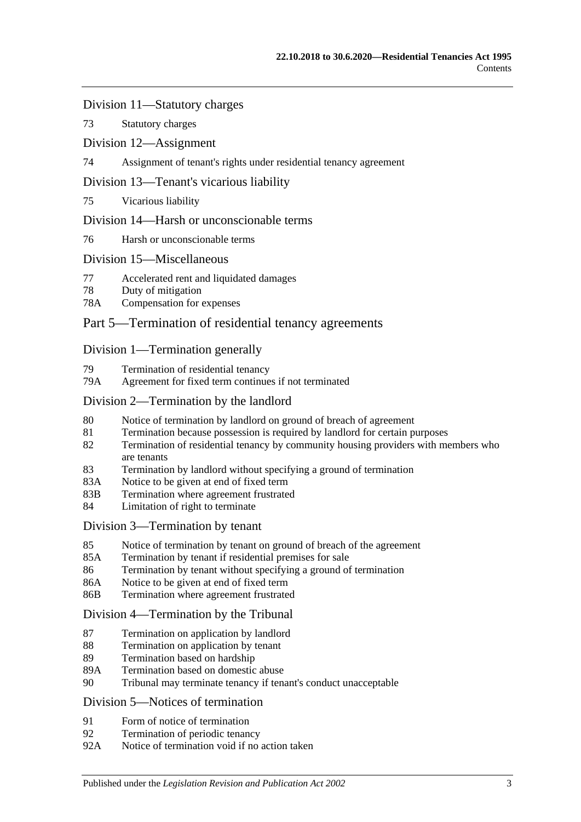### [Division 11—Statutory charges](#page-31-0)

73 [Statutory charges](#page-31-1)

### [Division 12—Assignment](#page-32-0)

74 [Assignment of tenant's rights under residential tenancy agreement](#page-32-1)

### [Division 13—Tenant's vicarious liability](#page-33-0)

75 [Vicarious liability](#page-33-1)

### [Division 14—Harsh or unconscionable terms](#page-33-2)

76 [Harsh or unconscionable terms](#page-33-3)

### [Division 15—Miscellaneous](#page-34-0)

- 77 [Accelerated rent and liquidated damages](#page-34-1)
- 78 [Duty of mitigation](#page-34-2)
- 78A [Compensation for expenses](#page-34-3)

## [Part 5—Termination of residential tenancy agreements](#page-35-0)

### [Division 1—Termination generally](#page-35-1)

- 79 [Termination of residential tenancy](#page-35-2)
- 79A [Agreement for fixed term continues if not terminated](#page-35-3)

### [Division 2—Termination by the landlord](#page-35-4)

- 80 [Notice of termination by landlord on ground of breach of agreement](#page-35-5)
- 81 [Termination because possession is required by landlord for certain purposes](#page-37-0)
- 82 [Termination of residential tenancy by community housing providers with members who](#page-37-1)  [are tenants](#page-37-1)
- 83 [Termination by landlord without specifying a ground of termination](#page-38-0)
- 83A [Notice to be given at end of fixed term](#page-38-1)
- 83B [Termination where agreement frustrated](#page-38-2)
- 84 [Limitation of right to terminate](#page-39-0)

### [Division 3—Termination by tenant](#page-39-1)

- 85 [Notice of termination by tenant on ground of breach of the agreement](#page-39-2)
- 85A [Termination by tenant if residential premises for sale](#page-40-0)
- 86 [Termination by tenant without specifying a ground of termination](#page-40-1)
- 86A [Notice to be given at end of fixed term](#page-40-2)
- 86B [Termination where agreement frustrated](#page-40-3)

### [Division 4—Termination by the Tribunal](#page-41-0)

- 87 [Termination on application by landlord](#page-41-1)
- 88 [Termination on application by tenant](#page-41-2)
- 89 [Termination based on hardship](#page-42-0)
- 89A [Termination based on domestic abuse](#page-42-1)
- 90 [Tribunal may terminate tenancy if tenant's conduct unacceptable](#page-44-0)

### [Division 5—Notices of termination](#page-45-0)

- 91 [Form of notice of termination](#page-45-1)
- 92 [Termination of periodic tenancy](#page-46-0)
- 92A [Notice of termination void if no action taken](#page-46-1)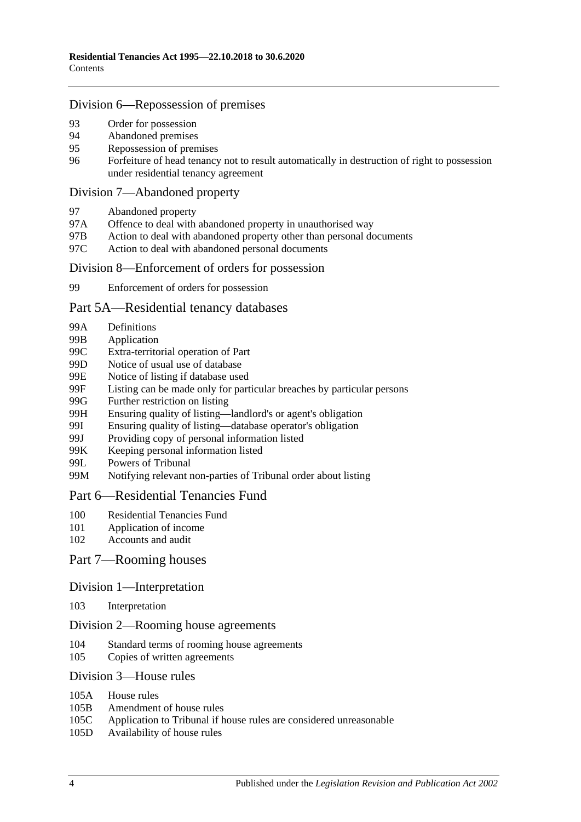### [Division 6—Repossession of premises](#page-47-0)

- 93 [Order for possession](#page-47-1)<br>94 Abandoned premises
- [Abandoned premises](#page-47-2)
- 95 [Repossession of premises](#page-48-0)
- 96 [Forfeiture of head tenancy not to result automatically in destruction of right to possession](#page-48-1)  [under residential tenancy agreement](#page-48-1)

### [Division 7—Abandoned property](#page-49-0)

- 97 [Abandoned property](#page-49-1)
- 97A [Offence to deal with abandoned property in unauthorised way](#page-49-2)
- 97B [Action to deal with abandoned property other than personal documents](#page-49-3)
- 97C [Action to deal with abandoned personal documents](#page-50-0)

### [Division 8—Enforcement of orders for possession](#page-50-1)

99 [Enforcement of orders for possession](#page-50-2)

### [Part 5A—Residential tenancy databases](#page-51-0)

- 99A [Definitions](#page-51-1)
- 99B [Application](#page-52-0)
- 99C [Extra-territorial operation of Part](#page-52-1)
- 99D [Notice of usual use of database](#page-53-0)
- 99E [Notice of listing if database used](#page-53-1)
- 99F [Listing can be made only for particular breaches by particular persons](#page-54-0)
- 99G [Further restriction on listing](#page-55-0)<br>99H Ensuring quality of listing—
- [Ensuring quality of listing—landlord's or agent's obligation](#page-55-1)
- 99I [Ensuring quality of listing—database operator's obligation](#page-56-0)
- 99J [Providing copy of personal information listed](#page-56-1)
- 99K [Keeping personal information listed](#page-56-2)
- 99L [Powers of Tribunal](#page-57-0)
- 99M [Notifying relevant non-parties of Tribunal order about listing](#page-57-1)

### [Part 6—Residential Tenancies Fund](#page-58-0)

- 100 [Residential Tenancies Fund](#page-58-1)
- 101 [Application of income](#page-58-2)
- 102 [Accounts and audit](#page-59-0)

## Part [7—Rooming houses](#page-59-1)

### Division [1—Interpretation](#page-59-2)

103 [Interpretation](#page-59-3)

### Division [2—Rooming house agreements](#page-59-4)

- 104 [Standard terms of rooming house agreements](#page-59-5)
- 105 [Copies of written agreements](#page-59-6)

### Division [3—House rules](#page-60-0)

- 105A [House rules](#page-60-1)
- 105B [Amendment of house rules](#page-60-2)
- 105C [Application to Tribunal if house rules are considered unreasonable](#page-60-3)
- 105D [Availability of house rules](#page-61-0)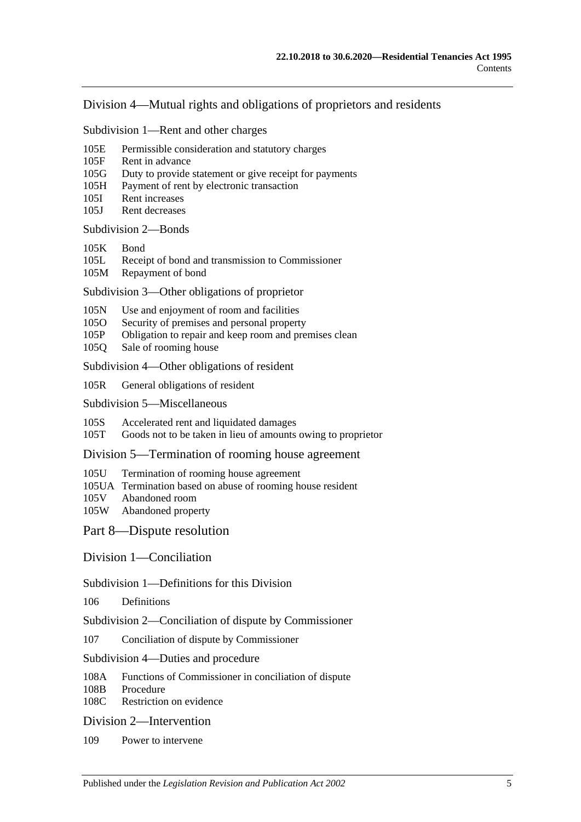### Division [4—Mutual rights and obligations of proprietors and residents](#page-61-1)

Subdivision [1—Rent and other charges](#page-61-2)

- 105E [Permissible consideration and statutory charges](#page-61-3)
- 105F [Rent in advance](#page-61-4)
- 105G [Duty to provide statement or give receipt for payments](#page-62-0)
- 105H [Payment of rent by electronic transaction](#page-62-1)
- 105I [Rent increases](#page-63-0)
- 105J [Rent decreases](#page-63-1)

[Subdivision](#page-64-0) 2—Bonds

- [105K](#page-64-1) Bond
- 105L [Receipt of bond and transmission to Commissioner](#page-64-2)
- 105M [Repayment of bond](#page-64-3)

Subdivision [3—Other obligations of proprietor](#page-66-0)

- 105N [Use and enjoyment of room and facilities](#page-66-1)
- 105O [Security of premises and personal property](#page-67-0)
- 105P [Obligation to repair and keep room and premises clean](#page-67-1)
- 105Q [Sale of rooming house](#page-68-0)

Subdivision [4—Other obligations of resident](#page-68-1)

105R [General obligations of resident](#page-68-2)

Subdivision [5—Miscellaneous](#page-69-0)

105S [Accelerated rent and liquidated damages](#page-69-1)

105T [Goods not to be taken in lieu of amounts owing to proprietor](#page-69-2)

Division [5—Termination of rooming house agreement](#page-69-3)

- 105U [Termination of rooming house agreement](#page-69-4)
- 105UA [Termination based on abuse of rooming house resident](#page-71-0)
- 105V [Abandoned room](#page-72-0)<br>105W Abandoned prope
- [Abandoned property](#page-73-0)

[Part 8—Dispute resolution](#page-74-0)

[Division 1—Conciliation](#page-74-1)

Subdivision [1—Definitions for this Division](#page-74-2)

106 [Definitions](#page-74-3)

Subdivision [2—Conciliation of dispute by Commissioner](#page-74-4)

107 [Conciliation of dispute by Commissioner](#page-74-5)

Subdivision [4—Duties and procedure](#page-74-6)

108A [Functions of Commissioner in conciliation of dispute](#page-74-7)<br>108B Procedure

[Procedure](#page-75-0)

108C [Restriction on evidence](#page-75-1)

[Division 2—Intervention](#page-75-2)

109 [Power to intervene](#page-75-3)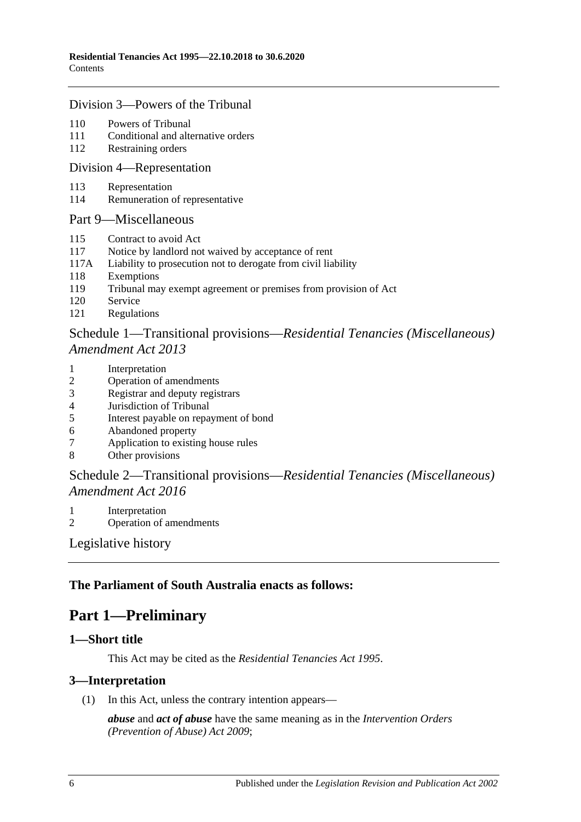### [Division 3—Powers of the Tribunal](#page-75-4)

- 110 [Powers of Tribunal](#page-75-5)
- 111 [Conditional and alternative orders](#page-76-0)
- 112 [Restraining orders](#page-76-1)

#### [Division 4—Representation](#page-77-0)

- 113 [Representation](#page-77-1)
- 114 [Remuneration of representative](#page-78-0)

### [Part 9—Miscellaneous](#page-78-1)

- 115 [Contract to avoid Act](#page-78-2)
- 117 [Notice by landlord not waived by acceptance of rent](#page-79-0)
- 117A [Liability to prosecution not to derogate from civil liability](#page-79-1)
- 118 [Exemptions](#page-79-2)
- 119 [Tribunal may exempt agreement or premises from provision of Act](#page-79-3)
- 120 [Service](#page-79-4)
- 121 [Regulations](#page-80-0)

## Schedule 1—Transitional provisions—*[Residential Tenancies \(Miscellaneous\)](#page-80-1)  [Amendment Act](#page-80-1) 2013*

- 1 [Interpretation](#page-80-2)
- 2 [Operation of amendments](#page-80-3)
- 3 [Registrar and deputy registrars](#page-80-4)
- 4 [Jurisdiction of Tribunal](#page-81-0)
- 5 [Interest payable on repayment of bond](#page-81-1)
- 6 [Abandoned property](#page-81-2)<br>7 Application to existin
- [Application to existing house rules](#page-81-3)
- 8 [Other provisions](#page-81-4)

## Schedule 2—Transitional provisions—*[Residential Tenancies \(Miscellaneous\)](#page-82-0)  [Amendment Act](#page-82-0) 2016*

- 1 [Interpretation](#page-82-1)
- 2 [Operation of amendments](#page-82-2)

[Legislative history](#page-83-0)

## <span id="page-5-0"></span>**The Parliament of South Australia enacts as follows:**

## **Part 1—Preliminary**

### <span id="page-5-1"></span>**1—Short title**

This Act may be cited as the *Residential Tenancies Act 1995*.

### <span id="page-5-2"></span>**3—Interpretation**

(1) In this Act, unless the contrary intention appears—

*abuse* and *act of abuse* have the same meaning as in the *[Intervention Orders](http://www.legislation.sa.gov.au/index.aspx?action=legref&type=act&legtitle=Intervention%20Orders%20(Prevention%20of%20Abuse)%20Act%202009)  [\(Prevention of Abuse\) Act](http://www.legislation.sa.gov.au/index.aspx?action=legref&type=act&legtitle=Intervention%20Orders%20(Prevention%20of%20Abuse)%20Act%202009) 2009*;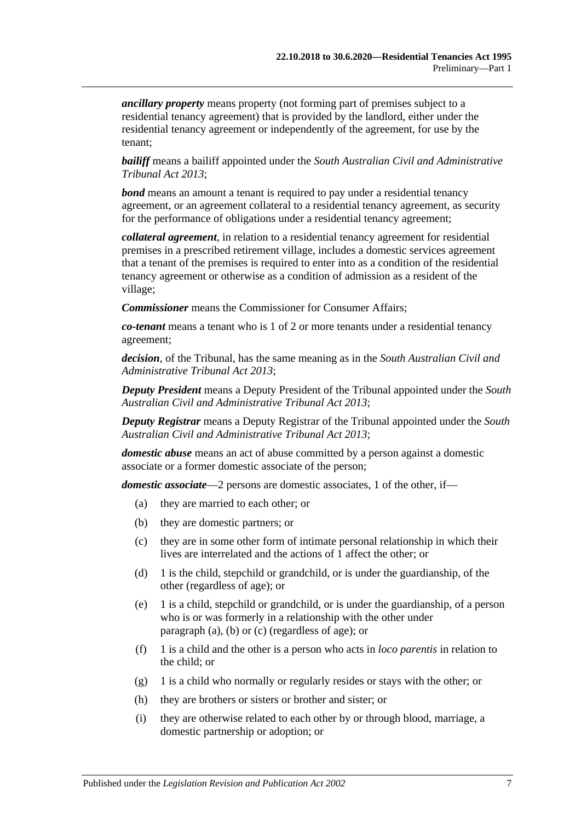*ancillary property* means property (not forming part of premises subject to a residential tenancy agreement) that is provided by the landlord, either under the residential tenancy agreement or independently of the agreement, for use by the tenant;

*bailiff* means a bailiff appointed under the *[South Australian Civil and Administrative](http://www.legislation.sa.gov.au/index.aspx?action=legref&type=act&legtitle=South%20Australian%20Civil%20and%20Administrative%20Tribunal%20Act%202013)  [Tribunal Act](http://www.legislation.sa.gov.au/index.aspx?action=legref&type=act&legtitle=South%20Australian%20Civil%20and%20Administrative%20Tribunal%20Act%202013) 2013*;

*bond* means an amount a tenant is required to pay under a residential tenancy agreement, or an agreement collateral to a residential tenancy agreement, as security for the performance of obligations under a residential tenancy agreement;

*collateral agreement*, in relation to a residential tenancy agreement for residential premises in a prescribed retirement village, includes a domestic services agreement that a tenant of the premises is required to enter into as a condition of the residential tenancy agreement or otherwise as a condition of admission as a resident of the village;

*Commissioner* means the Commissioner for Consumer Affairs;

*co-tenant* means a tenant who is 1 of 2 or more tenants under a residential tenancy agreement;

*decision*, of the Tribunal, has the same meaning as in the *[South Australian Civil and](http://www.legislation.sa.gov.au/index.aspx?action=legref&type=act&legtitle=South%20Australian%20Civil%20and%20Administrative%20Tribunal%20Act%202013)  [Administrative Tribunal Act](http://www.legislation.sa.gov.au/index.aspx?action=legref&type=act&legtitle=South%20Australian%20Civil%20and%20Administrative%20Tribunal%20Act%202013) 2013*;

*Deputy President* means a Deputy President of the Tribunal appointed under the *[South](http://www.legislation.sa.gov.au/index.aspx?action=legref&type=act&legtitle=South%20Australian%20Civil%20and%20Administrative%20Tribunal%20Act%202013)  [Australian Civil and Administrative Tribunal Act](http://www.legislation.sa.gov.au/index.aspx?action=legref&type=act&legtitle=South%20Australian%20Civil%20and%20Administrative%20Tribunal%20Act%202013) 2013*;

*Deputy Registrar* means a Deputy Registrar of the Tribunal appointed under the *[South](http://www.legislation.sa.gov.au/index.aspx?action=legref&type=act&legtitle=South%20Australian%20Civil%20and%20Administrative%20Tribunal%20Act%202013)  [Australian Civil and Administrative Tribunal Act](http://www.legislation.sa.gov.au/index.aspx?action=legref&type=act&legtitle=South%20Australian%20Civil%20and%20Administrative%20Tribunal%20Act%202013) 2013*;

*domestic abuse* means an act of abuse committed by a person against a domestic associate or a former domestic associate of the person;

<span id="page-6-1"></span><span id="page-6-0"></span>*domestic associate*—2 persons are domestic associates, 1 of the other, if—

- (a) they are married to each other; or
- (b) they are domestic partners; or
- <span id="page-6-2"></span>(c) they are in some other form of intimate personal relationship in which their lives are interrelated and the actions of 1 affect the other; or
- (d) 1 is the child, stepchild or grandchild, or is under the guardianship, of the other (regardless of age); or
- (e) 1 is a child, stepchild or grandchild, or is under the guardianship, of a person who is or was formerly in a relationship with the other under [paragraph](#page-6-0) (a), [\(b\)](#page-6-1) or [\(c\)](#page-6-2) (regardless of age); or
- (f) 1 is a child and the other is a person who acts in *loco parentis* in relation to the child; or
- (g) 1 is a child who normally or regularly resides or stays with the other; or
- (h) they are brothers or sisters or brother and sister; or
- (i) they are otherwise related to each other by or through blood, marriage, a domestic partnership or adoption; or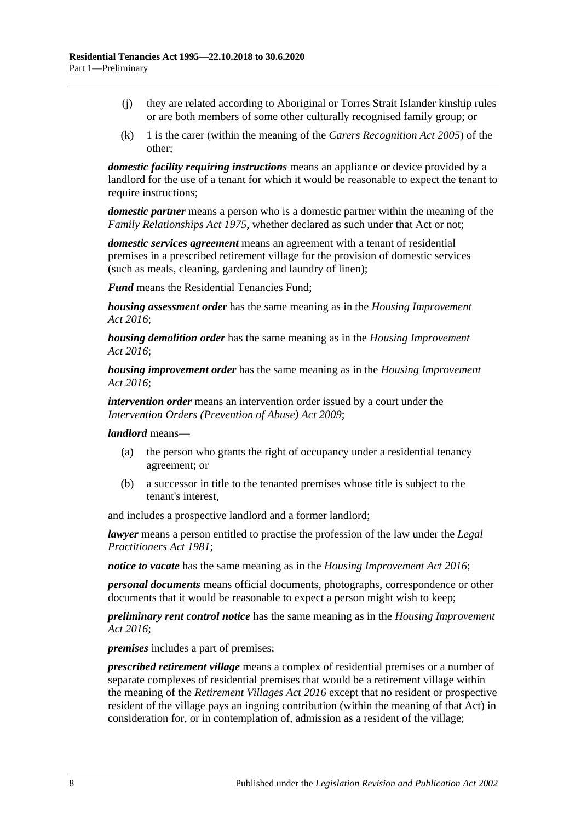- (j) they are related according to Aboriginal or Torres Strait Islander kinship rules or are both members of some other culturally recognised family group; or
- (k) 1 is the carer (within the meaning of the *[Carers Recognition Act](http://www.legislation.sa.gov.au/index.aspx?action=legref&type=act&legtitle=Carers%20Recognition%20Act%202005) 2005*) of the other;

*domestic facility requiring instructions* means an appliance or device provided by a landlord for the use of a tenant for which it would be reasonable to expect the tenant to require instructions:

*domestic partner* means a person who is a domestic partner within the meaning of the *[Family Relationships Act](http://www.legislation.sa.gov.au/index.aspx?action=legref&type=act&legtitle=Family%20Relationships%20Act%201975) 1975*, whether declared as such under that Act or not;

*domestic services agreement* means an agreement with a tenant of residential premises in a prescribed retirement village for the provision of domestic services (such as meals, cleaning, gardening and laundry of linen);

*Fund* means the Residential Tenancies Fund;

*housing assessment order* has the same meaning as in the *[Housing Improvement](http://www.legislation.sa.gov.au/index.aspx?action=legref&type=act&legtitle=Housing%20Improvement%20Act%202016)  Act [2016](http://www.legislation.sa.gov.au/index.aspx?action=legref&type=act&legtitle=Housing%20Improvement%20Act%202016)*;

*housing demolition order* has the same meaning as in the *[Housing Improvement](http://www.legislation.sa.gov.au/index.aspx?action=legref&type=act&legtitle=Housing%20Improvement%20Act%202016)  Act [2016](http://www.legislation.sa.gov.au/index.aspx?action=legref&type=act&legtitle=Housing%20Improvement%20Act%202016)*;

*housing improvement order* has the same meaning as in the *[Housing Improvement](http://www.legislation.sa.gov.au/index.aspx?action=legref&type=act&legtitle=Housing%20Improvement%20Act%202016)  Act [2016](http://www.legislation.sa.gov.au/index.aspx?action=legref&type=act&legtitle=Housing%20Improvement%20Act%202016)*;

*intervention order* means an intervention order issued by a court under the *[Intervention Orders \(Prevention of Abuse\) Act](http://www.legislation.sa.gov.au/index.aspx?action=legref&type=act&legtitle=Intervention%20Orders%20(Prevention%20of%20Abuse)%20Act%202009) 2009*;

*landlord* means—

- (a) the person who grants the right of occupancy under a residential tenancy agreement; or
- (b) a successor in title to the tenanted premises whose title is subject to the tenant's interest,

and includes a prospective landlord and a former landlord;

*lawyer* means a person entitled to practise the profession of the law under the *[Legal](http://www.legislation.sa.gov.au/index.aspx?action=legref&type=act&legtitle=Legal%20Practitioners%20Act%201981)  [Practitioners Act](http://www.legislation.sa.gov.au/index.aspx?action=legref&type=act&legtitle=Legal%20Practitioners%20Act%201981) 1981*;

*notice to vacate* has the same meaning as in the *[Housing Improvement Act](http://www.legislation.sa.gov.au/index.aspx?action=legref&type=act&legtitle=Housing%20Improvement%20Act%202016) 2016*;

*personal documents* means official documents, photographs, correspondence or other documents that it would be reasonable to expect a person might wish to keep;

*preliminary rent control notice* has the same meaning as in the *[Housing Improvement](http://www.legislation.sa.gov.au/index.aspx?action=legref&type=act&legtitle=Housing%20Improvement%20Act%202016)  Act [2016](http://www.legislation.sa.gov.au/index.aspx?action=legref&type=act&legtitle=Housing%20Improvement%20Act%202016)*;

*premises* includes a part of premises;

*prescribed retirement village* means a complex of residential premises or a number of separate complexes of residential premises that would be a retirement village within the meaning of the *[Retirement Villages Act](http://www.legislation.sa.gov.au/index.aspx?action=legref&type=act&legtitle=Retirement%20Villages%20Act%202016) 2016* except that no resident or prospective resident of the village pays an ingoing contribution (within the meaning of that Act) in consideration for, or in contemplation of, admission as a resident of the village;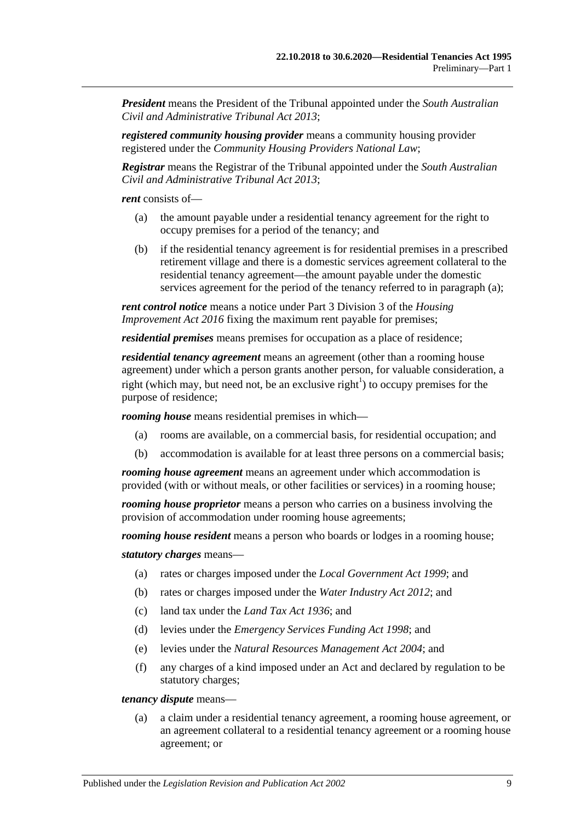*President* means the President of the Tribunal appointed under the *[South Australian](http://www.legislation.sa.gov.au/index.aspx?action=legref&type=act&legtitle=South%20Australian%20Civil%20and%20Administrative%20Tribunal%20Act%202013)  [Civil and Administrative Tribunal Act](http://www.legislation.sa.gov.au/index.aspx?action=legref&type=act&legtitle=South%20Australian%20Civil%20and%20Administrative%20Tribunal%20Act%202013) 2013*;

*registered community housing provider* means a community housing provider registered under the *Community Housing Providers National Law*;

*Registrar* means the Registrar of the Tribunal appointed under the *[South Australian](http://www.legislation.sa.gov.au/index.aspx?action=legref&type=act&legtitle=South%20Australian%20Civil%20and%20Administrative%20Tribunal%20Act%202013)  [Civil and Administrative Tribunal Act](http://www.legislation.sa.gov.au/index.aspx?action=legref&type=act&legtitle=South%20Australian%20Civil%20and%20Administrative%20Tribunal%20Act%202013) 2013*;

<span id="page-8-0"></span>*rent* consists of—

- (a) the amount payable under a residential tenancy agreement for the right to occupy premises for a period of the tenancy; and
- (b) if the residential tenancy agreement is for residential premises in a prescribed retirement village and there is a domestic services agreement collateral to the residential tenancy agreement—the amount payable under the domestic services agreement for the period of the tenancy referred to in [paragraph](#page-8-0) (a);

*rent control notice* means a notice under Part 3 Division 3 of the *[Housing](http://www.legislation.sa.gov.au/index.aspx?action=legref&type=act&legtitle=Housing%20Improvement%20Act%202016)  [Improvement Act](http://www.legislation.sa.gov.au/index.aspx?action=legref&type=act&legtitle=Housing%20Improvement%20Act%202016) 2016* fixing the maximum rent payable for premises;

*residential premises* means premises for occupation as a place of residence;

*residential tenancy agreement* means an agreement (other than a rooming house agreement) under which a person grants another person, for valuable consideration, a right (which may, but need not, be an exclusive right<sup>1</sup>) to occupy premises for the purpose of residence;

*rooming house* means residential premises in which—

- (a) rooms are available, on a commercial basis, for residential occupation; and
- (b) accommodation is available for at least three persons on a commercial basis;

*rooming house agreement* means an agreement under which accommodation is provided (with or without meals, or other facilities or services) in a rooming house;

*rooming house proprietor* means a person who carries on a business involving the provision of accommodation under rooming house agreements;

*rooming house resident* means a person who boards or lodges in a rooming house;

*statutory charges* means—

- (a) rates or charges imposed under the *[Local Government Act](http://www.legislation.sa.gov.au/index.aspx?action=legref&type=act&legtitle=Local%20Government%20Act%201999) 1999*; and
- (b) rates or charges imposed under the *[Water Industry Act](http://www.legislation.sa.gov.au/index.aspx?action=legref&type=act&legtitle=Water%20Industry%20Act%202012) 2012*; and
- (c) land tax under the *[Land Tax Act](http://www.legislation.sa.gov.au/index.aspx?action=legref&type=act&legtitle=Land%20Tax%20Act%201936) 1936*; and
- (d) levies under the *[Emergency Services Funding Act](http://www.legislation.sa.gov.au/index.aspx?action=legref&type=act&legtitle=Emergency%20Services%20Funding%20Act%201998) 1998*; and
- (e) levies under the *[Natural Resources Management Act](http://www.legislation.sa.gov.au/index.aspx?action=legref&type=act&legtitle=Natural%20Resources%20Management%20Act%202004) 2004*; and
- (f) any charges of a kind imposed under an Act and declared by regulation to be statutory charges;

*tenancy dispute* means—

(a) a claim under a residential tenancy agreement, a rooming house agreement, or an agreement collateral to a residential tenancy agreement or a rooming house agreement; or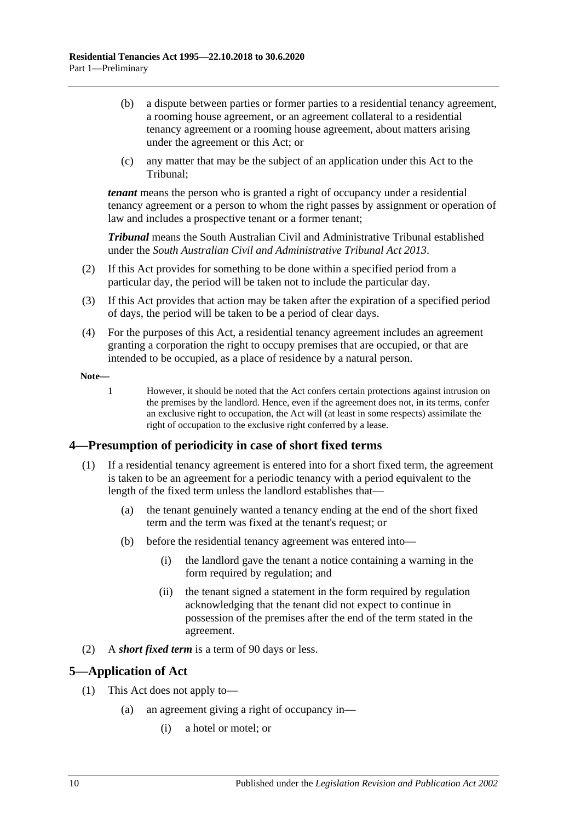- (b) a dispute between parties or former parties to a residential tenancy agreement, a rooming house agreement, or an agreement collateral to a residential tenancy agreement or a rooming house agreement, about matters arising under the agreement or this Act; or
- (c) any matter that may be the subject of an application under this Act to the Tribunal;

*tenant* means the person who is granted a right of occupancy under a residential tenancy agreement or a person to whom the right passes by assignment or operation of law and includes a prospective tenant or a former tenant;

*Tribunal* means the South Australian Civil and Administrative Tribunal established under the *[South Australian Civil and Administrative Tribunal Act](http://www.legislation.sa.gov.au/index.aspx?action=legref&type=act&legtitle=South%20Australian%20Civil%20and%20Administrative%20Tribunal%20Act%202013) 2013*.

- (2) If this Act provides for something to be done within a specified period from a particular day, the period will be taken not to include the particular day.
- (3) If this Act provides that action may be taken after the expiration of a specified period of days, the period will be taken to be a period of clear days.
- (4) For the purposes of this Act, a residential tenancy agreement includes an agreement granting a corporation the right to occupy premises that are occupied, or that are intended to be occupied, as a place of residence by a natural person.

**Note—**

1 However, it should be noted that the Act confers certain protections against intrusion on the premises by the landlord. Hence, even if the agreement does not, in its terms, confer an exclusive right to occupation, the Act will (at least in some respects) assimilate the right of occupation to the exclusive right conferred by a lease.

## <span id="page-9-0"></span>**4—Presumption of periodicity in case of short fixed terms**

- (1) If a residential tenancy agreement is entered into for a short fixed term, the agreement is taken to be an agreement for a periodic tenancy with a period equivalent to the length of the fixed term unless the landlord establishes that—
	- (a) the tenant genuinely wanted a tenancy ending at the end of the short fixed term and the term was fixed at the tenant's request; or
	- (b) before the residential tenancy agreement was entered into—
		- (i) the landlord gave the tenant a notice containing a warning in the form required by regulation; and
		- (ii) the tenant signed a statement in the form required by regulation acknowledging that the tenant did not expect to continue in possession of the premises after the end of the term stated in the agreement.
- (2) A *short fixed term* is a term of 90 days or less.

## <span id="page-9-1"></span>**5—Application of Act**

- (1) This Act does not apply to—
	- (a) an agreement giving a right of occupancy in—
		- (i) a hotel or motel; or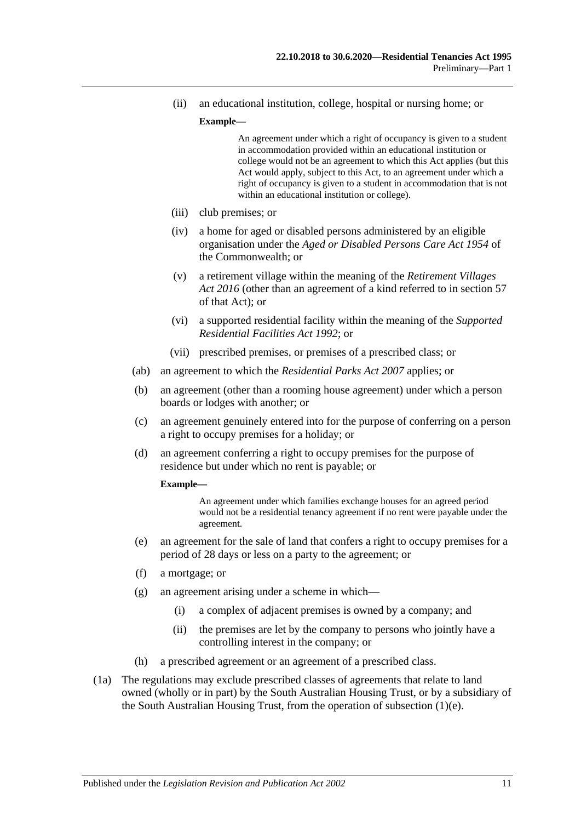(ii) an educational institution, college, hospital or nursing home; or

#### **Example—**

An agreement under which a right of occupancy is given to a student in accommodation provided within an educational institution or college would not be an agreement to which this Act applies (but this Act would apply, subject to this Act, to an agreement under which a right of occupancy is given to a student in accommodation that is not within an educational institution or college).

- (iii) club premises; or
- (iv) a home for aged or disabled persons administered by an eligible organisation under the *Aged or Disabled Persons Care Act 1954* of the Commonwealth; or
- (v) a retirement village within the meaning of the *[Retirement Villages](http://www.legislation.sa.gov.au/index.aspx?action=legref&type=act&legtitle=Retirement%20Villages%20Act%202016)  Act [2016](http://www.legislation.sa.gov.au/index.aspx?action=legref&type=act&legtitle=Retirement%20Villages%20Act%202016)* (other than an agreement of a kind referred to in section 57 of that Act); or
- (vi) a supported residential facility within the meaning of the *[Supported](http://www.legislation.sa.gov.au/index.aspx?action=legref&type=act&legtitle=Supported%20Residential%20Facilities%20Act%201992)  [Residential Facilities Act](http://www.legislation.sa.gov.au/index.aspx?action=legref&type=act&legtitle=Supported%20Residential%20Facilities%20Act%201992) 1992*; or
- (vii) prescribed premises, or premises of a prescribed class; or
- (ab) an agreement to which the *[Residential Parks Act](http://www.legislation.sa.gov.au/index.aspx?action=legref&type=act&legtitle=Residential%20Parks%20Act%202007) 2007* applies; or
- (b) an agreement (other than a rooming house agreement) under which a person boards or lodges with another; or
- <span id="page-10-1"></span>(c) an agreement genuinely entered into for the purpose of conferring on a person a right to occupy premises for a holiday; or
- (d) an agreement conferring a right to occupy premises for the purpose of residence but under which no rent is payable; or

#### **Example—**

An agreement under which families exchange houses for an agreed period would not be a residential tenancy agreement if no rent were payable under the agreement.

- <span id="page-10-0"></span>(e) an agreement for the sale of land that confers a right to occupy premises for a period of 28 days or less on a party to the agreement; or
- (f) a mortgage; or
- (g) an agreement arising under a scheme in which—
	- (i) a complex of adjacent premises is owned by a company; and
	- (ii) the premises are let by the company to persons who jointly have a controlling interest in the company; or
- (h) a prescribed agreement or an agreement of a prescribed class.
- (1a) The regulations may exclude prescribed classes of agreements that relate to land owned (wholly or in part) by the South Australian Housing Trust, or by a subsidiary of the South Australian Housing Trust, from the operation of [subsection](#page-10-0) (1)(e).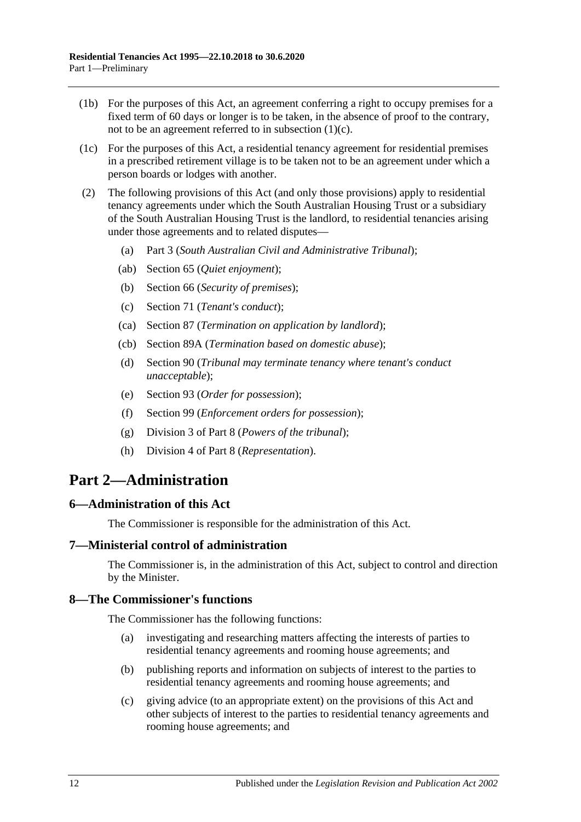- (1b) For the purposes of this Act, an agreement conferring a right to occupy premises for a fixed term of 60 days or longer is to be taken, in the absence of proof to the contrary, not to be an agreement referred to in [subsection](#page-10-1) (1)(c).
- (1c) For the purposes of this Act, a residential tenancy agreement for residential premises in a prescribed retirement village is to be taken not to be an agreement under which a person boards or lodges with another.
- (2) The following provisions of this Act (and only those provisions) apply to residential tenancy agreements under which the South Australian Housing Trust or a subsidiary of the South Australian Housing Trust is the landlord, to residential tenancies arising under those agreements and to related disputes—
	- (a) [Part 3](#page-12-1) (*South Australian Civil and Administrative Tribunal*);
	- (ab) [Section](#page-25-2) 65 (*Quiet enjoyment*);
	- (b) [Section](#page-26-1) 66 (*Security of premises*);
	- (c) [Section](#page-28-2) 71 (*Tenant's conduct*);
	- (ca) [Section](#page-41-1) 87 (*Termination on application by landlord*);
	- (cb) [Section](#page-42-1) 89A (*Termination based on domestic abuse*);
	- (d) [Section](#page-44-0) 90 (*Tribunal may terminate tenancy where tenant's conduct unacceptable*);
	- (e) [Section](#page-47-1) 93 (*Order for possession*);
	- (f) [Section](#page-50-2) 99 (*Enforcement orders for possession*);
	- (g) [Division 3](#page-75-4) of [Part 8](#page-74-0) (*Powers of the tribunal*);
	- (h) [Division 4](#page-77-0) of [Part 8](#page-74-0) (*Representation*).

# <span id="page-11-0"></span>**Part 2—Administration**

## <span id="page-11-1"></span>**6—Administration of this Act**

The Commissioner is responsible for the administration of this Act.

## <span id="page-11-2"></span>**7—Ministerial control of administration**

The Commissioner is, in the administration of this Act, subject to control and direction by the Minister.

### <span id="page-11-3"></span>**8—The Commissioner's functions**

The Commissioner has the following functions:

- (a) investigating and researching matters affecting the interests of parties to residential tenancy agreements and rooming house agreements; and
- (b) publishing reports and information on subjects of interest to the parties to residential tenancy agreements and rooming house agreements; and
- (c) giving advice (to an appropriate extent) on the provisions of this Act and other subjects of interest to the parties to residential tenancy agreements and rooming house agreements; and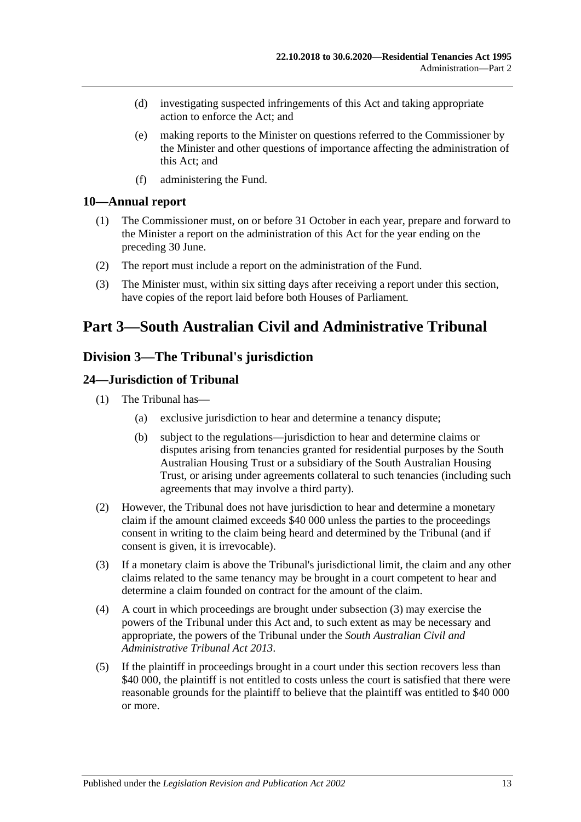- (d) investigating suspected infringements of this Act and taking appropriate action to enforce the Act; and
- (e) making reports to the Minister on questions referred to the Commissioner by the Minister and other questions of importance affecting the administration of this Act; and
- (f) administering the Fund.

### <span id="page-12-0"></span>**10—Annual report**

- (1) The Commissioner must, on or before 31 October in each year, prepare and forward to the Minister a report on the administration of this Act for the year ending on the preceding 30 June.
- (2) The report must include a report on the administration of the Fund.
- (3) The Minister must, within six sitting days after receiving a report under this section, have copies of the report laid before both Houses of Parliament.

# <span id="page-12-2"></span><span id="page-12-1"></span>**Part 3—South Australian Civil and Administrative Tribunal**

## **Division 3—The Tribunal's jurisdiction**

## <span id="page-12-3"></span>**24—Jurisdiction of Tribunal**

- (1) The Tribunal has—
	- (a) exclusive jurisdiction to hear and determine a tenancy dispute;
	- (b) subject to the regulations—jurisdiction to hear and determine claims or disputes arising from tenancies granted for residential purposes by the South Australian Housing Trust or a subsidiary of the South Australian Housing Trust, or arising under agreements collateral to such tenancies (including such agreements that may involve a third party).
- (2) However, the Tribunal does not have jurisdiction to hear and determine a monetary claim if the amount claimed exceeds \$40 000 unless the parties to the proceedings consent in writing to the claim being heard and determined by the Tribunal (and if consent is given, it is irrevocable).
- <span id="page-12-4"></span>(3) If a monetary claim is above the Tribunal's jurisdictional limit, the claim and any other claims related to the same tenancy may be brought in a court competent to hear and determine a claim founded on contract for the amount of the claim.
- (4) A court in which proceedings are brought under [subsection](#page-12-4) (3) may exercise the powers of the Tribunal under this Act and, to such extent as may be necessary and appropriate, the powers of the Tribunal under the *[South Australian Civil and](http://www.legislation.sa.gov.au/index.aspx?action=legref&type=act&legtitle=South%20Australian%20Civil%20and%20Administrative%20Tribunal%20Act%202013)  [Administrative Tribunal Act](http://www.legislation.sa.gov.au/index.aspx?action=legref&type=act&legtitle=South%20Australian%20Civil%20and%20Administrative%20Tribunal%20Act%202013) 2013*.
- (5) If the plaintiff in proceedings brought in a court under this section recovers less than \$40 000, the plaintiff is not entitled to costs unless the court is satisfied that there were reasonable grounds for the plaintiff to believe that the plaintiff was entitled to \$40 000 or more.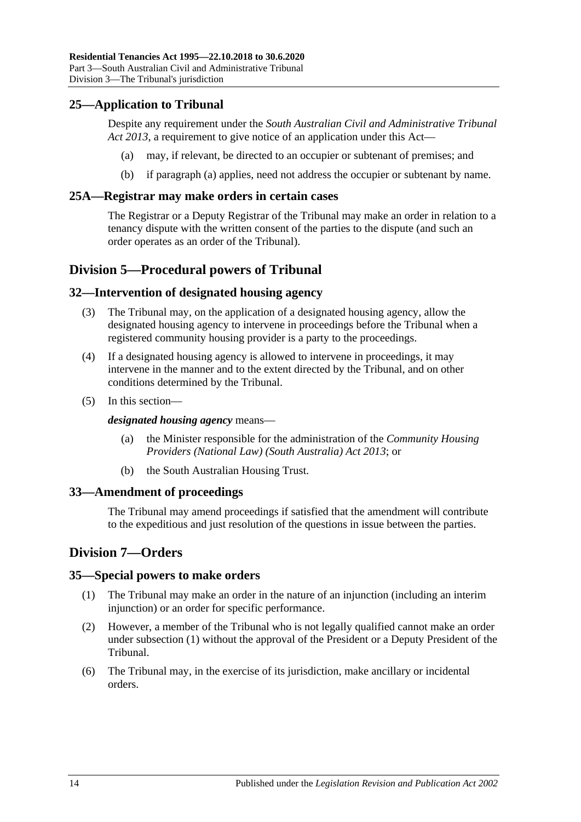## <span id="page-13-7"></span><span id="page-13-0"></span>**25—Application to Tribunal**

Despite any requirement under the *[South Australian Civil and Administrative Tribunal](http://www.legislation.sa.gov.au/index.aspx?action=legref&type=act&legtitle=South%20Australian%20Civil%20and%20Administrative%20Tribunal%20Act%202013)  Act [2013](http://www.legislation.sa.gov.au/index.aspx?action=legref&type=act&legtitle=South%20Australian%20Civil%20and%20Administrative%20Tribunal%20Act%202013)*, a requirement to give notice of an application under this Act—

- (a) may, if relevant, be directed to an occupier or subtenant of premises; and
- (b) if [paragraph](#page-13-7) (a) applies, need not address the occupier or subtenant by name.

### <span id="page-13-1"></span>**25A—Registrar may make orders in certain cases**

The Registrar or a Deputy Registrar of the Tribunal may make an order in relation to a tenancy dispute with the written consent of the parties to the dispute (and such an order operates as an order of the Tribunal).

## <span id="page-13-2"></span>**Division 5—Procedural powers of Tribunal**

### <span id="page-13-3"></span>**32—Intervention of designated housing agency**

- (3) The Tribunal may, on the application of a designated housing agency, allow the designated housing agency to intervene in proceedings before the Tribunal when a registered community housing provider is a party to the proceedings.
- (4) If a designated housing agency is allowed to intervene in proceedings, it may intervene in the manner and to the extent directed by the Tribunal, and on other conditions determined by the Tribunal.
- (5) In this section—

*designated housing agency* means—

- (a) the Minister responsible for the administration of the *[Community Housing](http://www.legislation.sa.gov.au/index.aspx?action=legref&type=act&legtitle=Community%20Housing%20Providers%20(National%20Law)%20(South%20Australia)%20Act%202013)  [Providers \(National Law\) \(South Australia\) Act](http://www.legislation.sa.gov.au/index.aspx?action=legref&type=act&legtitle=Community%20Housing%20Providers%20(National%20Law)%20(South%20Australia)%20Act%202013) 2013*; or
- (b) the South Australian Housing Trust.

### <span id="page-13-4"></span>**33—Amendment of proceedings**

The Tribunal may amend proceedings if satisfied that the amendment will contribute to the expeditious and just resolution of the questions in issue between the parties.

## <span id="page-13-5"></span>**Division 7—Orders**

### <span id="page-13-8"></span><span id="page-13-6"></span>**35—Special powers to make orders**

- (1) The Tribunal may make an order in the nature of an injunction (including an interim injunction) or an order for specific performance.
- (2) However, a member of the Tribunal who is not legally qualified cannot make an order under [subsection](#page-13-8) (1) without the approval of the President or a Deputy President of the Tribunal.
- (6) The Tribunal may, in the exercise of its jurisdiction, make ancillary or incidental orders.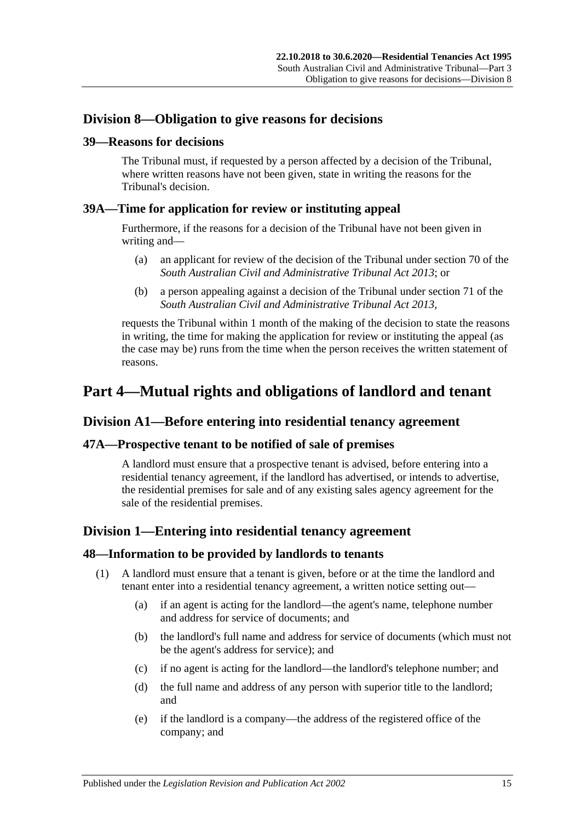## <span id="page-14-0"></span>**Division 8—Obligation to give reasons for decisions**

### <span id="page-14-1"></span>**39—Reasons for decisions**

The Tribunal must, if requested by a person affected by a decision of the Tribunal, where written reasons have not been given, state in writing the reasons for the Tribunal's decision.

## <span id="page-14-2"></span>**39A—Time for application for review or instituting appeal**

Furthermore, if the reasons for a decision of the Tribunal have not been given in writing and—

- (a) an applicant for review of the decision of the Tribunal under section 70 of the *[South Australian Civil and Administrative Tribunal Act](http://www.legislation.sa.gov.au/index.aspx?action=legref&type=act&legtitle=South%20Australian%20Civil%20and%20Administrative%20Tribunal%20Act%202013) 2013*; or
- (b) a person appealing against a decision of the Tribunal under section 71 of the *[South Australian Civil and Administrative Tribunal Act](http://www.legislation.sa.gov.au/index.aspx?action=legref&type=act&legtitle=South%20Australian%20Civil%20and%20Administrative%20Tribunal%20Act%202013) 2013*,

requests the Tribunal within 1 month of the making of the decision to state the reasons in writing, the time for making the application for review or instituting the appeal (as the case may be) runs from the time when the person receives the written statement of reasons.

# <span id="page-14-3"></span>**Part 4—Mutual rights and obligations of landlord and tenant**

## <span id="page-14-4"></span>**Division A1—Before entering into residential tenancy agreement**

## <span id="page-14-5"></span>**47A—Prospective tenant to be notified of sale of premises**

A landlord must ensure that a prospective tenant is advised, before entering into a residential tenancy agreement, if the landlord has advertised, or intends to advertise, the residential premises for sale and of any existing sales agency agreement for the sale of the residential premises.

## <span id="page-14-6"></span>**Division 1—Entering into residential tenancy agreement**

### <span id="page-14-7"></span>**48—Information to be provided by landlords to tenants**

- (1) A landlord must ensure that a tenant is given, before or at the time the landlord and tenant enter into a residential tenancy agreement, a written notice setting out—
	- (a) if an agent is acting for the landlord—the agent's name, telephone number and address for service of documents; and
	- (b) the landlord's full name and address for service of documents (which must not be the agent's address for service); and
	- (c) if no agent is acting for the landlord—the landlord's telephone number; and
	- (d) the full name and address of any person with superior title to the landlord; and
	- (e) if the landlord is a company—the address of the registered office of the company; and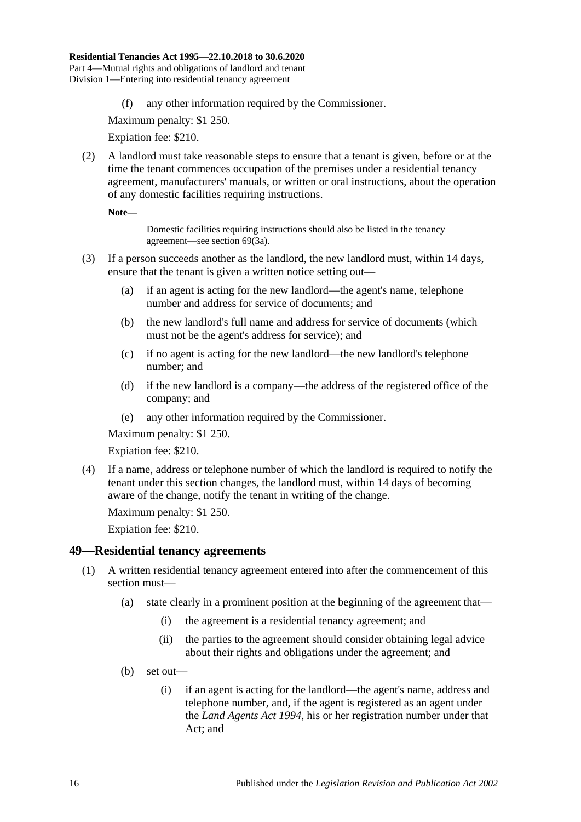(f) any other information required by the Commissioner.

Maximum penalty: \$1 250.

Expiation fee: \$210.

<span id="page-15-2"></span>(2) A landlord must take reasonable steps to ensure that a tenant is given, before or at the time the tenant commences occupation of the premises under a residential tenancy agreement, manufacturers' manuals, or written or oral instructions, about the operation of any domestic facilities requiring instructions.

**Note—**

Domestic facilities requiring instructions should also be listed in the tenancy agreement—see [section](#page-28-3) 69(3a).

- (3) If a person succeeds another as the landlord, the new landlord must, within 14 days, ensure that the tenant is given a written notice setting out—
	- (a) if an agent is acting for the new landlord—the agent's name, telephone number and address for service of documents; and
	- (b) the new landlord's full name and address for service of documents (which must not be the agent's address for service); and
	- (c) if no agent is acting for the new landlord—the new landlord's telephone number; and
	- (d) if the new landlord is a company—the address of the registered office of the company; and
	- (e) any other information required by the Commissioner.

Maximum penalty: \$1 250.

Expiation fee: \$210.

(4) If a name, address or telephone number of which the landlord is required to notify the tenant under this section changes, the landlord must, within 14 days of becoming aware of the change, notify the tenant in writing of the change.

Maximum penalty: \$1 250.

Expiation fee: \$210.

### <span id="page-15-1"></span><span id="page-15-0"></span>**49—Residential tenancy agreements**

- (1) A written residential tenancy agreement entered into after the commencement of this section must—
	- (a) state clearly in a prominent position at the beginning of the agreement that—
		- (i) the agreement is a residential tenancy agreement; and
		- (ii) the parties to the agreement should consider obtaining legal advice about their rights and obligations under the agreement; and
	- (b) set out—
		- (i) if an agent is acting for the landlord—the agent's name, address and telephone number, and, if the agent is registered as an agent under the *[Land Agents Act](http://www.legislation.sa.gov.au/index.aspx?action=legref&type=act&legtitle=Land%20Agents%20Act%201994) 1994*, his or her registration number under that Act; and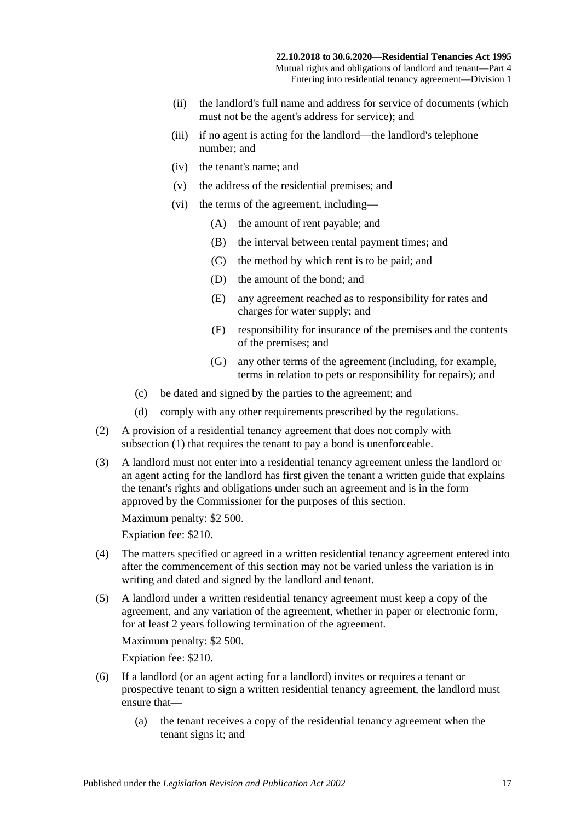- (ii) the landlord's full name and address for service of documents (which must not be the agent's address for service); and
- (iii) if no agent is acting for the landlord—the landlord's telephone number; and
- (iv) the tenant's name; and
- (v) the address of the residential premises; and
- (vi) the terms of the agreement, including—
	- (A) the amount of rent payable; and
	- (B) the interval between rental payment times; and
	- (C) the method by which rent is to be paid; and
	- (D) the amount of the bond; and
	- (E) any agreement reached as to responsibility for rates and charges for water supply; and
	- (F) responsibility for insurance of the premises and the contents of the premises; and
	- (G) any other terms of the agreement (including, for example, terms in relation to pets or responsibility for repairs); and
- (c) be dated and signed by the parties to the agreement; and
- (d) comply with any other requirements prescribed by the regulations.
- <span id="page-16-0"></span>(2) A provision of a residential tenancy agreement that does not comply with [subsection](#page-15-1) (1) that requires the tenant to pay a bond is unenforceable.
- (3) A landlord must not enter into a residential tenancy agreement unless the landlord or an agent acting for the landlord has first given the tenant a written guide that explains the tenant's rights and obligations under such an agreement and is in the form approved by the Commissioner for the purposes of this section.

Maximum penalty: \$2 500.

Expiation fee: \$210.

- (4) The matters specified or agreed in a written residential tenancy agreement entered into after the commencement of this section may not be varied unless the variation is in writing and dated and signed by the landlord and tenant.
- (5) A landlord under a written residential tenancy agreement must keep a copy of the agreement, and any variation of the agreement, whether in paper or electronic form, for at least 2 years following termination of the agreement.

Maximum penalty: \$2 500.

Expiation fee: \$210.

- (6) If a landlord (or an agent acting for a landlord) invites or requires a tenant or prospective tenant to sign a written residential tenancy agreement, the landlord must ensure that—
	- (a) the tenant receives a copy of the residential tenancy agreement when the tenant signs it; and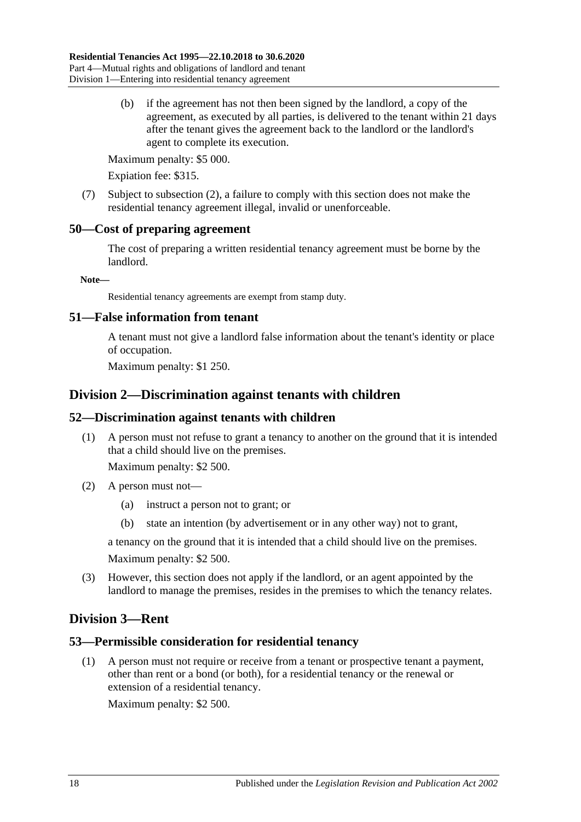(b) if the agreement has not then been signed by the landlord, a copy of the agreement, as executed by all parties, is delivered to the tenant within 21 days after the tenant gives the agreement back to the landlord or the landlord's agent to complete its execution.

Maximum penalty: \$5 000.

Expiation fee: \$315.

(7) Subject to [subsection](#page-16-0) (2), a failure to comply with this section does not make the residential tenancy agreement illegal, invalid or unenforceable.

## <span id="page-17-0"></span>**50—Cost of preparing agreement**

The cost of preparing a written residential tenancy agreement must be borne by the landlord.

**Note—**

Residential tenancy agreements are exempt from stamp duty.

## <span id="page-17-1"></span>**51—False information from tenant**

A tenant must not give a landlord false information about the tenant's identity or place of occupation.

Maximum penalty: \$1 250.

## <span id="page-17-2"></span>**Division 2—Discrimination against tenants with children**

## <span id="page-17-3"></span>**52—Discrimination against tenants with children**

(1) A person must not refuse to grant a tenancy to another on the ground that it is intended that a child should live on the premises.

Maximum penalty: \$2 500.

- (2) A person must not—
	- (a) instruct a person not to grant; or
	- (b) state an intention (by advertisement or in any other way) not to grant,

a tenancy on the ground that it is intended that a child should live on the premises. Maximum penalty: \$2 500.

(3) However, this section does not apply if the landlord, or an agent appointed by the landlord to manage the premises, resides in the premises to which the tenancy relates.

## <span id="page-17-4"></span>**Division 3—Rent**

## <span id="page-17-5"></span>**53—Permissible consideration for residential tenancy**

(1) A person must not require or receive from a tenant or prospective tenant a payment, other than rent or a bond (or both), for a residential tenancy or the renewal or extension of a residential tenancy.

Maximum penalty: \$2 500.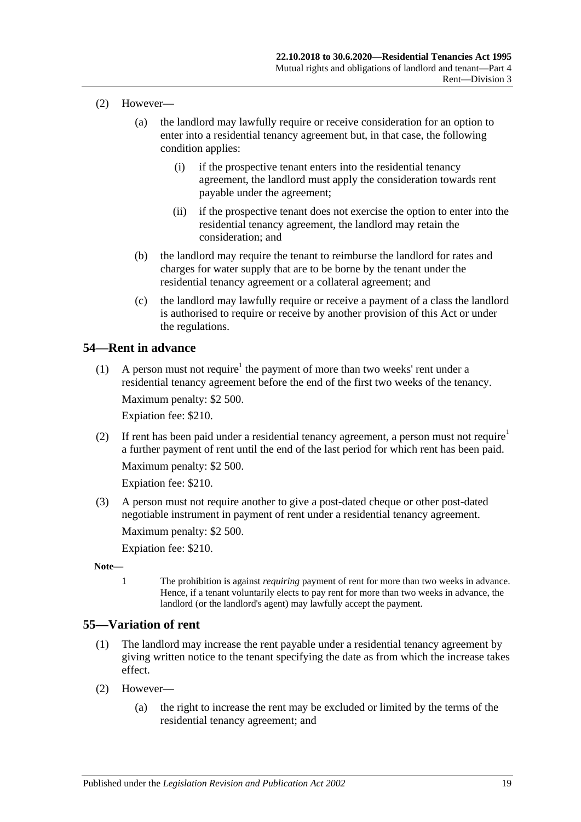- (2) However—
	- (a) the landlord may lawfully require or receive consideration for an option to enter into a residential tenancy agreement but, in that case, the following condition applies:
		- (i) if the prospective tenant enters into the residential tenancy agreement, the landlord must apply the consideration towards rent payable under the agreement;
		- (ii) if the prospective tenant does not exercise the option to enter into the residential tenancy agreement, the landlord may retain the consideration; and
	- (b) the landlord may require the tenant to reimburse the landlord for rates and charges for water supply that are to be borne by the tenant under the residential tenancy agreement or a collateral agreement; and
	- (c) the landlord may lawfully require or receive a payment of a class the landlord is authorised to require or receive by another provision of this Act or under the regulations.

## <span id="page-18-0"></span>**54—Rent in advance**

(1) A person must not require<sup>1</sup> the payment of more than two weeks' rent under a residential tenancy agreement before the end of the first two weeks of the tenancy.

Maximum penalty: \$2 500.

Expiation fee: \$210.

(2) If rent has been paid under a residential tenancy agreement, a person must not require<sup>1</sup> a further payment of rent until the end of the last period for which rent has been paid. Maximum penalty: \$2 500.

Expiation fee: \$210.

(3) A person must not require another to give a post-dated cheque or other post-dated negotiable instrument in payment of rent under a residential tenancy agreement.

Maximum penalty: \$2 500.

Expiation fee: \$210.

- **Note—**
	- 1 The prohibition is against *requiring* payment of rent for more than two weeks in advance. Hence, if a tenant voluntarily elects to pay rent for more than two weeks in advance, the landlord (or the landlord's agent) may lawfully accept the payment.

## <span id="page-18-2"></span><span id="page-18-1"></span>**55—Variation of rent**

- (1) The landlord may increase the rent payable under a residential tenancy agreement by giving written notice to the tenant specifying the date as from which the increase takes effect.
- (2) However—
	- (a) the right to increase the rent may be excluded or limited by the terms of the residential tenancy agreement; and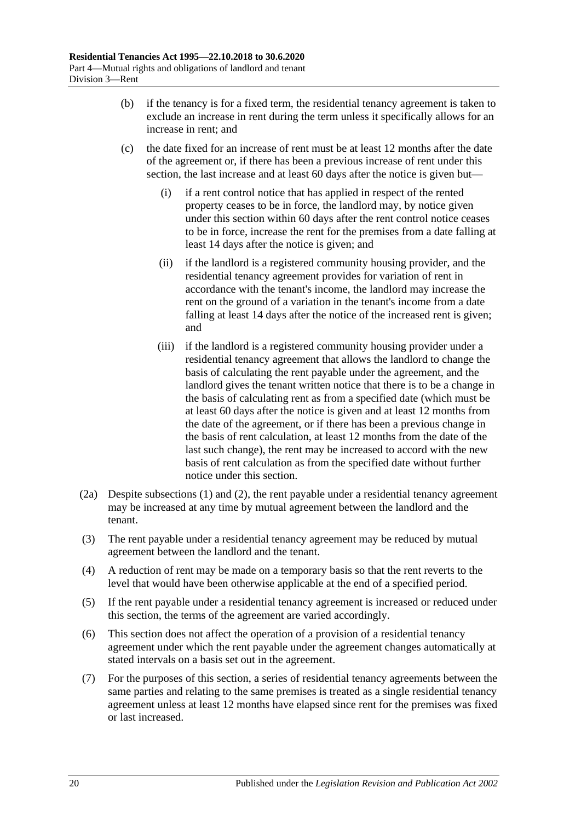- (b) if the tenancy is for a fixed term, the residential tenancy agreement is taken to exclude an increase in rent during the term unless it specifically allows for an increase in rent; and
- (c) the date fixed for an increase of rent must be at least 12 months after the date of the agreement or, if there has been a previous increase of rent under this section, the last increase and at least 60 days after the notice is given but—
	- (i) if a rent control notice that has applied in respect of the rented property ceases to be in force, the landlord may, by notice given under this section within 60 days after the rent control notice ceases to be in force, increase the rent for the premises from a date falling at least 14 days after the notice is given; and
	- (ii) if the landlord is a registered community housing provider, and the residential tenancy agreement provides for variation of rent in accordance with the tenant's income, the landlord may increase the rent on the ground of a variation in the tenant's income from a date falling at least 14 days after the notice of the increased rent is given; and
	- (iii) if the landlord is a registered community housing provider under a residential tenancy agreement that allows the landlord to change the basis of calculating the rent payable under the agreement, and the landlord gives the tenant written notice that there is to be a change in the basis of calculating rent as from a specified date (which must be at least 60 days after the notice is given and at least 12 months from the date of the agreement, or if there has been a previous change in the basis of rent calculation, at least 12 months from the date of the last such change), the rent may be increased to accord with the new basis of rent calculation as from the specified date without further notice under this section.
- <span id="page-19-0"></span>(2a) Despite [subsections](#page-18-2) (1) and [\(2\),](#page-20-2) the rent payable under a residential tenancy agreement may be increased at any time by mutual agreement between the landlord and the tenant.
- (3) The rent payable under a residential tenancy agreement may be reduced by mutual agreement between the landlord and the tenant.
- (4) A reduction of rent may be made on a temporary basis so that the rent reverts to the level that would have been otherwise applicable at the end of a specified period.
- (5) If the rent payable under a residential tenancy agreement is increased or reduced under this section, the terms of the agreement are varied accordingly.
- (6) This section does not affect the operation of a provision of a residential tenancy agreement under which the rent payable under the agreement changes automatically at stated intervals on a basis set out in the agreement.
- (7) For the purposes of this section, a series of residential tenancy agreements between the same parties and relating to the same premises is treated as a single residential tenancy agreement unless at least 12 months have elapsed since rent for the premises was fixed or last increased.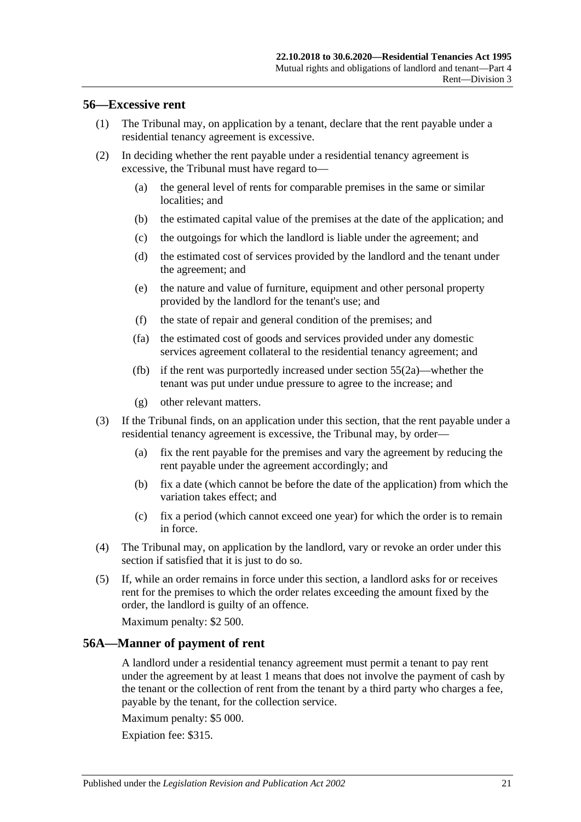### <span id="page-20-0"></span>**56—Excessive rent**

- (1) The Tribunal may, on application by a tenant, declare that the rent payable under a residential tenancy agreement is excessive.
- <span id="page-20-2"></span>(2) In deciding whether the rent payable under a residential tenancy agreement is excessive, the Tribunal must have regard to—
	- (a) the general level of rents for comparable premises in the same or similar localities; and
	- (b) the estimated capital value of the premises at the date of the application; and
	- (c) the outgoings for which the landlord is liable under the agreement; and
	- (d) the estimated cost of services provided by the landlord and the tenant under the agreement; and
	- (e) the nature and value of furniture, equipment and other personal property provided by the landlord for the tenant's use; and
	- (f) the state of repair and general condition of the premises; and
	- (fa) the estimated cost of goods and services provided under any domestic services agreement collateral to the residential tenancy agreement; and
	- (fb) if the rent was purportedly increased under [section](#page-19-0) 55(2a)—whether the tenant was put under undue pressure to agree to the increase; and
	- (g) other relevant matters.
- (3) If the Tribunal finds, on an application under this section, that the rent payable under a residential tenancy agreement is excessive, the Tribunal may, by order—
	- (a) fix the rent payable for the premises and vary the agreement by reducing the rent payable under the agreement accordingly; and
	- (b) fix a date (which cannot be before the date of the application) from which the variation takes effect; and
	- (c) fix a period (which cannot exceed one year) for which the order is to remain in force.
- (4) The Tribunal may, on application by the landlord, vary or revoke an order under this section if satisfied that it is just to do so.
- (5) If, while an order remains in force under this section, a landlord asks for or receives rent for the premises to which the order relates exceeding the amount fixed by the order, the landlord is guilty of an offence.

Maximum penalty: \$2 500.

## <span id="page-20-1"></span>**56A—Manner of payment of rent**

A landlord under a residential tenancy agreement must permit a tenant to pay rent under the agreement by at least 1 means that does not involve the payment of cash by the tenant or the collection of rent from the tenant by a third party who charges a fee, payable by the tenant, for the collection service.

Maximum penalty: \$5 000.

Expiation fee: \$315.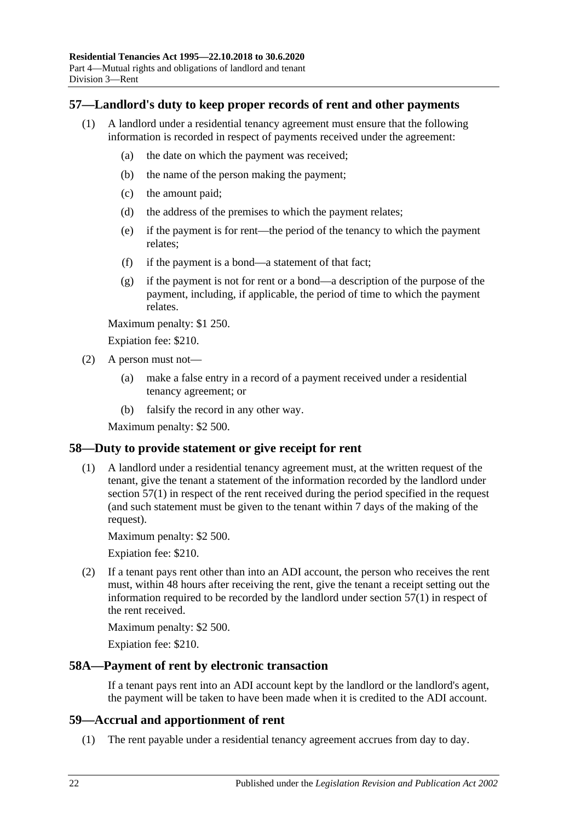## <span id="page-21-4"></span><span id="page-21-0"></span>**57—Landlord's duty to keep proper records of rent and other payments**

- (1) A landlord under a residential tenancy agreement must ensure that the following information is recorded in respect of payments received under the agreement:
	- (a) the date on which the payment was received;
	- (b) the name of the person making the payment;
	- (c) the amount paid;
	- (d) the address of the premises to which the payment relates;
	- (e) if the payment is for rent—the period of the tenancy to which the payment relates;
	- (f) if the payment is a bond—a statement of that fact;
	- (g) if the payment is not for rent or a bond—a description of the purpose of the payment, including, if applicable, the period of time to which the payment relates.

Maximum penalty: \$1 250.

Expiation fee: \$210.

- (2) A person must not—
	- (a) make a false entry in a record of a payment received under a residential tenancy agreement; or
	- (b) falsify the record in any other way.

Maximum penalty: \$2 500.

## <span id="page-21-1"></span>**58—Duty to provide statement or give receipt for rent**

(1) A landlord under a residential tenancy agreement must, at the written request of the tenant, give the tenant a statement of the information recorded by the landlord under [section](#page-21-4) 57(1) in respect of the rent received during the period specified in the request (and such statement must be given to the tenant within 7 days of the making of the request).

Maximum penalty: \$2 500.

Expiation fee: \$210.

(2) If a tenant pays rent other than into an ADI account, the person who receives the rent must, within 48 hours after receiving the rent, give the tenant a receipt setting out the information required to be recorded by the landlord under [section](#page-21-4) 57(1) in respect of the rent received.

Maximum penalty: \$2 500.

Expiation fee: \$210.

### <span id="page-21-2"></span>**58A—Payment of rent by electronic transaction**

If a tenant pays rent into an ADI account kept by the landlord or the landlord's agent, the payment will be taken to have been made when it is credited to the ADI account.

### <span id="page-21-3"></span>**59—Accrual and apportionment of rent**

(1) The rent payable under a residential tenancy agreement accrues from day to day.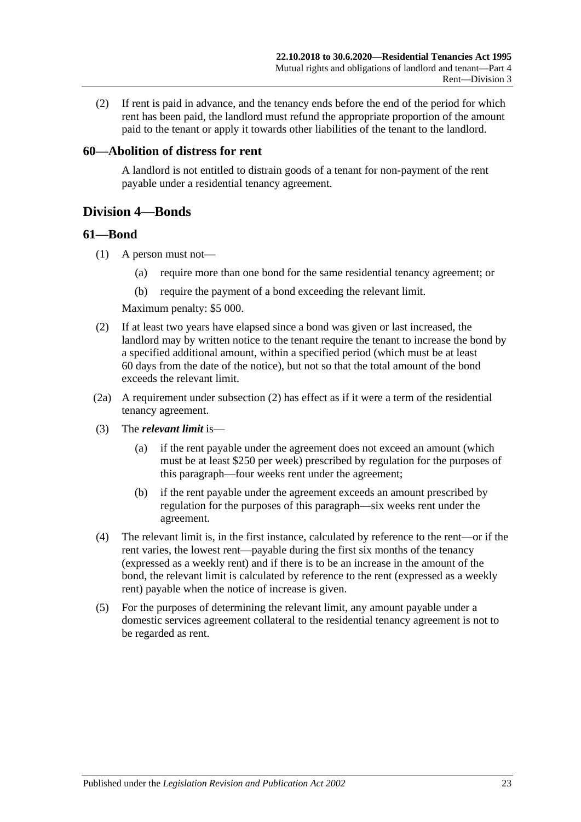(2) If rent is paid in advance, and the tenancy ends before the end of the period for which rent has been paid, the landlord must refund the appropriate proportion of the amount paid to the tenant or apply it towards other liabilities of the tenant to the landlord.

### <span id="page-22-0"></span>**60—Abolition of distress for rent**

A landlord is not entitled to distrain goods of a tenant for non-payment of the rent payable under a residential tenancy agreement.

## <span id="page-22-1"></span>**Division 4—Bonds**

### <span id="page-22-2"></span>**61—Bond**

- (1) A person must not—
	- (a) require more than one bond for the same residential tenancy agreement; or
	- (b) require the payment of a bond exceeding the relevant limit.

Maximum penalty: \$5 000.

- <span id="page-22-3"></span>(2) If at least two years have elapsed since a bond was given or last increased, the landlord may by written notice to the tenant require the tenant to increase the bond by a specified additional amount, within a specified period (which must be at least 60 days from the date of the notice), but not so that the total amount of the bond exceeds the relevant limit.
- (2a) A requirement under [subsection](#page-22-3) (2) has effect as if it were a term of the residential tenancy agreement.
- (3) The *relevant limit* is—
	- (a) if the rent payable under the agreement does not exceed an amount (which must be at least \$250 per week) prescribed by regulation for the purposes of this paragraph—four weeks rent under the agreement;
	- (b) if the rent payable under the agreement exceeds an amount prescribed by regulation for the purposes of this paragraph—six weeks rent under the agreement.
- (4) The relevant limit is, in the first instance, calculated by reference to the rent—or if the rent varies, the lowest rent—payable during the first six months of the tenancy (expressed as a weekly rent) and if there is to be an increase in the amount of the bond, the relevant limit is calculated by reference to the rent (expressed as a weekly rent) payable when the notice of increase is given.
- (5) For the purposes of determining the relevant limit, any amount payable under a domestic services agreement collateral to the residential tenancy agreement is not to be regarded as rent.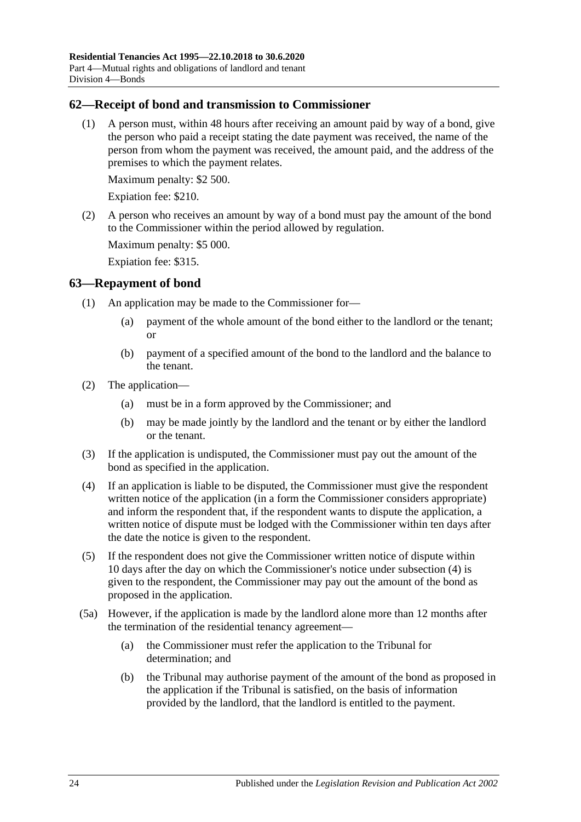## <span id="page-23-0"></span>**62—Receipt of bond and transmission to Commissioner**

(1) A person must, within 48 hours after receiving an amount paid by way of a bond, give the person who paid a receipt stating the date payment was received, the name of the person from whom the payment was received, the amount paid, and the address of the premises to which the payment relates.

Maximum penalty: \$2 500.

Expiation fee: \$210.

(2) A person who receives an amount by way of a bond must pay the amount of the bond to the Commissioner within the period allowed by regulation.

Maximum penalty: \$5 000.

Expiation fee: \$315.

## <span id="page-23-1"></span>**63—Repayment of bond**

- (1) An application may be made to the Commissioner for—
	- (a) payment of the whole amount of the bond either to the landlord or the tenant; or
	- (b) payment of a specified amount of the bond to the landlord and the balance to the tenant.
- (2) The application—
	- (a) must be in a form approved by the Commissioner; and
	- (b) may be made jointly by the landlord and the tenant or by either the landlord or the tenant.
- (3) If the application is undisputed, the Commissioner must pay out the amount of the bond as specified in the application.
- <span id="page-23-2"></span>(4) If an application is liable to be disputed, the Commissioner must give the respondent written notice of the application (in a form the Commissioner considers appropriate) and inform the respondent that, if the respondent wants to dispute the application, a written notice of dispute must be lodged with the Commissioner within ten days after the date the notice is given to the respondent.
- <span id="page-23-3"></span>(5) If the respondent does not give the Commissioner written notice of dispute within 10 days after the day on which the Commissioner's notice under [subsection](#page-23-2) (4) is given to the respondent, the Commissioner may pay out the amount of the bond as proposed in the application.
- (5a) However, if the application is made by the landlord alone more than 12 months after the termination of the residential tenancy agreement—
	- (a) the Commissioner must refer the application to the Tribunal for determination; and
	- (b) the Tribunal may authorise payment of the amount of the bond as proposed in the application if the Tribunal is satisfied, on the basis of information provided by the landlord, that the landlord is entitled to the payment.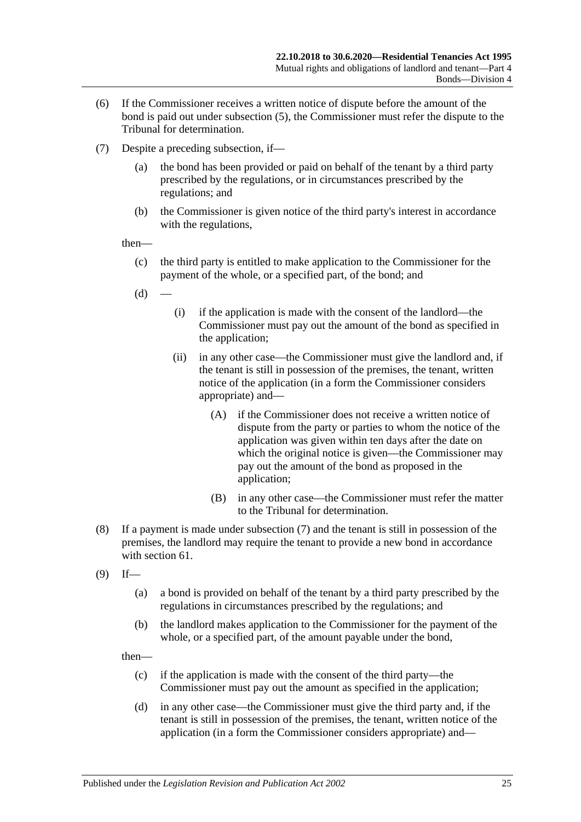- (6) If the Commissioner receives a written notice of dispute before the amount of the bond is paid out under [subsection](#page-23-3) (5), the Commissioner must refer the dispute to the Tribunal for determination.
- <span id="page-24-0"></span>(7) Despite a preceding subsection, if—
	- (a) the bond has been provided or paid on behalf of the tenant by a third party prescribed by the regulations, or in circumstances prescribed by the regulations; and
	- (b) the Commissioner is given notice of the third party's interest in accordance with the regulations,

then—

- (c) the third party is entitled to make application to the Commissioner for the payment of the whole, or a specified part, of the bond; and
- $(d)$
- (i) if the application is made with the consent of the landlord—the Commissioner must pay out the amount of the bond as specified in the application;
- (ii) in any other case—the Commissioner must give the landlord and, if the tenant is still in possession of the premises, the tenant, written notice of the application (in a form the Commissioner considers appropriate) and—
	- (A) if the Commissioner does not receive a written notice of dispute from the party or parties to whom the notice of the application was given within ten days after the date on which the original notice is given—the Commissioner may pay out the amount of the bond as proposed in the application;
	- (B) in any other case—the Commissioner must refer the matter to the Tribunal for determination.
- (8) If a payment is made under [subsection](#page-24-0) (7) and the tenant is still in possession of the premises, the landlord may require the tenant to provide a new bond in accordance with [section](#page-22-2) 61.
- <span id="page-24-1"></span> $(9)$  If—
	- (a) a bond is provided on behalf of the tenant by a third party prescribed by the regulations in circumstances prescribed by the regulations; and
	- (b) the landlord makes application to the Commissioner for the payment of the whole, or a specified part, of the amount payable under the bond,

then—

- (c) if the application is made with the consent of the third party—the Commissioner must pay out the amount as specified in the application;
- (d) in any other case—the Commissioner must give the third party and, if the tenant is still in possession of the premises, the tenant, written notice of the application (in a form the Commissioner considers appropriate) and—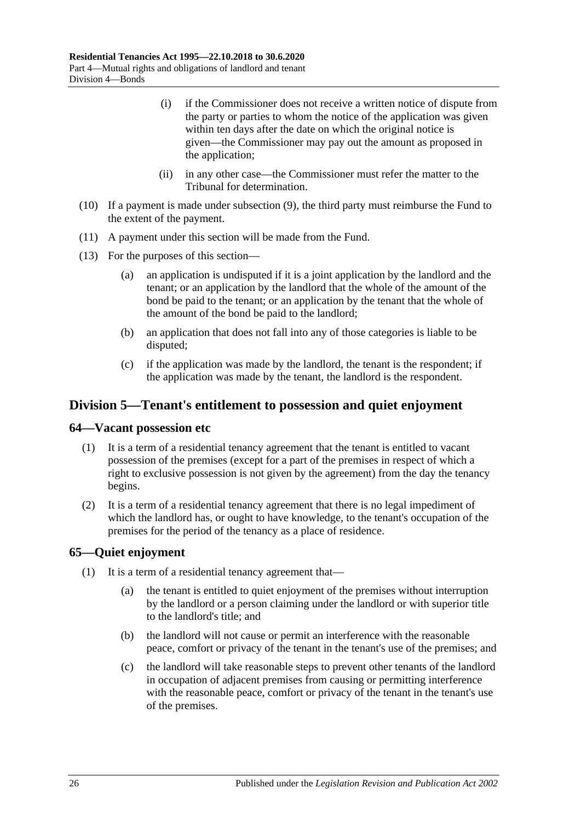- (i) if the Commissioner does not receive a written notice of dispute from the party or parties to whom the notice of the application was given within ten days after the date on which the original notice is given—the Commissioner may pay out the amount as proposed in the application;
- (ii) in any other case—the Commissioner must refer the matter to the Tribunal for determination.
- (10) If a payment is made under [subsection](#page-24-1) (9), the third party must reimburse the Fund to the extent of the payment.
- (11) A payment under this section will be made from the Fund.
- (13) For the purposes of this section—
	- (a) an application is undisputed if it is a joint application by the landlord and the tenant; or an application by the landlord that the whole of the amount of the bond be paid to the tenant; or an application by the tenant that the whole of the amount of the bond be paid to the landlord;
	- (b) an application that does not fall into any of those categories is liable to be disputed;
	- (c) if the application was made by the landlord, the tenant is the respondent; if the application was made by the tenant, the landlord is the respondent.

## <span id="page-25-0"></span>**Division 5—Tenant's entitlement to possession and quiet enjoyment**

### <span id="page-25-1"></span>**64—Vacant possession etc**

- (1) It is a term of a residential tenancy agreement that the tenant is entitled to vacant possession of the premises (except for a part of the premises in respect of which a right to exclusive possession is not given by the agreement) from the day the tenancy begins.
- (2) It is a term of a residential tenancy agreement that there is no legal impediment of which the landlord has, or ought to have knowledge, to the tenant's occupation of the premises for the period of the tenancy as a place of residence.

## <span id="page-25-2"></span>**65—Quiet enjoyment**

- (1) It is a term of a residential tenancy agreement that—
	- (a) the tenant is entitled to quiet enjoyment of the premises without interruption by the landlord or a person claiming under the landlord or with superior title to the landlord's title; and
	- (b) the landlord will not cause or permit an interference with the reasonable peace, comfort or privacy of the tenant in the tenant's use of the premises; and
	- (c) the landlord will take reasonable steps to prevent other tenants of the landlord in occupation of adjacent premises from causing or permitting interference with the reasonable peace, comfort or privacy of the tenant in the tenant's use of the premises.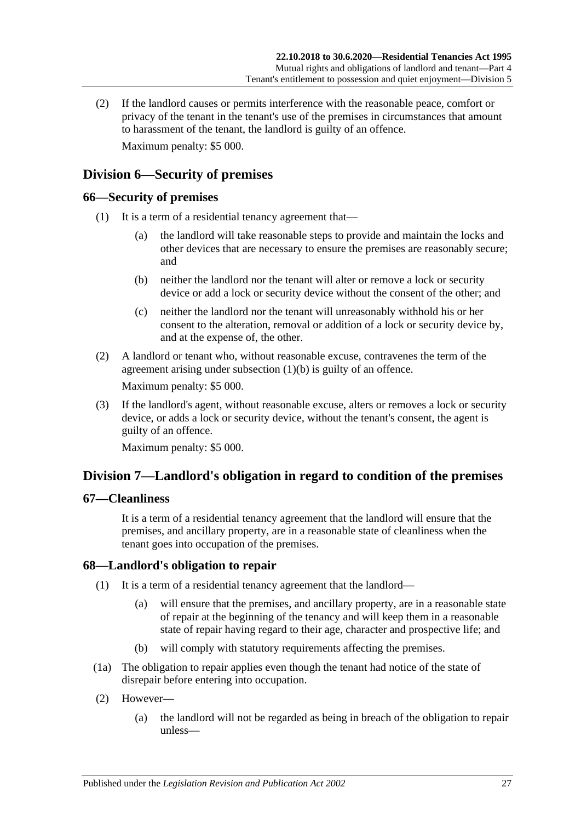(2) If the landlord causes or permits interference with the reasonable peace, comfort or privacy of the tenant in the tenant's use of the premises in circumstances that amount to harassment of the tenant, the landlord is guilty of an offence. Maximum penalty: \$5 000.

## <span id="page-26-0"></span>**Division 6—Security of premises**

## <span id="page-26-1"></span>**66—Security of premises**

- <span id="page-26-5"></span>(1) It is a term of a residential tenancy agreement that—
	- (a) the landlord will take reasonable steps to provide and maintain the locks and other devices that are necessary to ensure the premises are reasonably secure; and
	- (b) neither the landlord nor the tenant will alter or remove a lock or security device or add a lock or security device without the consent of the other; and
	- (c) neither the landlord nor the tenant will unreasonably withhold his or her consent to the alteration, removal or addition of a lock or security device by, and at the expense of, the other.
- (2) A landlord or tenant who, without reasonable excuse, contravenes the term of the agreement arising under [subsection](#page-26-5) (1)(b) is guilty of an offence. Maximum penalty: \$5 000.
- (3) If the landlord's agent, without reasonable excuse, alters or removes a lock or security device, or adds a lock or security device, without the tenant's consent, the agent is guilty of an offence.

Maximum penalty: \$5 000.

## <span id="page-26-2"></span>**Division 7—Landlord's obligation in regard to condition of the premises**

## <span id="page-26-3"></span>**67—Cleanliness**

It is a term of a residential tenancy agreement that the landlord will ensure that the premises, and ancillary property, are in a reasonable state of cleanliness when the tenant goes into occupation of the premises.

## <span id="page-26-6"></span><span id="page-26-4"></span>**68—Landlord's obligation to repair**

- (1) It is a term of a residential tenancy agreement that the landlord—
	- (a) will ensure that the premises, and ancillary property, are in a reasonable state of repair at the beginning of the tenancy and will keep them in a reasonable state of repair having regard to their age, character and prospective life; and
	- (b) will comply with statutory requirements affecting the premises.
- (1a) The obligation to repair applies even though the tenant had notice of the state of disrepair before entering into occupation.
- (2) However—
	- (a) the landlord will not be regarded as being in breach of the obligation to repair unless—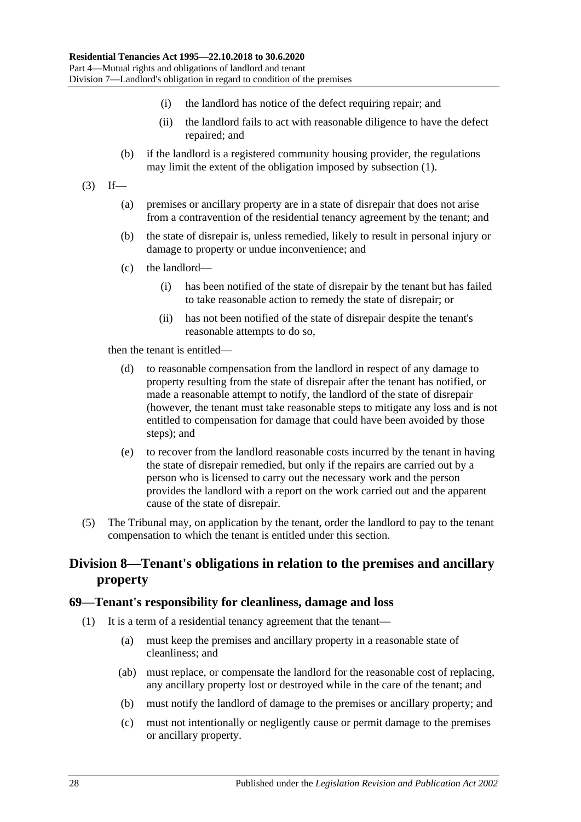- (i) the landlord has notice of the defect requiring repair; and
- (ii) the landlord fails to act with reasonable diligence to have the defect repaired; and
- (b) if the landlord is a registered community housing provider, the regulations may limit the extent of the obligation imposed by [subsection](#page-26-6) (1).
- $(3)$  If—
	- (a) premises or ancillary property are in a state of disrepair that does not arise from a contravention of the residential tenancy agreement by the tenant; and
	- (b) the state of disrepair is, unless remedied, likely to result in personal injury or damage to property or undue inconvenience; and
	- (c) the landlord—
		- (i) has been notified of the state of disrepair by the tenant but has failed to take reasonable action to remedy the state of disrepair; or
		- (ii) has not been notified of the state of disrepair despite the tenant's reasonable attempts to do so,

then the tenant is entitled—

- (d) to reasonable compensation from the landlord in respect of any damage to property resulting from the state of disrepair after the tenant has notified, or made a reasonable attempt to notify, the landlord of the state of disrepair (however, the tenant must take reasonable steps to mitigate any loss and is not entitled to compensation for damage that could have been avoided by those steps); and
- (e) to recover from the landlord reasonable costs incurred by the tenant in having the state of disrepair remedied, but only if the repairs are carried out by a person who is licensed to carry out the necessary work and the person provides the landlord with a report on the work carried out and the apparent cause of the state of disrepair.
- (5) The Tribunal may, on application by the tenant, order the landlord to pay to the tenant compensation to which the tenant is entitled under this section.

## <span id="page-27-0"></span>**Division 8—Tenant's obligations in relation to the premises and ancillary property**

### <span id="page-27-1"></span>**69—Tenant's responsibility for cleanliness, damage and loss**

- (1) It is a term of a residential tenancy agreement that the tenant—
	- (a) must keep the premises and ancillary property in a reasonable state of cleanliness; and
	- (ab) must replace, or compensate the landlord for the reasonable cost of replacing, any ancillary property lost or destroyed while in the care of the tenant; and
	- (b) must notify the landlord of damage to the premises or ancillary property; and
	- (c) must not intentionally or negligently cause or permit damage to the premises or ancillary property.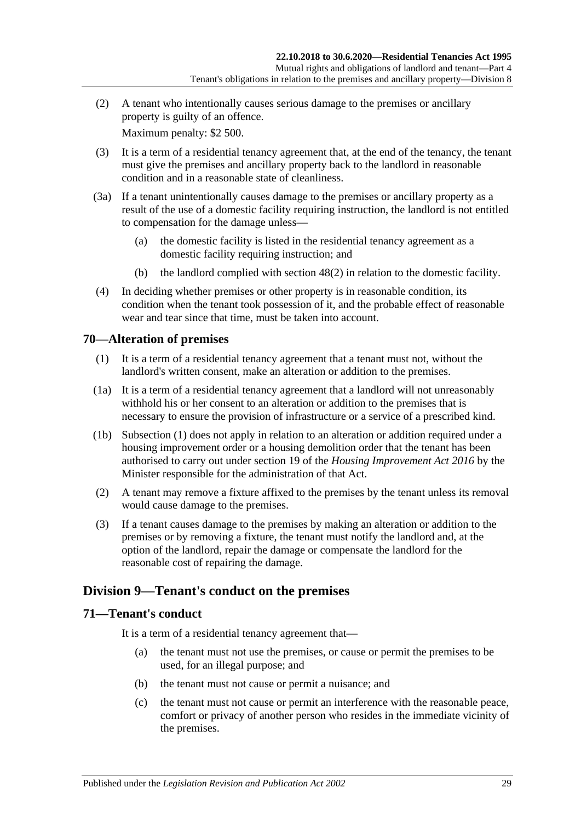(2) A tenant who intentionally causes serious damage to the premises or ancillary property is guilty of an offence.

Maximum penalty: \$2 500.

- (3) It is a term of a residential tenancy agreement that, at the end of the tenancy, the tenant must give the premises and ancillary property back to the landlord in reasonable condition and in a reasonable state of cleanliness.
- <span id="page-28-3"></span>(3a) If a tenant unintentionally causes damage to the premises or ancillary property as a result of the use of a domestic facility requiring instruction, the landlord is not entitled to compensation for the damage unless—
	- (a) the domestic facility is listed in the residential tenancy agreement as a domestic facility requiring instruction; and
	- (b) the landlord complied with [section](#page-15-2) 48(2) in relation to the domestic facility.
- (4) In deciding whether premises or other property is in reasonable condition, its condition when the tenant took possession of it, and the probable effect of reasonable wear and tear since that time, must be taken into account.

## <span id="page-28-4"></span><span id="page-28-0"></span>**70—Alteration of premises**

- (1) It is a term of a residential tenancy agreement that a tenant must not, without the landlord's written consent, make an alteration or addition to the premises.
- (1a) It is a term of a residential tenancy agreement that a landlord will not unreasonably withhold his or her consent to an alteration or addition to the premises that is necessary to ensure the provision of infrastructure or a service of a prescribed kind.
- (1b) [Subsection](#page-28-4) (1) does not apply in relation to an alteration or addition required under a housing improvement order or a housing demolition order that the tenant has been authorised to carry out under section 19 of the *[Housing Improvement Act](http://www.legislation.sa.gov.au/index.aspx?action=legref&type=act&legtitle=Housing%20Improvement%20Act%202016) 2016* by the Minister responsible for the administration of that Act.
- (2) A tenant may remove a fixture affixed to the premises by the tenant unless its removal would cause damage to the premises.
- (3) If a tenant causes damage to the premises by making an alteration or addition to the premises or by removing a fixture, the tenant must notify the landlord and, at the option of the landlord, repair the damage or compensate the landlord for the reasonable cost of repairing the damage.

## <span id="page-28-1"></span>**Division 9—Tenant's conduct on the premises**

### <span id="page-28-2"></span>**71—Tenant's conduct**

It is a term of a residential tenancy agreement that—

- (a) the tenant must not use the premises, or cause or permit the premises to be used, for an illegal purpose; and
- (b) the tenant must not cause or permit a nuisance; and
- (c) the tenant must not cause or permit an interference with the reasonable peace, comfort or privacy of another person who resides in the immediate vicinity of the premises.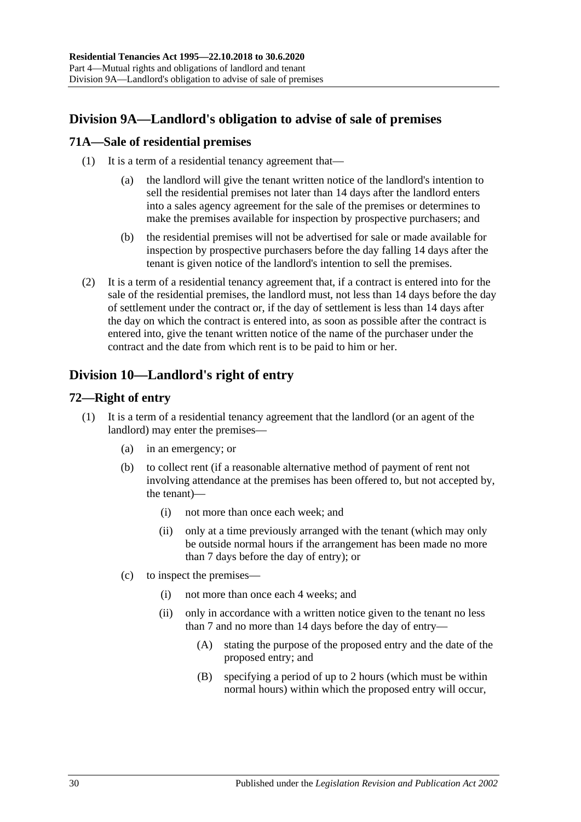## <span id="page-29-0"></span>**Division 9A—Landlord's obligation to advise of sale of premises**

## <span id="page-29-1"></span>**71A—Sale of residential premises**

- (1) It is a term of a residential tenancy agreement that—
	- (a) the landlord will give the tenant written notice of the landlord's intention to sell the residential premises not later than 14 days after the landlord enters into a sales agency agreement for the sale of the premises or determines to make the premises available for inspection by prospective purchasers; and
	- (b) the residential premises will not be advertised for sale or made available for inspection by prospective purchasers before the day falling 14 days after the tenant is given notice of the landlord's intention to sell the premises.
- (2) It is a term of a residential tenancy agreement that, if a contract is entered into for the sale of the residential premises, the landlord must, not less than 14 days before the day of settlement under the contract or, if the day of settlement is less than 14 days after the day on which the contract is entered into, as soon as possible after the contract is entered into, give the tenant written notice of the name of the purchaser under the contract and the date from which rent is to be paid to him or her.

## <span id="page-29-2"></span>**Division 10—Landlord's right of entry**

## <span id="page-29-3"></span>**72—Right of entry**

- <span id="page-29-4"></span>(1) It is a term of a residential tenancy agreement that the landlord (or an agent of the landlord) may enter the premises—
	- (a) in an emergency; or
	- (b) to collect rent (if a reasonable alternative method of payment of rent not involving attendance at the premises has been offered to, but not accepted by, the tenant)—
		- (i) not more than once each week; and
		- (ii) only at a time previously arranged with the tenant (which may only be outside normal hours if the arrangement has been made no more than 7 days before the day of entry); or
	- (c) to inspect the premises—
		- (i) not more than once each 4 weeks; and
		- (ii) only in accordance with a written notice given to the tenant no less than 7 and no more than 14 days before the day of entry—
			- (A) stating the purpose of the proposed entry and the date of the proposed entry; and
			- (B) specifying a period of up to 2 hours (which must be within normal hours) within which the proposed entry will occur,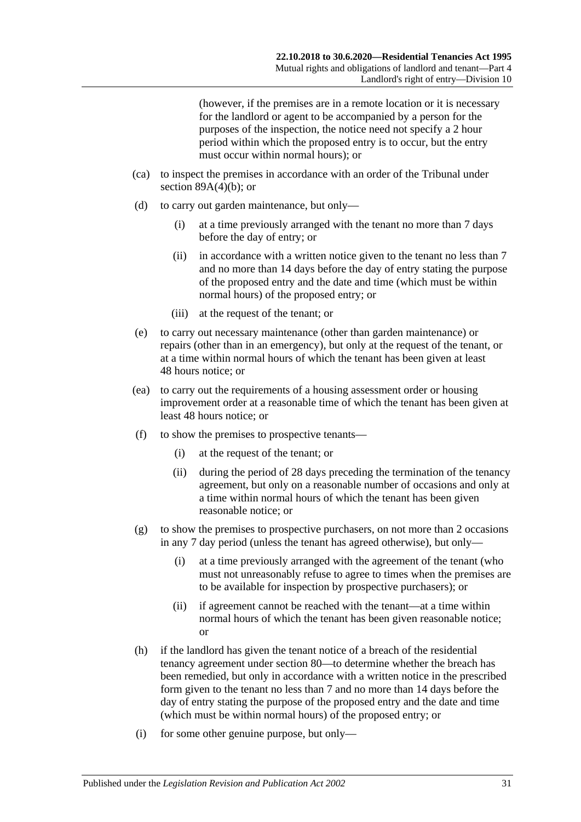(however, if the premises are in a remote location or it is necessary for the landlord or agent to be accompanied by a person for the purposes of the inspection, the notice need not specify a 2 hour period within which the proposed entry is to occur, but the entry must occur within normal hours); or

- (ca) to inspect the premises in accordance with an order of the Tribunal under section  $89A(4)(b)$ ; or
- (d) to carry out garden maintenance, but only—
	- (i) at a time previously arranged with the tenant no more than 7 days before the day of entry; or
	- (ii) in accordance with a written notice given to the tenant no less than 7 and no more than 14 days before the day of entry stating the purpose of the proposed entry and the date and time (which must be within normal hours) of the proposed entry; or
	- (iii) at the request of the tenant; or
- (e) to carry out necessary maintenance (other than garden maintenance) or repairs (other than in an emergency), but only at the request of the tenant, or at a time within normal hours of which the tenant has been given at least 48 hours notice; or
- (ea) to carry out the requirements of a housing assessment order or housing improvement order at a reasonable time of which the tenant has been given at least 48 hours notice; or
- (f) to show the premises to prospective tenants—
	- (i) at the request of the tenant; or
	- (ii) during the period of 28 days preceding the termination of the tenancy agreement, but only on a reasonable number of occasions and only at a time within normal hours of which the tenant has been given reasonable notice; or
- (g) to show the premises to prospective purchasers, on not more than 2 occasions in any 7 day period (unless the tenant has agreed otherwise), but only—
	- (i) at a time previously arranged with the agreement of the tenant (who must not unreasonably refuse to agree to times when the premises are to be available for inspection by prospective purchasers); or
	- (ii) if agreement cannot be reached with the tenant—at a time within normal hours of which the tenant has been given reasonable notice; or
- <span id="page-30-0"></span>(h) if the landlord has given the tenant notice of a breach of the residential tenancy agreement under [section](#page-35-5) 80—to determine whether the breach has been remedied, but only in accordance with a written notice in the prescribed form given to the tenant no less than 7 and no more than 14 days before the day of entry stating the purpose of the proposed entry and the date and time (which must be within normal hours) of the proposed entry; or
- (i) for some other genuine purpose, but only—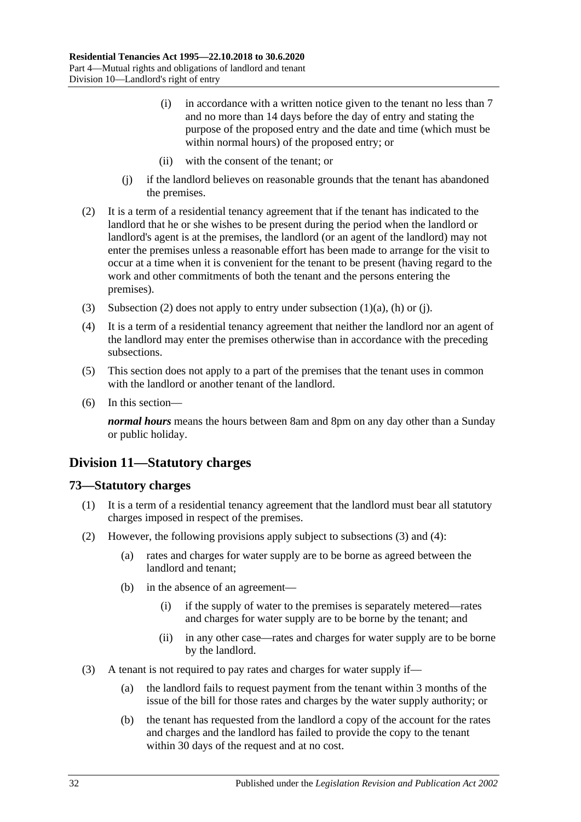- (i) in accordance with a written notice given to the tenant no less than 7 and no more than 14 days before the day of entry and stating the purpose of the proposed entry and the date and time (which must be within normal hours) of the proposed entry; or
- (ii) with the consent of the tenant; or
- (j) if the landlord believes on reasonable grounds that the tenant has abandoned the premises.
- <span id="page-31-3"></span><span id="page-31-2"></span>(2) It is a term of a residential tenancy agreement that if the tenant has indicated to the landlord that he or she wishes to be present during the period when the landlord or landlord's agent is at the premises, the landlord (or an agent of the landlord) may not enter the premises unless a reasonable effort has been made to arrange for the visit to occur at a time when it is convenient for the tenant to be present (having regard to the work and other commitments of both the tenant and the persons entering the premises).
- (3) [Subsection](#page-31-2) (2) does not apply to entry under [subsection](#page-29-4) (1)(a), [\(h\)](#page-30-0) or (i).
- (4) It is a term of a residential tenancy agreement that neither the landlord nor an agent of the landlord may enter the premises otherwise than in accordance with the preceding subsections.
- (5) This section does not apply to a part of the premises that the tenant uses in common with the landlord or another tenant of the landlord.
- (6) In this section—

*normal hours* means the hours between 8am and 8pm on any day other than a Sunday or public holiday.

## <span id="page-31-0"></span>**Division 11—Statutory charges**

## <span id="page-31-1"></span>**73—Statutory charges**

- (1) It is a term of a residential tenancy agreement that the landlord must bear all statutory charges imposed in respect of the premises.
- <span id="page-31-6"></span><span id="page-31-5"></span>(2) However, the following provisions apply subject to [subsections](#page-31-4) (3) and [\(4\):](#page-32-2)
	- (a) rates and charges for water supply are to be borne as agreed between the landlord and tenant;
	- (b) in the absence of an agreement—
		- (i) if the supply of water to the premises is separately metered—rates and charges for water supply are to be borne by the tenant; and
		- (ii) in any other case—rates and charges for water supply are to be borne by the landlord.
- <span id="page-31-4"></span>(3) A tenant is not required to pay rates and charges for water supply if—
	- (a) the landlord fails to request payment from the tenant within 3 months of the issue of the bill for those rates and charges by the water supply authority; or
	- (b) the tenant has requested from the landlord a copy of the account for the rates and charges and the landlord has failed to provide the copy to the tenant within 30 days of the request and at no cost.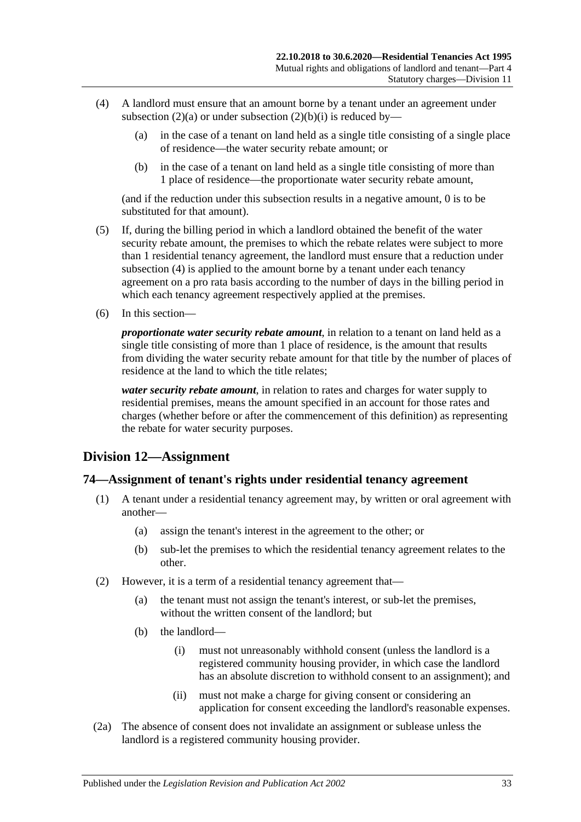- <span id="page-32-2"></span>(4) A landlord must ensure that an amount borne by a tenant under an agreement under [subsection](#page-31-5) (2)(a) or under [subsection](#page-31-6) (2)(b)(i) is reduced by—
	- (a) in the case of a tenant on land held as a single title consisting of a single place of residence—the water security rebate amount; or
	- (b) in the case of a tenant on land held as a single title consisting of more than 1 place of residence—the proportionate water security rebate amount,

(and if the reduction under this subsection results in a negative amount, 0 is to be substituted for that amount).

- (5) If, during the billing period in which a landlord obtained the benefit of the water security rebate amount, the premises to which the rebate relates were subject to more than 1 residential tenancy agreement, the landlord must ensure that a reduction under [subsection](#page-32-2) (4) is applied to the amount borne by a tenant under each tenancy agreement on a pro rata basis according to the number of days in the billing period in which each tenancy agreement respectively applied at the premises.
- (6) In this section—

*proportionate water security rebate amount*, in relation to a tenant on land held as a single title consisting of more than 1 place of residence, is the amount that results from dividing the water security rebate amount for that title by the number of places of residence at the land to which the title relates;

*water security rebate amount*, in relation to rates and charges for water supply to residential premises, means the amount specified in an account for those rates and charges (whether before or after the commencement of this definition) as representing the rebate for water security purposes.

## <span id="page-32-0"></span>**Division 12—Assignment**

### <span id="page-32-1"></span>**74—Assignment of tenant's rights under residential tenancy agreement**

- (1) A tenant under a residential tenancy agreement may, by written or oral agreement with another—
	- (a) assign the tenant's interest in the agreement to the other; or
	- (b) sub-let the premises to which the residential tenancy agreement relates to the other.
- (2) However, it is a term of a residential tenancy agreement that—
	- (a) the tenant must not assign the tenant's interest, or sub-let the premises, without the written consent of the landlord; but
	- (b) the landlord—
		- (i) must not unreasonably withhold consent (unless the landlord is a registered community housing provider, in which case the landlord has an absolute discretion to withhold consent to an assignment); and
		- (ii) must not make a charge for giving consent or considering an application for consent exceeding the landlord's reasonable expenses.
- (2a) The absence of consent does not invalidate an assignment or sublease unless the landlord is a registered community housing provider.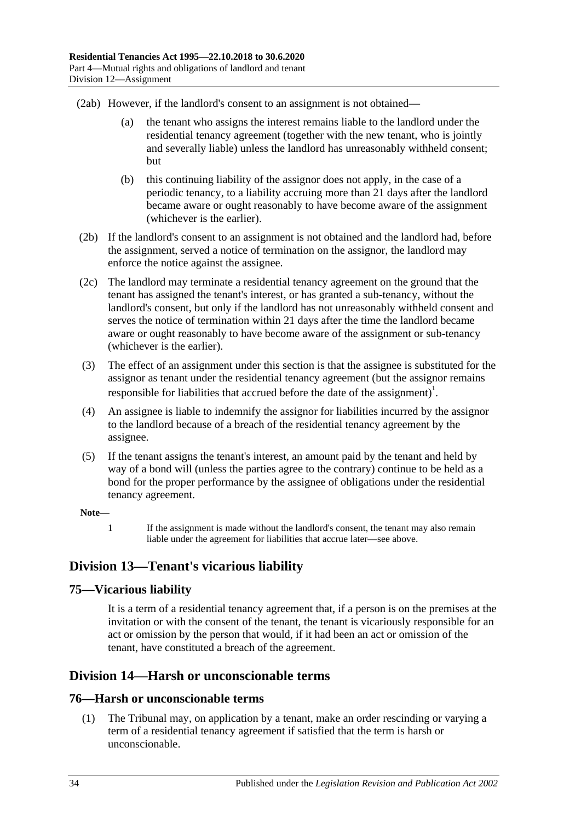(2ab) However, if the landlord's consent to an assignment is not obtained—

- (a) the tenant who assigns the interest remains liable to the landlord under the residential tenancy agreement (together with the new tenant, who is jointly and severally liable) unless the landlord has unreasonably withheld consent; but
- (b) this continuing liability of the assignor does not apply, in the case of a periodic tenancy, to a liability accruing more than 21 days after the landlord became aware or ought reasonably to have become aware of the assignment (whichever is the earlier).
- (2b) If the landlord's consent to an assignment is not obtained and the landlord had, before the assignment, served a notice of termination on the assignor, the landlord may enforce the notice against the assignee.
- (2c) The landlord may terminate a residential tenancy agreement on the ground that the tenant has assigned the tenant's interest, or has granted a sub-tenancy, without the landlord's consent, but only if the landlord has not unreasonably withheld consent and serves the notice of termination within 21 days after the time the landlord became aware or ought reasonably to have become aware of the assignment or sub-tenancy (whichever is the earlier).
- (3) The effect of an assignment under this section is that the assignee is substituted for the assignor as tenant under the residential tenancy agreement (but the assignor remains responsible for liabilities that accrued before the date of the assignment)<sup>1</sup>.
- (4) An assignee is liable to indemnify the assignor for liabilities incurred by the assignor to the landlord because of a breach of the residential tenancy agreement by the assignee.
- (5) If the tenant assigns the tenant's interest, an amount paid by the tenant and held by way of a bond will (unless the parties agree to the contrary) continue to be held as a bond for the proper performance by the assignee of obligations under the residential tenancy agreement.

#### **Note—**

1 If the assignment is made without the landlord's consent, the tenant may also remain liable under the agreement for liabilities that accrue later—see above.

## <span id="page-33-0"></span>**Division 13—Tenant's vicarious liability**

## <span id="page-33-1"></span>**75—Vicarious liability**

It is a term of a residential tenancy agreement that, if a person is on the premises at the invitation or with the consent of the tenant, the tenant is vicariously responsible for an act or omission by the person that would, if it had been an act or omission of the tenant, have constituted a breach of the agreement.

## <span id="page-33-2"></span>**Division 14—Harsh or unconscionable terms**

## <span id="page-33-4"></span><span id="page-33-3"></span>**76—Harsh or unconscionable terms**

(1) The Tribunal may, on application by a tenant, make an order rescinding or varying a term of a residential tenancy agreement if satisfied that the term is harsh or unconscionable.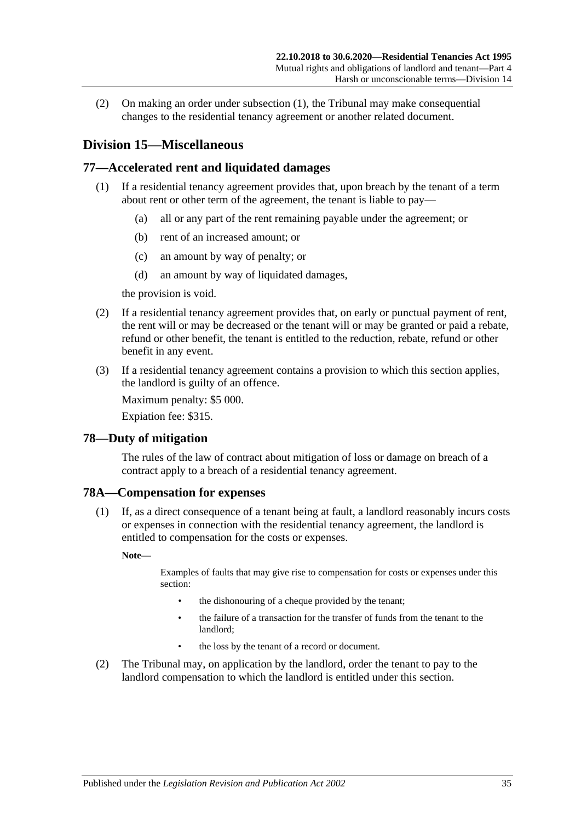(2) On making an order under [subsection](#page-33-4) (1), the Tribunal may make consequential changes to the residential tenancy agreement or another related document.

## <span id="page-34-0"></span>**Division 15—Miscellaneous**

## <span id="page-34-1"></span>**77—Accelerated rent and liquidated damages**

- (1) If a residential tenancy agreement provides that, upon breach by the tenant of a term about rent or other term of the agreement, the tenant is liable to pay—
	- (a) all or any part of the rent remaining payable under the agreement; or
	- (b) rent of an increased amount; or
	- (c) an amount by way of penalty; or
	- (d) an amount by way of liquidated damages,

the provision is void.

- (2) If a residential tenancy agreement provides that, on early or punctual payment of rent, the rent will or may be decreased or the tenant will or may be granted or paid a rebate, refund or other benefit, the tenant is entitled to the reduction, rebate, refund or other benefit in any event.
- (3) If a residential tenancy agreement contains a provision to which this section applies, the landlord is guilty of an offence.

Maximum penalty: \$5 000.

Expiation fee: \$315.

### <span id="page-34-2"></span>**78—Duty of mitigation**

The rules of the law of contract about mitigation of loss or damage on breach of a contract apply to a breach of a residential tenancy agreement.

### <span id="page-34-3"></span>**78A—Compensation for expenses**

(1) If, as a direct consequence of a tenant being at fault, a landlord reasonably incurs costs or expenses in connection with the residential tenancy agreement, the landlord is entitled to compensation for the costs or expenses.

**Note—**

Examples of faults that may give rise to compensation for costs or expenses under this section:

- the dishonouring of a cheque provided by the tenant;
- the failure of a transaction for the transfer of funds from the tenant to the landlord;
- the loss by the tenant of a record or document.
- (2) The Tribunal may, on application by the landlord, order the tenant to pay to the landlord compensation to which the landlord is entitled under this section.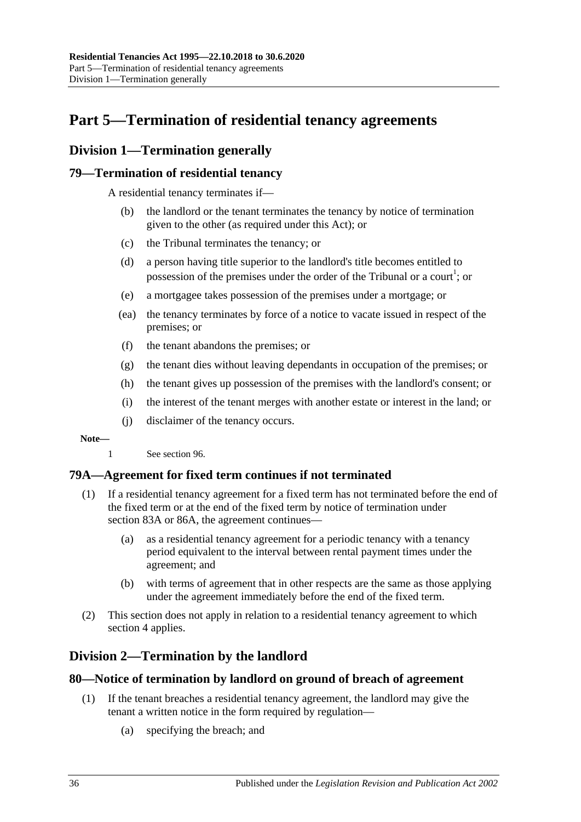# <span id="page-35-0"></span>**Part 5—Termination of residential tenancy agreements**

## <span id="page-35-1"></span>**Division 1—Termination generally**

## <span id="page-35-2"></span>**79—Termination of residential tenancy**

A residential tenancy terminates if—

- (b) the landlord or the tenant terminates the tenancy by notice of termination given to the other (as required under this Act); or
- (c) the Tribunal terminates the tenancy; or
- (d) a person having title superior to the landlord's title becomes entitled to possession of the premises under the order of the Tribunal or a court<sup>1</sup>; or
- (e) a mortgagee takes possession of the premises under a mortgage; or
- (ea) the tenancy terminates by force of a notice to vacate issued in respect of the premises; or
- (f) the tenant abandons the premises; or
- (g) the tenant dies without leaving dependants in occupation of the premises; or
- (h) the tenant gives up possession of the premises with the landlord's consent; or
- (i) the interest of the tenant merges with another estate or interest in the land; or
- (j) disclaimer of the tenancy occurs.

#### **Note—**

1 See [section](#page-48-1) 96.

## <span id="page-35-3"></span>**79A—Agreement for fixed term continues if not terminated**

- (1) If a residential tenancy agreement for a fixed term has not terminated before the end of the fixed term or at the end of the fixed term by notice of termination under [section](#page-38-1) 83A or [86A,](#page-40-2) the agreement continues—
	- (a) as a residential tenancy agreement for a periodic tenancy with a tenancy period equivalent to the interval between rental payment times under the agreement; and
	- (b) with terms of agreement that in other respects are the same as those applying under the agreement immediately before the end of the fixed term.
- (2) This section does not apply in relation to a residential tenancy agreement to which [section](#page-9-0) 4 applies.

## <span id="page-35-4"></span>**Division 2—Termination by the landlord**

## <span id="page-35-5"></span>**80—Notice of termination by landlord on ground of breach of agreement**

- (1) If the tenant breaches a residential tenancy agreement, the landlord may give the tenant a written notice in the form required by regulation—
	- (a) specifying the breach; and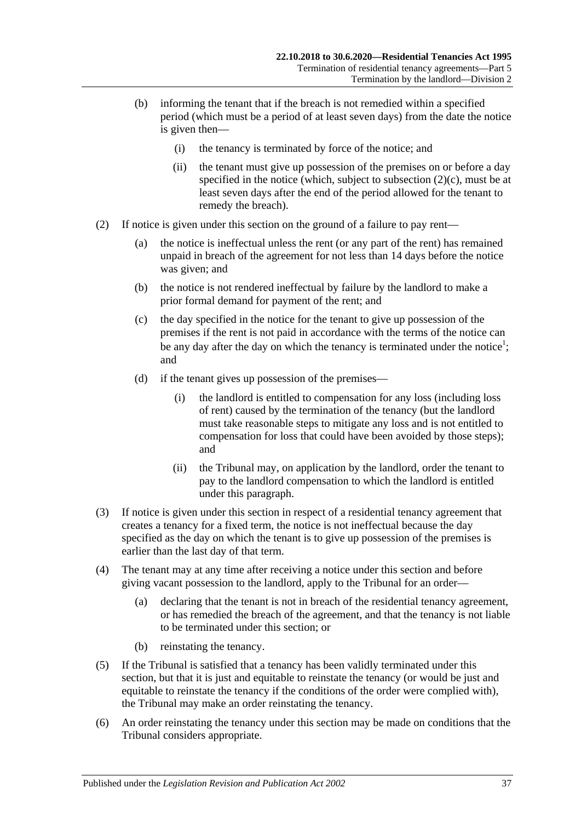- (b) informing the tenant that if the breach is not remedied within a specified period (which must be a period of at least seven days) from the date the notice is given then—
	- (i) the tenancy is terminated by force of the notice; and
	- (ii) the tenant must give up possession of the premises on or before a day specified in the notice (which, subject to [subsection](#page-36-0)  $(2)(c)$ , must be at least seven days after the end of the period allowed for the tenant to remedy the breach).
- <span id="page-36-1"></span><span id="page-36-0"></span>(2) If notice is given under this section on the ground of a failure to pay rent—
	- (a) the notice is ineffectual unless the rent (or any part of the rent) has remained unpaid in breach of the agreement for not less than 14 days before the notice was given; and
	- (b) the notice is not rendered ineffectual by failure by the landlord to make a prior formal demand for payment of the rent; and
	- (c) the day specified in the notice for the tenant to give up possession of the premises if the rent is not paid in accordance with the terms of the notice can be any day after the day on which the tenancy is terminated under the notice<sup>1</sup>; and
	- (d) if the tenant gives up possession of the premises—
		- (i) the landlord is entitled to compensation for any loss (including loss of rent) caused by the termination of the tenancy (but the landlord must take reasonable steps to mitigate any loss and is not entitled to compensation for loss that could have been avoided by those steps); and
		- (ii) the Tribunal may, on application by the landlord, order the tenant to pay to the landlord compensation to which the landlord is entitled under this paragraph.
- (3) If notice is given under this section in respect of a residential tenancy agreement that creates a tenancy for a fixed term, the notice is not ineffectual because the day specified as the day on which the tenant is to give up possession of the premises is earlier than the last day of that term.
- (4) The tenant may at any time after receiving a notice under this section and before giving vacant possession to the landlord, apply to the Tribunal for an order—
	- (a) declaring that the tenant is not in breach of the residential tenancy agreement, or has remedied the breach of the agreement, and that the tenancy is not liable to be terminated under this section; or
	- (b) reinstating the tenancy.
- (5) If the Tribunal is satisfied that a tenancy has been validly terminated under this section, but that it is just and equitable to reinstate the tenancy (or would be just and equitable to reinstate the tenancy if the conditions of the order were complied with), the Tribunal may make an order reinstating the tenancy.
- (6) An order reinstating the tenancy under this section may be made on conditions that the Tribunal considers appropriate.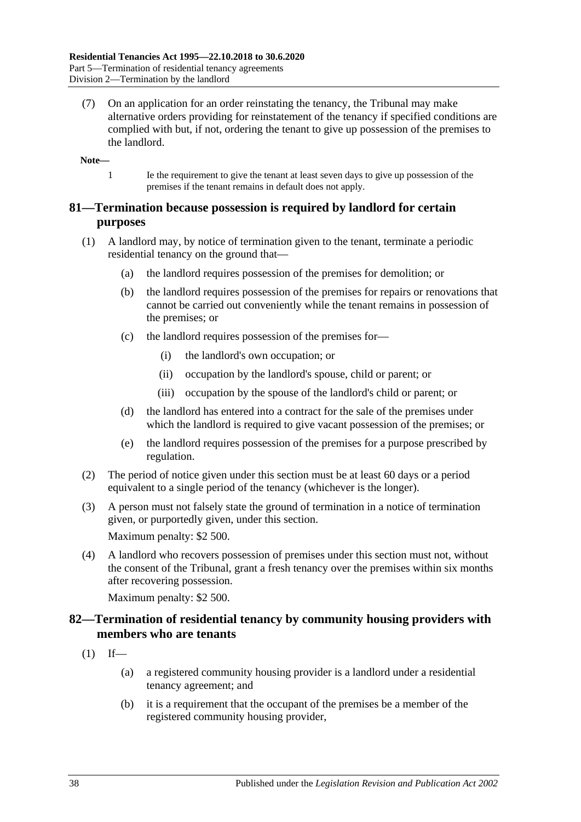(7) On an application for an order reinstating the tenancy, the Tribunal may make alternative orders providing for reinstatement of the tenancy if specified conditions are complied with but, if not, ordering the tenant to give up possession of the premises to the landlord.

**Note—**

1 Ie the requirement to give the tenant at least seven days to give up possession of the premises if the tenant remains in default does not apply.

## **81—Termination because possession is required by landlord for certain purposes**

- (1) A landlord may, by notice of termination given to the tenant, terminate a periodic residential tenancy on the ground that—
	- (a) the landlord requires possession of the premises for demolition; or
	- (b) the landlord requires possession of the premises for repairs or renovations that cannot be carried out conveniently while the tenant remains in possession of the premises; or
	- (c) the landlord requires possession of the premises for—
		- (i) the landlord's own occupation; or
		- (ii) occupation by the landlord's spouse, child or parent; or
		- (iii) occupation by the spouse of the landlord's child or parent; or
	- (d) the landlord has entered into a contract for the sale of the premises under which the landlord is required to give vacant possession of the premises; or
	- (e) the landlord requires possession of the premises for a purpose prescribed by regulation.
- (2) The period of notice given under this section must be at least 60 days or a period equivalent to a single period of the tenancy (whichever is the longer).
- (3) A person must not falsely state the ground of termination in a notice of termination given, or purportedly given, under this section. Maximum penalty: \$2 500.
- (4) A landlord who recovers possession of premises under this section must not, without the consent of the Tribunal, grant a fresh tenancy over the premises within six months after recovering possession.

Maximum penalty: \$2 500.

## **82—Termination of residential tenancy by community housing providers with members who are tenants**

- $(1)$  If—
	- (a) a registered community housing provider is a landlord under a residential tenancy agreement; and
	- (b) it is a requirement that the occupant of the premises be a member of the registered community housing provider,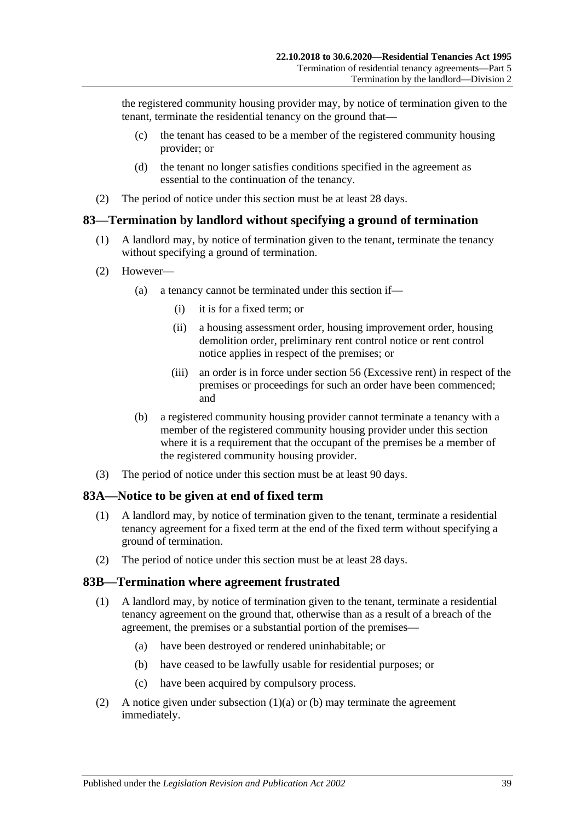the registered community housing provider may, by notice of termination given to the tenant, terminate the residential tenancy on the ground that—

- (c) the tenant has ceased to be a member of the registered community housing provider; or
- (d) the tenant no longer satisfies conditions specified in the agreement as essential to the continuation of the tenancy.
- (2) The period of notice under this section must be at least 28 days.

### **83—Termination by landlord without specifying a ground of termination**

- (1) A landlord may, by notice of termination given to the tenant, terminate the tenancy without specifying a ground of termination.
- (2) However—
	- (a) a tenancy cannot be terminated under this section if—
		- (i) it is for a fixed term; or
		- (ii) a housing assessment order, housing improvement order, housing demolition order, preliminary rent control notice or rent control notice applies in respect of the premises; or
		- (iii) an order is in force under [section](#page-20-0) 56 (Excessive rent) in respect of the premises or proceedings for such an order have been commenced; and
	- (b) a registered community housing provider cannot terminate a tenancy with a member of the registered community housing provider under this section where it is a requirement that the occupant of the premises be a member of the registered community housing provider.
- (3) The period of notice under this section must be at least 90 days.

#### **83A—Notice to be given at end of fixed term**

- (1) A landlord may, by notice of termination given to the tenant, terminate a residential tenancy agreement for a fixed term at the end of the fixed term without specifying a ground of termination.
- (2) The period of notice under this section must be at least 28 days.

#### **83B—Termination where agreement frustrated**

- <span id="page-38-0"></span>(1) A landlord may, by notice of termination given to the tenant, terminate a residential tenancy agreement on the ground that, otherwise than as a result of a breach of the agreement, the premises or a substantial portion of the premises—
	- (a) have been destroyed or rendered uninhabitable; or
	- (b) have ceased to be lawfully usable for residential purposes; or
	- (c) have been acquired by compulsory process.
- <span id="page-38-2"></span><span id="page-38-1"></span>(2) A notice given under [subsection](#page-38-0)  $(1)(a)$  or [\(b\)](#page-38-1) may terminate the agreement immediately.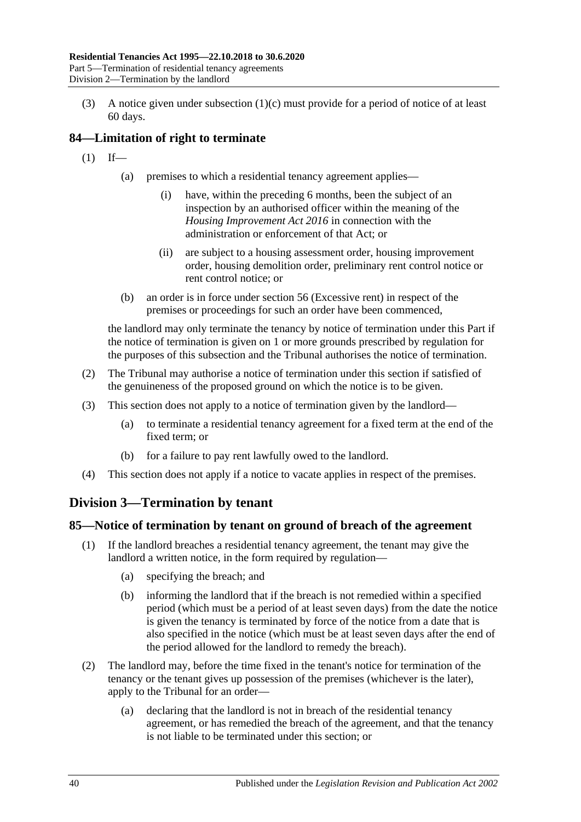(3) A notice given under [subsection](#page-38-2) (1)(c) must provide for a period of notice of at least 60 days.

## **84—Limitation of right to terminate**

- $(1)$  If—
	- (a) premises to which a residential tenancy agreement applies—
		- (i) have, within the preceding 6 months, been the subject of an inspection by an authorised officer within the meaning of the *[Housing Improvement Act](http://www.legislation.sa.gov.au/index.aspx?action=legref&type=act&legtitle=Housing%20Improvement%20Act%202016) 2016* in connection with the administration or enforcement of that Act; or
		- (ii) are subject to a housing assessment order, housing improvement order, housing demolition order, preliminary rent control notice or rent control notice; or
	- (b) an order is in force under [section](#page-20-0) 56 (Excessive rent) in respect of the premises or proceedings for such an order have been commenced,

the landlord may only terminate the tenancy by notice of termination under this Part if the notice of termination is given on 1 or more grounds prescribed by regulation for the purposes of this subsection and the Tribunal authorises the notice of termination.

- (2) The Tribunal may authorise a notice of termination under this section if satisfied of the genuineness of the proposed ground on which the notice is to be given.
- (3) This section does not apply to a notice of termination given by the landlord—
	- (a) to terminate a residential tenancy agreement for a fixed term at the end of the fixed term; or
	- (b) for a failure to pay rent lawfully owed to the landlord.
- (4) This section does not apply if a notice to vacate applies in respect of the premises.

# **Division 3—Termination by tenant**

## <span id="page-39-0"></span>**85—Notice of termination by tenant on ground of breach of the agreement**

- (1) If the landlord breaches a residential tenancy agreement, the tenant may give the landlord a written notice, in the form required by regulation—
	- (a) specifying the breach; and
	- (b) informing the landlord that if the breach is not remedied within a specified period (which must be a period of at least seven days) from the date the notice is given the tenancy is terminated by force of the notice from a date that is also specified in the notice (which must be at least seven days after the end of the period allowed for the landlord to remedy the breach).
- (2) The landlord may, before the time fixed in the tenant's notice for termination of the tenancy or the tenant gives up possession of the premises (whichever is the later), apply to the Tribunal for an order—
	- (a) declaring that the landlord is not in breach of the residential tenancy agreement, or has remedied the breach of the agreement, and that the tenancy is not liable to be terminated under this section; or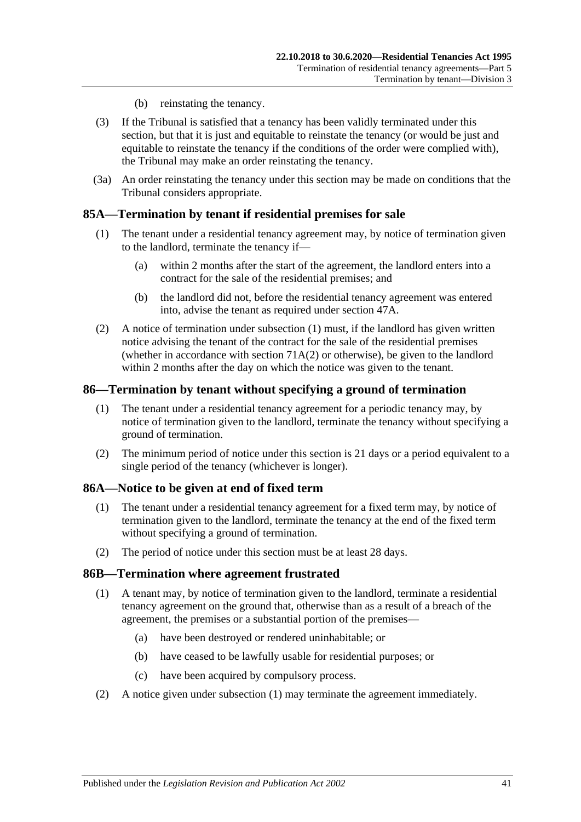- (b) reinstating the tenancy.
- (3) If the Tribunal is satisfied that a tenancy has been validly terminated under this section, but that it is just and equitable to reinstate the tenancy (or would be just and equitable to reinstate the tenancy if the conditions of the order were complied with), the Tribunal may make an order reinstating the tenancy.
- (3a) An order reinstating the tenancy under this section may be made on conditions that the Tribunal considers appropriate.

## <span id="page-40-0"></span>**85A—Termination by tenant if residential premises for sale**

- (1) The tenant under a residential tenancy agreement may, by notice of termination given to the landlord, terminate the tenancy if—
	- (a) within 2 months after the start of the agreement, the landlord enters into a contract for the sale of the residential premises; and
	- (b) the landlord did not, before the residential tenancy agreement was entered into, advise the tenant as required under [section](#page-14-0) 47A.
- (2) A notice of termination under [subsection](#page-40-0) (1) must, if the landlord has given written notice advising the tenant of the contract for the sale of the residential premises (whether in accordance with [section](#page-29-0)  $71A(2)$  or otherwise), be given to the landlord within 2 months after the day on which the notice was given to the tenant.

#### **86—Termination by tenant without specifying a ground of termination**

- (1) The tenant under a residential tenancy agreement for a periodic tenancy may, by notice of termination given to the landlord, terminate the tenancy without specifying a ground of termination.
- (2) The minimum period of notice under this section is 21 days or a period equivalent to a single period of the tenancy (whichever is longer).

#### **86A—Notice to be given at end of fixed term**

- (1) The tenant under a residential tenancy agreement for a fixed term may, by notice of termination given to the landlord, terminate the tenancy at the end of the fixed term without specifying a ground of termination.
- (2) The period of notice under this section must be at least 28 days.

#### <span id="page-40-1"></span>**86B—Termination where agreement frustrated**

- (1) A tenant may, by notice of termination given to the landlord, terminate a residential tenancy agreement on the ground that, otherwise than as a result of a breach of the agreement, the premises or a substantial portion of the premises—
	- (a) have been destroyed or rendered uninhabitable; or
	- (b) have ceased to be lawfully usable for residential purposes; or
	- (c) have been acquired by compulsory process.
- (2) A notice given under [subsection](#page-40-1) (1) may terminate the agreement immediately.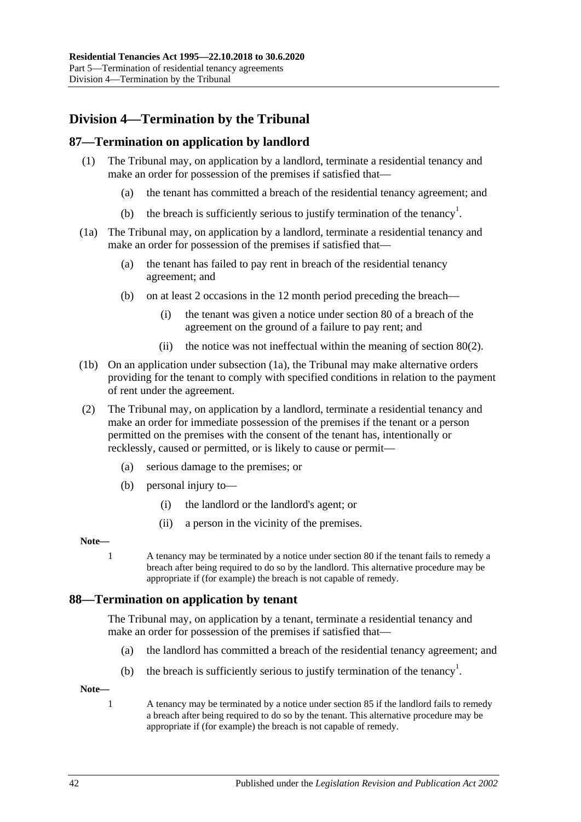# **Division 4—Termination by the Tribunal**

## **87—Termination on application by landlord**

- (1) The Tribunal may, on application by a landlord, terminate a residential tenancy and make an order for possession of the premises if satisfied that—
	- (a) the tenant has committed a breach of the residential tenancy agreement; and
	- (b) the breach is sufficiently serious to justify termination of the tenancy<sup>1</sup>.
- <span id="page-41-0"></span>(1a) The Tribunal may, on application by a landlord, terminate a residential tenancy and make an order for possession of the premises if satisfied that—
	- (a) the tenant has failed to pay rent in breach of the residential tenancy agreement; and
	- (b) on at least 2 occasions in the 12 month period preceding the breach—
		- (i) the tenant was given a notice under [section](#page-35-0) 80 of a breach of the agreement on the ground of a failure to pay rent; and
		- (ii) the notice was not ineffectual within the meaning of [section](#page-36-1) 80(2).
- (1b) On an application under [subsection](#page-41-0) (1a), the Tribunal may make alternative orders providing for the tenant to comply with specified conditions in relation to the payment of rent under the agreement.
- (2) The Tribunal may, on application by a landlord, terminate a residential tenancy and make an order for immediate possession of the premises if the tenant or a person permitted on the premises with the consent of the tenant has, intentionally or recklessly, caused or permitted, or is likely to cause or permit—
	- (a) serious damage to the premises; or
	- (b) personal injury to—
		- (i) the landlord or the landlord's agent; or
		- (ii) a person in the vicinity of the premises.

#### **Note—**

1 A tenancy may be terminated by a notice under [section](#page-35-0) 80 if the tenant fails to remedy a breach after being required to do so by the landlord. This alternative procedure may be appropriate if (for example) the breach is not capable of remedy.

### **88—Termination on application by tenant**

The Tribunal may, on application by a tenant, terminate a residential tenancy and make an order for possession of the premises if satisfied that—

- (a) the landlord has committed a breach of the residential tenancy agreement; and
- (b) the breach is sufficiently serious to justify termination of the tenancy<sup>1</sup>.

**Note—**

1 A tenancy may be terminated by a notice under [section](#page-39-0) 85 if the landlord fails to remedy a breach after being required to do so by the tenant. This alternative procedure may be appropriate if (for example) the breach is not capable of remedy.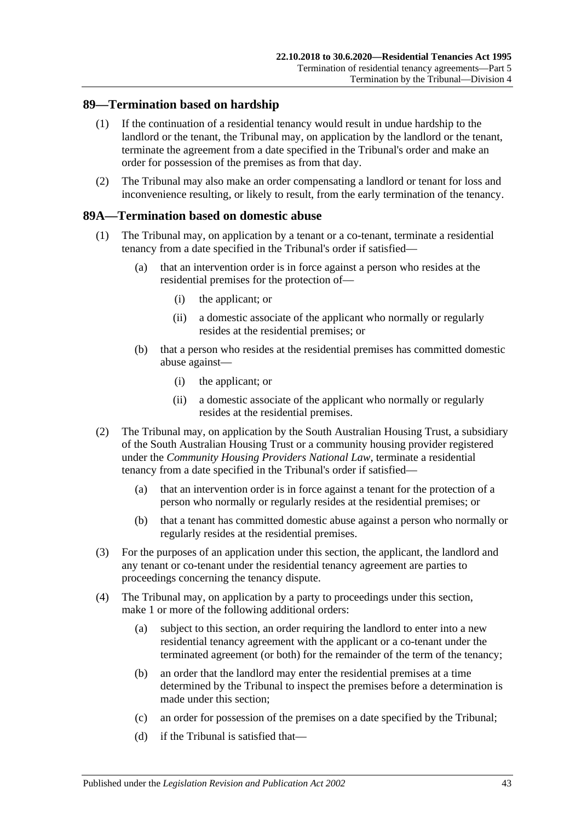### **89—Termination based on hardship**

- (1) If the continuation of a residential tenancy would result in undue hardship to the landlord or the tenant, the Tribunal may, on application by the landlord or the tenant, terminate the agreement from a date specified in the Tribunal's order and make an order for possession of the premises as from that day.
- (2) The Tribunal may also make an order compensating a landlord or tenant for loss and inconvenience resulting, or likely to result, from the early termination of the tenancy.

### <span id="page-42-3"></span>**89A—Termination based on domestic abuse**

- <span id="page-42-1"></span>(1) The Tribunal may, on application by a tenant or a co-tenant, terminate a residential tenancy from a date specified in the Tribunal's order if satisfied—
	- (a) that an intervention order is in force against a person who resides at the residential premises for the protection of—
		- (i) the applicant; or
		- (ii) a domestic associate of the applicant who normally or regularly resides at the residential premises; or
	- (b) that a person who resides at the residential premises has committed domestic abuse against—
		- (i) the applicant; or
		- (ii) a domestic associate of the applicant who normally or regularly resides at the residential premises.
- <span id="page-42-2"></span>(2) The Tribunal may, on application by the South Australian Housing Trust, a subsidiary of the South Australian Housing Trust or a community housing provider registered under the *Community Housing Providers National Law*, terminate a residential tenancy from a date specified in the Tribunal's order if satisfied—
	- (a) that an intervention order is in force against a tenant for the protection of a person who normally or regularly resides at the residential premises; or
	- (b) that a tenant has committed domestic abuse against a person who normally or regularly resides at the residential premises.
- (3) For the purposes of an application under this section, the applicant, the landlord and any tenant or co-tenant under the residential tenancy agreement are parties to proceedings concerning the tenancy dispute.
- <span id="page-42-5"></span><span id="page-42-4"></span><span id="page-42-0"></span>(4) The Tribunal may, on application by a party to proceedings under this section, make 1 or more of the following additional orders:
	- (a) subject to this section, an order requiring the landlord to enter into a new residential tenancy agreement with the applicant or a co-tenant under the terminated agreement (or both) for the remainder of the term of the tenancy;
	- (b) an order that the landlord may enter the residential premises at a time determined by the Tribunal to inspect the premises before a determination is made under this section;
	- (c) an order for possession of the premises on a date specified by the Tribunal;
	- (d) if the Tribunal is satisfied that—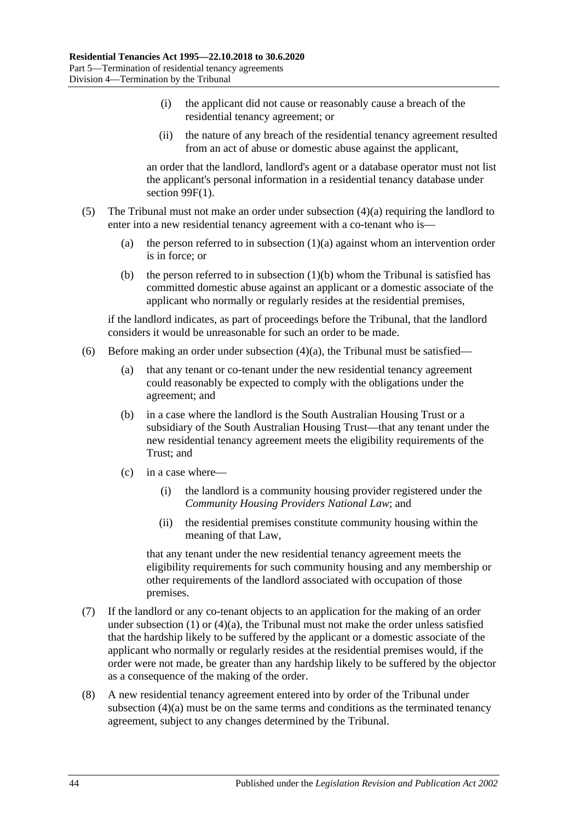- (i) the applicant did not cause or reasonably cause a breach of the residential tenancy agreement; or
- (ii) the nature of any breach of the residential tenancy agreement resulted from an act of abuse or domestic abuse against the applicant,

an order that the landlord, landlord's agent or a database operator must not list the applicant's personal information in a residential tenancy database under section [99F\(1\).](#page-54-0)

- (5) The Tribunal must not make an order under [subsection](#page-42-0) (4)(a) requiring the landlord to enter into a new residential tenancy agreement with a co-tenant who is
	- (a) the person referred to in [subsection](#page-42-1)  $(1)(a)$  against whom an intervention order is in force; or
	- (b) the person referred to in [subsection](#page-42-2)  $(1)(b)$  whom the Tribunal is satisfied has committed domestic abuse against an applicant or a domestic associate of the applicant who normally or regularly resides at the residential premises,

if the landlord indicates, as part of proceedings before the Tribunal, that the landlord considers it would be unreasonable for such an order to be made.

- (6) Before making an order under [subsection](#page-42-0)  $(4)(a)$ , the Tribunal must be satisfied—
	- (a) that any tenant or co-tenant under the new residential tenancy agreement could reasonably be expected to comply with the obligations under the agreement; and
	- (b) in a case where the landlord is the South Australian Housing Trust or a subsidiary of the South Australian Housing Trust—that any tenant under the new residential tenancy agreement meets the eligibility requirements of the Trust; and
	- (c) in a case where—
		- (i) the landlord is a community housing provider registered under the *Community Housing Providers National Law*; and
		- (ii) the residential premises constitute community housing within the meaning of that Law,

that any tenant under the new residential tenancy agreement meets the eligibility requirements for such community housing and any membership or other requirements of the landlord associated with occupation of those premises.

- (7) If the landlord or any co-tenant objects to an application for the making of an order under [subsection](#page-42-3)  $(1)$  or  $(4)(a)$ , the Tribunal must not make the order unless satisfied that the hardship likely to be suffered by the applicant or a domestic associate of the applicant who normally or regularly resides at the residential premises would, if the order were not made, be greater than any hardship likely to be suffered by the objector as a consequence of the making of the order.
- (8) A new residential tenancy agreement entered into by order of the Tribunal under [subsection](#page-42-0) (4)(a) must be on the same terms and conditions as the terminated tenancy agreement, subject to any changes determined by the Tribunal.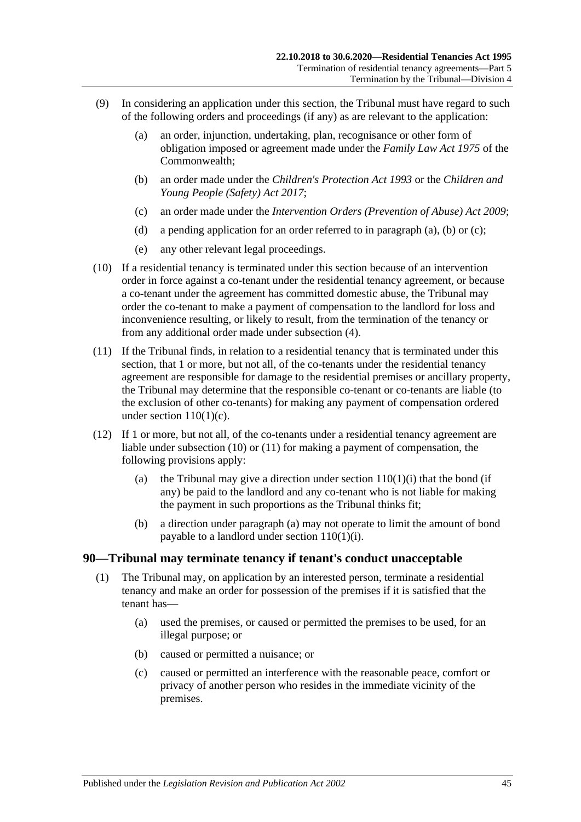- <span id="page-44-1"></span><span id="page-44-0"></span>(9) In considering an application under this section, the Tribunal must have regard to such of the following orders and proceedings (if any) as are relevant to the application:
	- (a) an order, injunction, undertaking, plan, recognisance or other form of obligation imposed or agreement made under the *Family Law Act 1975* of the Commonwealth;
	- (b) an order made under the *[Children's Protection Act](http://www.legislation.sa.gov.au/index.aspx?action=legref&type=act&legtitle=Childrens%20Protection%20Act%201993) 1993* or the *[Children and](http://www.legislation.sa.gov.au/index.aspx?action=legref&type=act&legtitle=Children%20and%20Young%20People%20(Safety)%20Act%202017)  [Young People \(Safety\) Act](http://www.legislation.sa.gov.au/index.aspx?action=legref&type=act&legtitle=Children%20and%20Young%20People%20(Safety)%20Act%202017) 2017*;
	- (c) an order made under the *[Intervention Orders \(Prevention of Abuse\) Act](http://www.legislation.sa.gov.au/index.aspx?action=legref&type=act&legtitle=Intervention%20Orders%20(Prevention%20of%20Abuse)%20Act%202009) 2009*;
	- (d) a pending application for an order referred to in [paragraph](#page-44-0) (a), [\(b\)](#page-44-1) or [\(c\);](#page-44-2)
	- (e) any other relevant legal proceedings.
- <span id="page-44-3"></span><span id="page-44-2"></span>(10) If a residential tenancy is terminated under this section because of an intervention order in force against a co-tenant under the residential tenancy agreement, or because a co-tenant under the agreement has committed domestic abuse, the Tribunal may order the co-tenant to make a payment of compensation to the landlord for loss and inconvenience resulting, or likely to result, from the termination of the tenancy or from any additional order made under [subsection](#page-42-4) (4).
- <span id="page-44-4"></span>(11) If the Tribunal finds, in relation to a residential tenancy that is terminated under this section, that 1 or more, but not all, of the co-tenants under the residential tenancy agreement are responsible for damage to the residential premises or ancillary property, the Tribunal may determine that the responsible co-tenant or co-tenants are liable (to the exclusion of other co-tenants) for making any payment of compensation ordered under section  $110(1)(c)$ .
- <span id="page-44-5"></span>(12) If 1 or more, but not all, of the co-tenants under a residential tenancy agreement are liable under [subsection](#page-44-3) (10) or [\(11\)](#page-44-4) for making a payment of compensation, the following provisions apply:
	- (a) the Tribunal may give a direction under section  $110(1)(i)$  that the bond (if any) be paid to the landlord and any co-tenant who is not liable for making the payment in such proportions as the Tribunal thinks fit;
	- (b) a direction under [paragraph](#page-44-5) (a) may not operate to limit the amount of bond payable to a landlord under section [110\(1\)\(i\).](#page-76-0)

#### **90—Tribunal may terminate tenancy if tenant's conduct unacceptable**

- (1) The Tribunal may, on application by an interested person, terminate a residential tenancy and make an order for possession of the premises if it is satisfied that the tenant has—
	- (a) used the premises, or caused or permitted the premises to be used, for an illegal purpose; or
	- (b) caused or permitted a nuisance; or
	- (c) caused or permitted an interference with the reasonable peace, comfort or privacy of another person who resides in the immediate vicinity of the premises.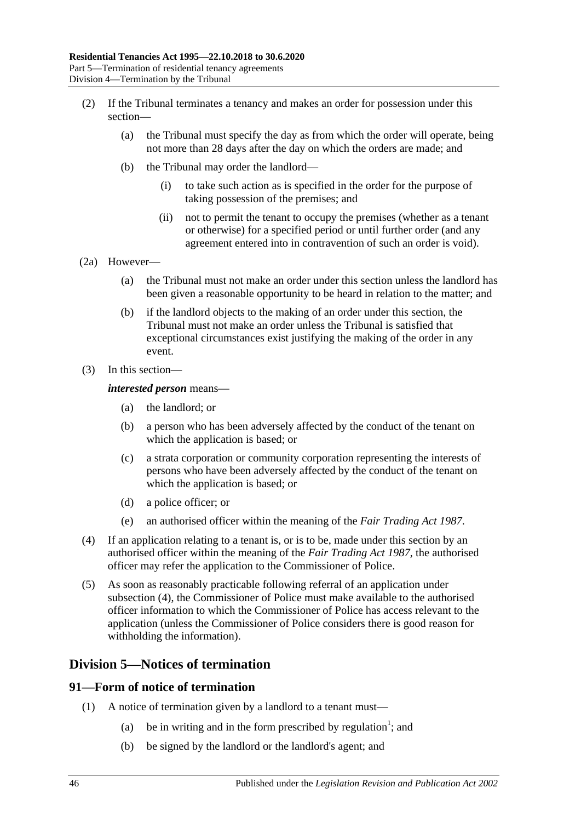- (2) If the Tribunal terminates a tenancy and makes an order for possession under this section—
	- (a) the Tribunal must specify the day as from which the order will operate, being not more than 28 days after the day on which the orders are made; and
	- (b) the Tribunal may order the landlord—
		- (i) to take such action as is specified in the order for the purpose of taking possession of the premises; and
		- (ii) not to permit the tenant to occupy the premises (whether as a tenant or otherwise) for a specified period or until further order (and any agreement entered into in contravention of such an order is void).
- (2a) However—
	- (a) the Tribunal must not make an order under this section unless the landlord has been given a reasonable opportunity to be heard in relation to the matter; and
	- (b) if the landlord objects to the making of an order under this section, the Tribunal must not make an order unless the Tribunal is satisfied that exceptional circumstances exist justifying the making of the order in any event.
- (3) In this section—

#### *interested person* means—

- (a) the landlord; or
- (b) a person who has been adversely affected by the conduct of the tenant on which the application is based; or
- (c) a strata corporation or community corporation representing the interests of persons who have been adversely affected by the conduct of the tenant on which the application is based; or
- (d) a police officer; or
- (e) an authorised officer within the meaning of the *[Fair Trading Act](http://www.legislation.sa.gov.au/index.aspx?action=legref&type=act&legtitle=Fair%20Trading%20Act%201987) 1987*.
- <span id="page-45-0"></span>(4) If an application relating to a tenant is, or is to be, made under this section by an authorised officer within the meaning of the *[Fair Trading Act](http://www.legislation.sa.gov.au/index.aspx?action=legref&type=act&legtitle=Fair%20Trading%20Act%201987) 1987*, the authorised officer may refer the application to the Commissioner of Police.
- (5) As soon as reasonably practicable following referral of an application under [subsection](#page-45-0) (4), the Commissioner of Police must make available to the authorised officer information to which the Commissioner of Police has access relevant to the application (unless the Commissioner of Police considers there is good reason for withholding the information).

## **Division 5—Notices of termination**

#### **91—Form of notice of termination**

- (1) A notice of termination given by a landlord to a tenant must—
	- (a) be in writing and in the form prescribed by regulation<sup>1</sup>; and
	- (b) be signed by the landlord or the landlord's agent; and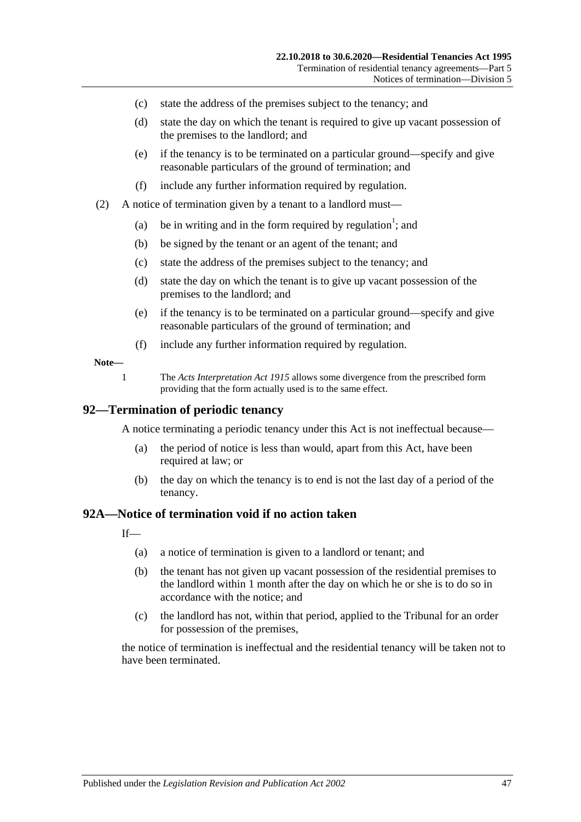- (c) state the address of the premises subject to the tenancy; and
- (d) state the day on which the tenant is required to give up vacant possession of the premises to the landlord; and
- (e) if the tenancy is to be terminated on a particular ground—specify and give reasonable particulars of the ground of termination; and
- (f) include any further information required by regulation.
- (2) A notice of termination given by a tenant to a landlord must—
	- (a) be in writing and in the form required by regulation<sup>1</sup>; and
	- (b) be signed by the tenant or an agent of the tenant; and
	- (c) state the address of the premises subject to the tenancy; and
	- (d) state the day on which the tenant is to give up vacant possession of the premises to the landlord; and
	- (e) if the tenancy is to be terminated on a particular ground—specify and give reasonable particulars of the ground of termination; and
	- (f) include any further information required by regulation.

#### **Note—**

1 The *[Acts Interpretation Act](http://www.legislation.sa.gov.au/index.aspx?action=legref&type=act&legtitle=Acts%20Interpretation%20Act%201915) 1915* allows some divergence from the prescribed form providing that the form actually used is to the same effect.

#### **92—Termination of periodic tenancy**

A notice terminating a periodic tenancy under this Act is not ineffectual because—

- (a) the period of notice is less than would, apart from this Act, have been required at law; or
- (b) the day on which the tenancy is to end is not the last day of a period of the tenancy.

#### <span id="page-46-0"></span>**92A—Notice of termination void if no action taken**

 $If$ <sub>—</sub>

- (a) a notice of termination is given to a landlord or tenant; and
- (b) the tenant has not given up vacant possession of the residential premises to the landlord within 1 month after the day on which he or she is to do so in accordance with the notice; and
- (c) the landlord has not, within that period, applied to the Tribunal for an order for possession of the premises,

the notice of termination is ineffectual and the residential tenancy will be taken not to have been terminated.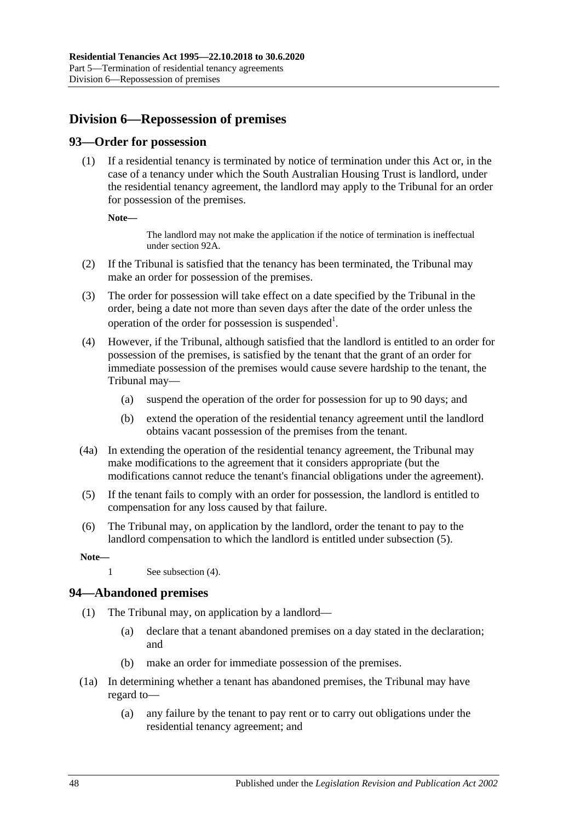# **Division 6—Repossession of premises**

## **93—Order for possession**

(1) If a residential tenancy is terminated by notice of termination under this Act or, in the case of a tenancy under which the South Australian Housing Trust is landlord, under the residential tenancy agreement, the landlord may apply to the Tribunal for an order for possession of the premises.

**Note—**

The landlord may not make the application if the notice of termination is ineffectual unde[r section](#page-46-0) 92A.

- (2) If the Tribunal is satisfied that the tenancy has been terminated, the Tribunal may make an order for possession of the premises.
- (3) The order for possession will take effect on a date specified by the Tribunal in the order, being a date not more than seven days after the date of the order unless the operation of the order for possession is suspended<sup>1</sup>.
- <span id="page-47-1"></span>(4) However, if the Tribunal, although satisfied that the landlord is entitled to an order for possession of the premises, is satisfied by the tenant that the grant of an order for immediate possession of the premises would cause severe hardship to the tenant, the Tribunal may—
	- (a) suspend the operation of the order for possession for up to 90 days; and
	- (b) extend the operation of the residential tenancy agreement until the landlord obtains vacant possession of the premises from the tenant.
- (4a) In extending the operation of the residential tenancy agreement, the Tribunal may make modifications to the agreement that it considers appropriate (but the modifications cannot reduce the tenant's financial obligations under the agreement).
- <span id="page-47-0"></span>(5) If the tenant fails to comply with an order for possession, the landlord is entitled to compensation for any loss caused by that failure.
- (6) The Tribunal may, on application by the landlord, order the tenant to pay to the landlord compensation to which the landlord is entitled under [subsection](#page-47-0) (5).

**Note—**

#### **94—Abandoned premises**

- (1) The Tribunal may, on application by a landlord—
	- (a) declare that a tenant abandoned premises on a day stated in the declaration; and
	- (b) make an order for immediate possession of the premises.
- (1a) In determining whether a tenant has abandoned premises, the Tribunal may have regard to—
	- (a) any failure by the tenant to pay rent or to carry out obligations under the residential tenancy agreement; and

<sup>1</sup> See [subsection](#page-47-1) (4).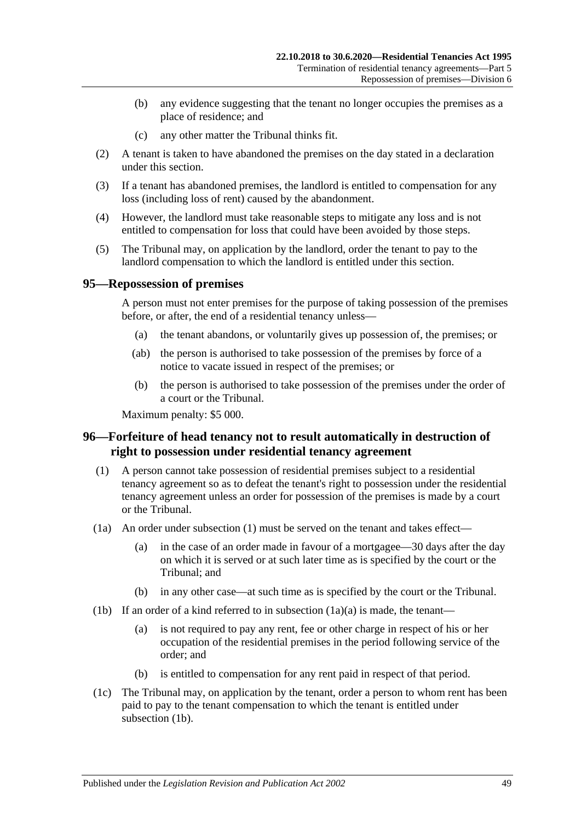- (b) any evidence suggesting that the tenant no longer occupies the premises as a place of residence; and
- (c) any other matter the Tribunal thinks fit.
- (2) A tenant is taken to have abandoned the premises on the day stated in a declaration under this section.
- (3) If a tenant has abandoned premises, the landlord is entitled to compensation for any loss (including loss of rent) caused by the abandonment.
- (4) However, the landlord must take reasonable steps to mitigate any loss and is not entitled to compensation for loss that could have been avoided by those steps.
- (5) The Tribunal may, on application by the landlord, order the tenant to pay to the landlord compensation to which the landlord is entitled under this section.

#### **95—Repossession of premises**

A person must not enter premises for the purpose of taking possession of the premises before, or after, the end of a residential tenancy unless—

- (a) the tenant abandons, or voluntarily gives up possession of, the premises; or
- (ab) the person is authorised to take possession of the premises by force of a notice to vacate issued in respect of the premises; or
- (b) the person is authorised to take possession of the premises under the order of a court or the Tribunal.

Maximum penalty: \$5 000.

## **96—Forfeiture of head tenancy not to result automatically in destruction of right to possession under residential tenancy agreement**

- <span id="page-48-0"></span>(1) A person cannot take possession of residential premises subject to a residential tenancy agreement so as to defeat the tenant's right to possession under the residential tenancy agreement unless an order for possession of the premises is made by a court or the Tribunal.
- <span id="page-48-1"></span>(1a) An order under [subsection](#page-48-0) (1) must be served on the tenant and takes effect—
	- (a) in the case of an order made in favour of a mortgagee—30 days after the day on which it is served or at such later time as is specified by the court or the Tribunal; and
	- (b) in any other case—at such time as is specified by the court or the Tribunal.
- <span id="page-48-2"></span>(1b) If an order of a kind referred to in [subsection](#page-48-1)  $(1a)(a)$  is made, the tenant—
	- (a) is not required to pay any rent, fee or other charge in respect of his or her occupation of the residential premises in the period following service of the order; and
	- (b) is entitled to compensation for any rent paid in respect of that period.
- (1c) The Tribunal may, on application by the tenant, order a person to whom rent has been paid to pay to the tenant compensation to which the tenant is entitled under [subsection](#page-48-2) (1b).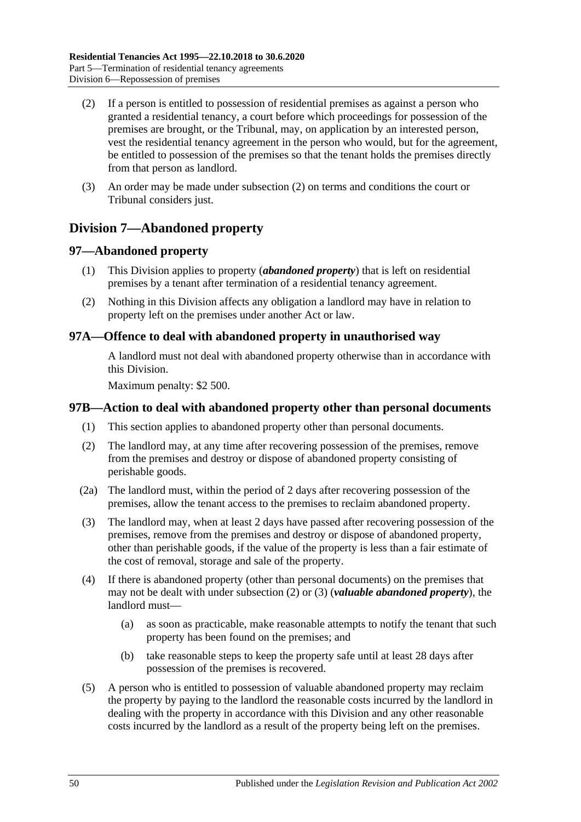- <span id="page-49-0"></span>(2) If a person is entitled to possession of residential premises as against a person who granted a residential tenancy, a court before which proceedings for possession of the premises are brought, or the Tribunal, may, on application by an interested person, vest the residential tenancy agreement in the person who would, but for the agreement, be entitled to possession of the premises so that the tenant holds the premises directly from that person as landlord.
- (3) An order may be made under [subsection](#page-49-0) (2) on terms and conditions the court or Tribunal considers just.

# **Division 7—Abandoned property**

## **97—Abandoned property**

- (1) This Division applies to property (*abandoned property*) that is left on residential premises by a tenant after termination of a residential tenancy agreement.
- (2) Nothing in this Division affects any obligation a landlord may have in relation to property left on the premises under another Act or law.

## **97A—Offence to deal with abandoned property in unauthorised way**

A landlord must not deal with abandoned property otherwise than in accordance with this Division.

Maximum penalty: \$2 500.

## **97B—Action to deal with abandoned property other than personal documents**

- (1) This section applies to abandoned property other than personal documents.
- <span id="page-49-1"></span>(2) The landlord may, at any time after recovering possession of the premises, remove from the premises and destroy or dispose of abandoned property consisting of perishable goods.
- (2a) The landlord must, within the period of 2 days after recovering possession of the premises, allow the tenant access to the premises to reclaim abandoned property.
- <span id="page-49-2"></span>(3) The landlord may, when at least 2 days have passed after recovering possession of the premises, remove from the premises and destroy or dispose of abandoned property, other than perishable goods, if the value of the property is less than a fair estimate of the cost of removal, storage and sale of the property.
- (4) If there is abandoned property (other than personal documents) on the premises that may not be dealt with under [subsection](#page-49-1) (2) or [\(3\)](#page-49-2) (*valuable abandoned property*), the landlord must—
	- (a) as soon as practicable, make reasonable attempts to notify the tenant that such property has been found on the premises; and
	- (b) take reasonable steps to keep the property safe until at least 28 days after possession of the premises is recovered.
- <span id="page-49-3"></span>(5) A person who is entitled to possession of valuable abandoned property may reclaim the property by paying to the landlord the reasonable costs incurred by the landlord in dealing with the property in accordance with this Division and any other reasonable costs incurred by the landlord as a result of the property being left on the premises.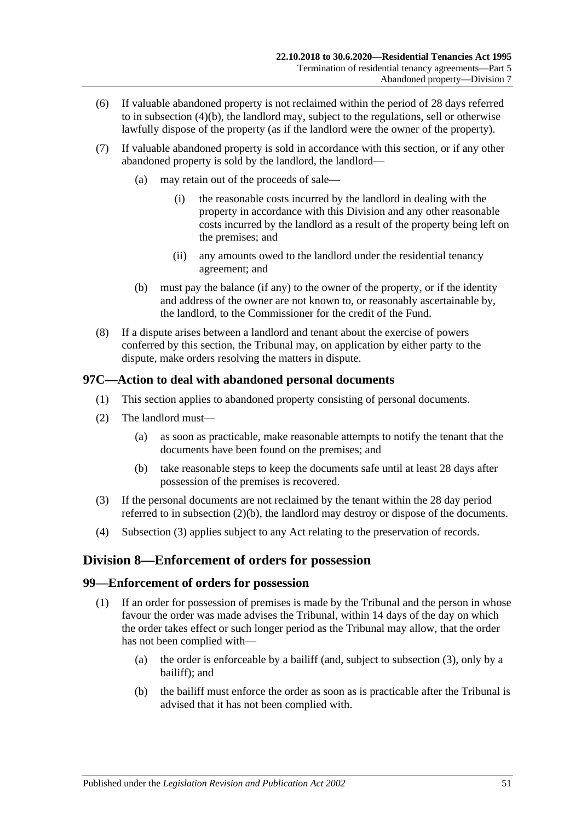- (6) If valuable abandoned property is not reclaimed within the period of 28 days referred to in [subsection](#page-49-3) (4)(b), the landlord may, subject to the regulations, sell or otherwise lawfully dispose of the property (as if the landlord were the owner of the property).
- (7) If valuable abandoned property is sold in accordance with this section, or if any other abandoned property is sold by the landlord, the landlord—
	- (a) may retain out of the proceeds of sale—
		- (i) the reasonable costs incurred by the landlord in dealing with the property in accordance with this Division and any other reasonable costs incurred by the landlord as a result of the property being left on the premises; and
		- (ii) any amounts owed to the landlord under the residential tenancy agreement; and
	- (b) must pay the balance (if any) to the owner of the property, or if the identity and address of the owner are not known to, or reasonably ascertainable by, the landlord, to the Commissioner for the credit of the Fund.
- (8) If a dispute arises between a landlord and tenant about the exercise of powers conferred by this section, the Tribunal may, on application by either party to the dispute, make orders resolving the matters in dispute.

## **97C—Action to deal with abandoned personal documents**

- (1) This section applies to abandoned property consisting of personal documents.
- (2) The landlord must—
	- (a) as soon as practicable, make reasonable attempts to notify the tenant that the documents have been found on the premises; and
	- (b) take reasonable steps to keep the documents safe until at least 28 days after possession of the premises is recovered.
- <span id="page-50-1"></span><span id="page-50-0"></span>(3) If the personal documents are not reclaimed by the tenant within the 28 day period referred to in [subsection](#page-50-0) (2)(b), the landlord may destroy or dispose of the documents.
- (4) [Subsection](#page-50-1) (3) applies subject to any Act relating to the preservation of records.

## **Division 8—Enforcement of orders for possession**

## **99—Enforcement of orders for possession**

- (1) If an order for possession of premises is made by the Tribunal and the person in whose favour the order was made advises the Tribunal, within 14 days of the day on which the order takes effect or such longer period as the Tribunal may allow, that the order has not been complied with—
	- (a) the order is enforceable by a bailiff (and, subject to [subsection](#page-51-0) (3), only by a bailiff); and
	- (b) the bailiff must enforce the order as soon as is practicable after the Tribunal is advised that it has not been complied with.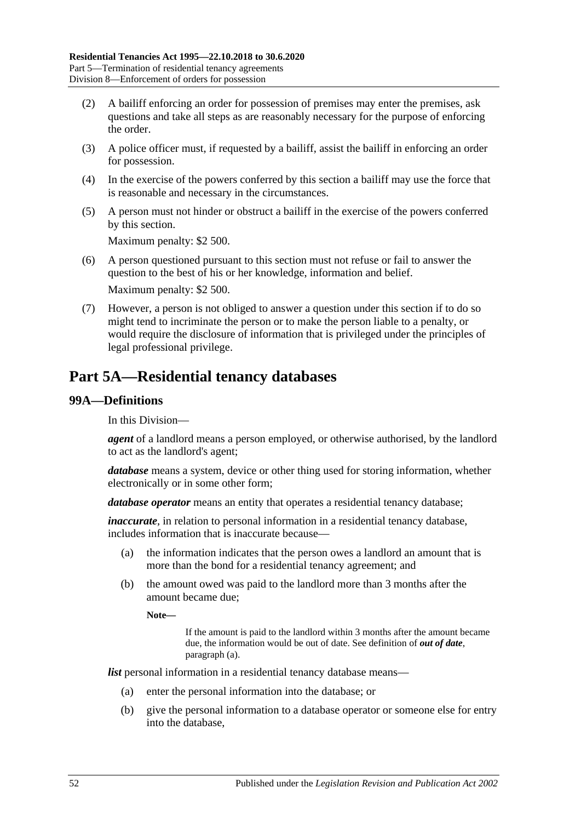- (2) A bailiff enforcing an order for possession of premises may enter the premises, ask questions and take all steps as are reasonably necessary for the purpose of enforcing the order.
- <span id="page-51-0"></span>(3) A police officer must, if requested by a bailiff, assist the bailiff in enforcing an order for possession.
- (4) In the exercise of the powers conferred by this section a bailiff may use the force that is reasonable and necessary in the circumstances.
- (5) A person must not hinder or obstruct a bailiff in the exercise of the powers conferred by this section.

Maximum penalty: \$2 500.

- (6) A person questioned pursuant to this section must not refuse or fail to answer the question to the best of his or her knowledge, information and belief. Maximum penalty: \$2 500.
- (7) However, a person is not obliged to answer a question under this section if to do so might tend to incriminate the person or to make the person liable to a penalty, or would require the disclosure of information that is privileged under the principles of legal professional privilege.

# **Part 5A—Residential tenancy databases**

### **99A—Definitions**

In this Division—

*agent* of a landlord means a person employed, or otherwise authorised, by the landlord to act as the landlord's agent;

*database* means a system, device or other thing used for storing information, whether electronically or in some other form;

*database operator* means an entity that operates a residential tenancy database;

*inaccurate*, in relation to personal information in a residential tenancy database, includes information that is inaccurate because—

- (a) the information indicates that the person owes a landlord an amount that is more than the bond for a residential tenancy agreement; and
- (b) the amount owed was paid to the landlord more than 3 months after the amount became due;

**Note—**

If the amount is paid to the landlord within 3 months after the amount became due, the information would be out of date. See definition of *out of date*, [paragraph](#page-52-0) (a).

*list* personal information in a residential tenancy database means—

- (a) enter the personal information into the database; or
- (b) give the personal information to a database operator or someone else for entry into the database,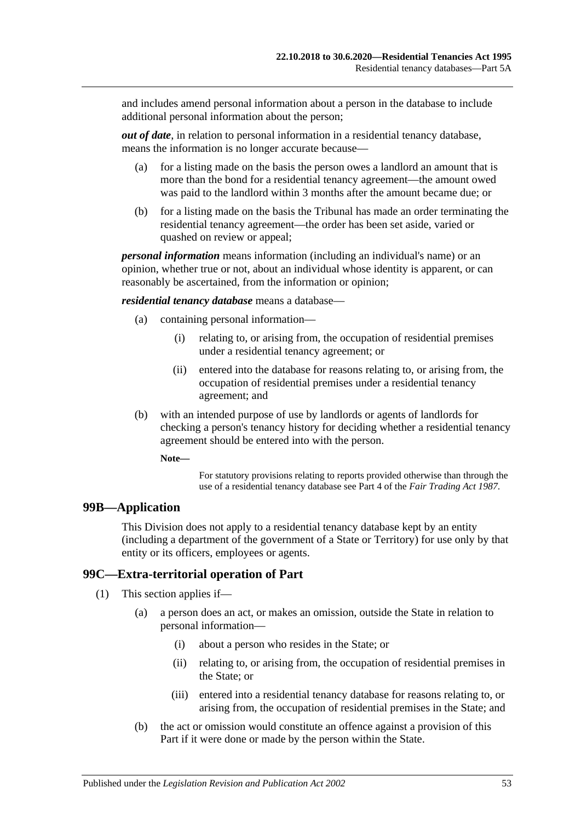and includes amend personal information about a person in the database to include additional personal information about the person;

<span id="page-52-0"></span>*out of date*, in relation to personal information in a residential tenancy database, means the information is no longer accurate because—

- (a) for a listing made on the basis the person owes a landlord an amount that is more than the bond for a residential tenancy agreement—the amount owed was paid to the landlord within 3 months after the amount became due; or
- (b) for a listing made on the basis the Tribunal has made an order terminating the residential tenancy agreement—the order has been set aside, varied or quashed on review or appeal;

*personal information* means information (including an individual's name) or an opinion, whether true or not, about an individual whose identity is apparent, or can reasonably be ascertained, from the information or opinion;

*residential tenancy database* means a database—

- (a) containing personal information—
	- (i) relating to, or arising from, the occupation of residential premises under a residential tenancy agreement; or
	- (ii) entered into the database for reasons relating to, or arising from, the occupation of residential premises under a residential tenancy agreement; and
- (b) with an intended purpose of use by landlords or agents of landlords for checking a person's tenancy history for deciding whether a residential tenancy agreement should be entered into with the person.

**Note—**

For statutory provisions relating to reports provided otherwise than through the use of a residential tenancy database see Part 4 of the *[Fair Trading Act](http://www.legislation.sa.gov.au/index.aspx?action=legref&type=act&legtitle=Fair%20Trading%20Act%201987) 1987*.

#### **99B—Application**

This Division does not apply to a residential tenancy database kept by an entity (including a department of the government of a State or Territory) for use only by that entity or its officers, employees or agents.

## **99C—Extra-territorial operation of Part**

(1) This section applies if—

- (a) a person does an act, or makes an omission, outside the State in relation to personal information—
	- (i) about a person who resides in the State; or
	- (ii) relating to, or arising from, the occupation of residential premises in the State; or
	- (iii) entered into a residential tenancy database for reasons relating to, or arising from, the occupation of residential premises in the State; and
- <span id="page-52-1"></span>(b) the act or omission would constitute an offence against a provision of this Part if it were done or made by the person within the State.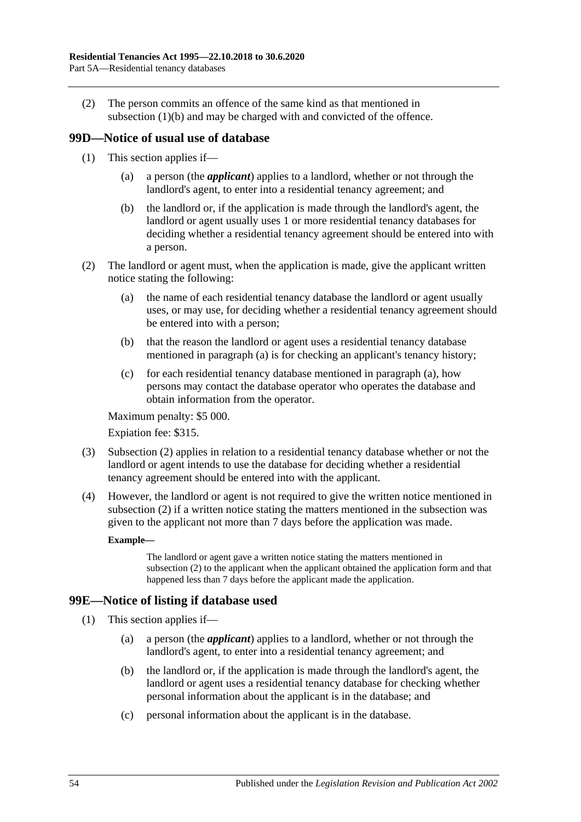(2) The person commits an offence of the same kind as that mentioned in [subsection](#page-52-1) (1)(b) and may be charged with and convicted of the offence.

## **99D—Notice of usual use of database**

- (1) This section applies if—
	- (a) a person (the *applicant*) applies to a landlord, whether or not through the landlord's agent, to enter into a residential tenancy agreement; and
	- (b) the landlord or, if the application is made through the landlord's agent, the landlord or agent usually uses 1 or more residential tenancy databases for deciding whether a residential tenancy agreement should be entered into with a person.
- <span id="page-53-1"></span><span id="page-53-0"></span>(2) The landlord or agent must, when the application is made, give the applicant written notice stating the following:
	- (a) the name of each residential tenancy database the landlord or agent usually uses, or may use, for deciding whether a residential tenancy agreement should be entered into with a person;
	- (b) that the reason the landlord or agent uses a residential tenancy database mentioned in [paragraph](#page-53-0) (a) is for checking an applicant's tenancy history;
	- (c) for each residential tenancy database mentioned in [paragraph](#page-53-0) (a), how persons may contact the database operator who operates the database and obtain information from the operator.

Maximum penalty: \$5 000.

Expiation fee: \$315.

- (3) [Subsection](#page-53-1) (2) applies in relation to a residential tenancy database whether or not the landlord or agent intends to use the database for deciding whether a residential tenancy agreement should be entered into with the applicant.
- (4) However, the landlord or agent is not required to give the written notice mentioned in [subsection](#page-53-1) (2) if a written notice stating the matters mentioned in the subsection was given to the applicant not more than 7 days before the application was made.

#### **Example—**

The landlord or agent gave a written notice stating the matters mentioned in [subsection](#page-53-1) (2) to the applicant when the applicant obtained the application form and that happened less than 7 days before the applicant made the application.

## **99E—Notice of listing if database used**

- (1) This section applies if—
	- (a) a person (the *applicant*) applies to a landlord, whether or not through the landlord's agent, to enter into a residential tenancy agreement; and
	- (b) the landlord or, if the application is made through the landlord's agent, the landlord or agent uses a residential tenancy database for checking whether personal information about the applicant is in the database; and
	- (c) personal information about the applicant is in the database.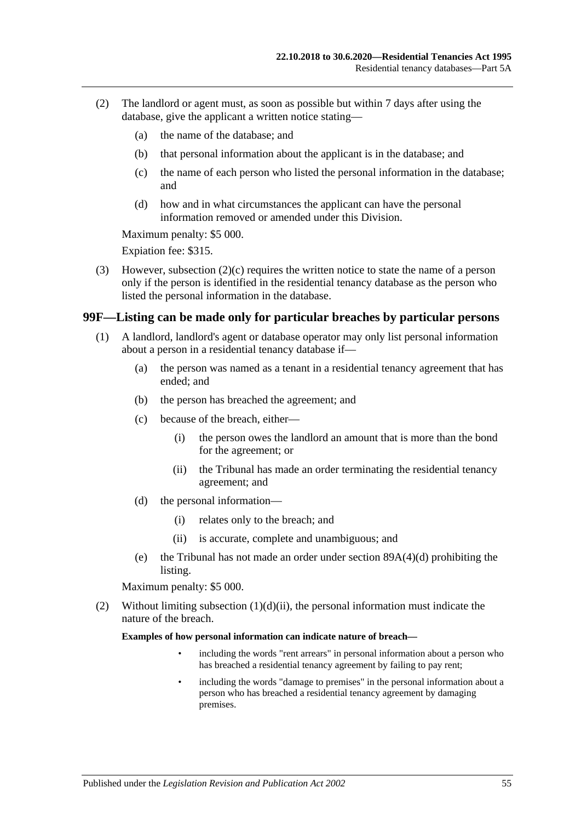- <span id="page-54-1"></span>(2) The landlord or agent must, as soon as possible but within 7 days after using the database, give the applicant a written notice stating—
	- (a) the name of the database; and
	- (b) that personal information about the applicant is in the database; and
	- (c) the name of each person who listed the personal information in the database; and
	- (d) how and in what circumstances the applicant can have the personal information removed or amended under this Division.

Maximum penalty: \$5 000.

Expiation fee: \$315.

(3) However, [subsection](#page-54-1) (2)(c) requires the written notice to state the name of a person only if the person is identified in the residential tenancy database as the person who listed the personal information in the database.

#### <span id="page-54-0"></span>**99F—Listing can be made only for particular breaches by particular persons**

- (1) A landlord, landlord's agent or database operator may only list personal information about a person in a residential tenancy database if—
	- (a) the person was named as a tenant in a residential tenancy agreement that has ended; and
	- (b) the person has breached the agreement; and
	- (c) because of the breach, either—
		- (i) the person owes the landlord an amount that is more than the bond for the agreement; or
		- (ii) the Tribunal has made an order terminating the residential tenancy agreement; and
	- (d) the personal information—
		- (i) relates only to the breach; and
		- (ii) is accurate, complete and unambiguous; and
	- (e) the Tribunal has not made an order under section [89A\(4\)\(d\)](#page-42-5) prohibiting the listing.

<span id="page-54-2"></span>Maximum penalty: \$5 000.

(2) Without limiting [subsection](#page-54-2)  $(1)(d)(ii)$ , the personal information must indicate the nature of the breach.

**Examples of how personal information can indicate nature of breach—**

- including the words "rent arrears" in personal information about a person who has breached a residential tenancy agreement by failing to pay rent;
- including the words "damage to premises" in the personal information about a person who has breached a residential tenancy agreement by damaging premises.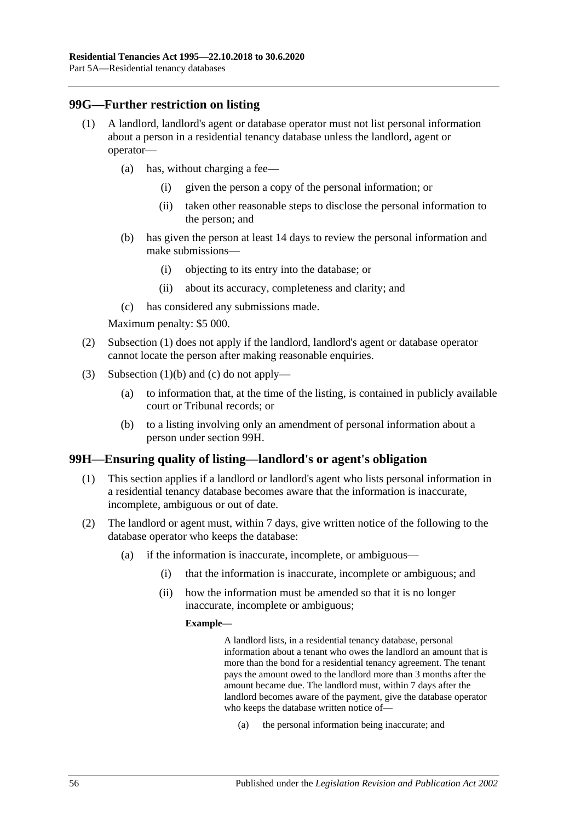## <span id="page-55-0"></span>**99G—Further restriction on listing**

- (1) A landlord, landlord's agent or database operator must not list personal information about a person in a residential tenancy database unless the landlord, agent or operator—
	- (a) has, without charging a fee—
		- (i) given the person a copy of the personal information; or
		- (ii) taken other reasonable steps to disclose the personal information to the person; and
	- (b) has given the person at least 14 days to review the personal information and make submissions—
		- (i) objecting to its entry into the database; or
		- (ii) about its accuracy, completeness and clarity; and
	- (c) has considered any submissions made.

<span id="page-55-1"></span>Maximum penalty: \$5 000.

- <span id="page-55-2"></span>(2) [Subsection](#page-55-0) (1) does not apply if the landlord, landlord's agent or database operator cannot locate the person after making reasonable enquiries.
- (3) [Subsection](#page-55-1) (1)(b) and [\(c\)](#page-55-2) do not apply—
	- (a) to information that, at the time of the listing, is contained in publicly available court or Tribunal records; or
	- (b) to a listing involving only an amendment of personal information about a person under [section](#page-55-3) 99H.

## <span id="page-55-3"></span>**99H—Ensuring quality of listing—landlord's or agent's obligation**

- (1) This section applies if a landlord or landlord's agent who lists personal information in a residential tenancy database becomes aware that the information is inaccurate, incomplete, ambiguous or out of date.
- <span id="page-55-4"></span>(2) The landlord or agent must, within 7 days, give written notice of the following to the database operator who keeps the database:
	- (a) if the information is inaccurate, incomplete, or ambiguous—
		- (i) that the information is inaccurate, incomplete or ambiguous; and
		- (ii) how the information must be amended so that it is no longer inaccurate, incomplete or ambiguous;

#### **Example—**

A landlord lists, in a residential tenancy database, personal information about a tenant who owes the landlord an amount that is more than the bond for a residential tenancy agreement. The tenant pays the amount owed to the landlord more than 3 months after the amount became due. The landlord must, within 7 days after the landlord becomes aware of the payment, give the database operator who keeps the database written notice of—

(a) the personal information being inaccurate; and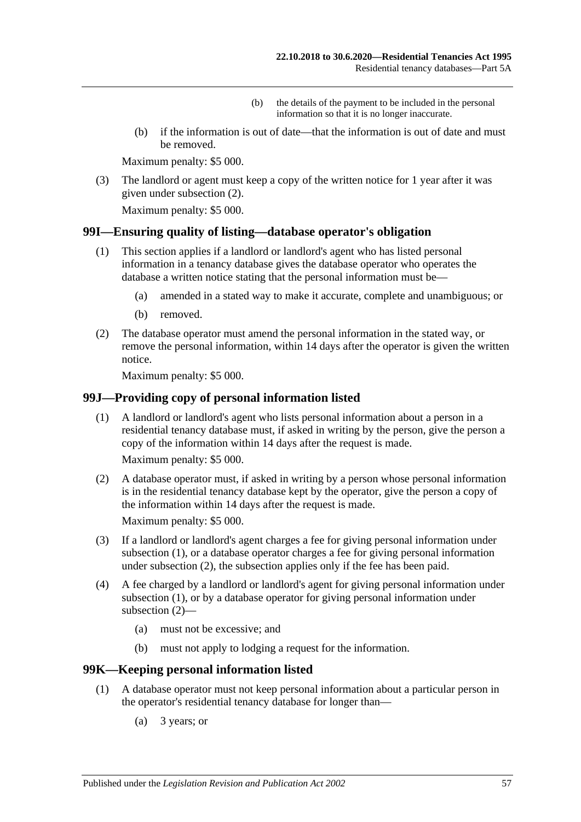- (b) the details of the payment to be included in the personal information so that it is no longer inaccurate.
- (b) if the information is out of date—that the information is out of date and must be removed.

Maximum penalty: \$5 000.

(3) The landlord or agent must keep a copy of the written notice for 1 year after it was given under [subsection](#page-55-4) (2).

Maximum penalty: \$5 000.

#### **99I—Ensuring quality of listing—database operator's obligation**

- (1) This section applies if a landlord or landlord's agent who has listed personal information in a tenancy database gives the database operator who operates the database a written notice stating that the personal information must be—
	- (a) amended in a stated way to make it accurate, complete and unambiguous; or
	- (b) removed.
- (2) The database operator must amend the personal information in the stated way, or remove the personal information, within 14 days after the operator is given the written notice.

Maximum penalty: \$5 000.

#### <span id="page-56-0"></span>**99J—Providing copy of personal information listed**

(1) A landlord or landlord's agent who lists personal information about a person in a residential tenancy database must, if asked in writing by the person, give the person a copy of the information within 14 days after the request is made.

Maximum penalty: \$5 000.

<span id="page-56-1"></span>(2) A database operator must, if asked in writing by a person whose personal information is in the residential tenancy database kept by the operator, give the person a copy of the information within 14 days after the request is made.

Maximum penalty: \$5 000.

- (3) If a landlord or landlord's agent charges a fee for giving personal information under [subsection](#page-56-0) (1), or a database operator charges a fee for giving personal information under [subsection](#page-56-1) (2), the subsection applies only if the fee has been paid.
- (4) A fee charged by a landlord or landlord's agent for giving personal information under [subsection](#page-56-0) (1), or by a database operator for giving personal information under [subsection](#page-56-1) (2)—
	- (a) must not be excessive; and
	- (b) must not apply to lodging a request for the information.

#### <span id="page-56-3"></span>**99K—Keeping personal information listed**

- <span id="page-56-2"></span>(1) A database operator must not keep personal information about a particular person in the operator's residential tenancy database for longer than—
	- (a) 3 years; or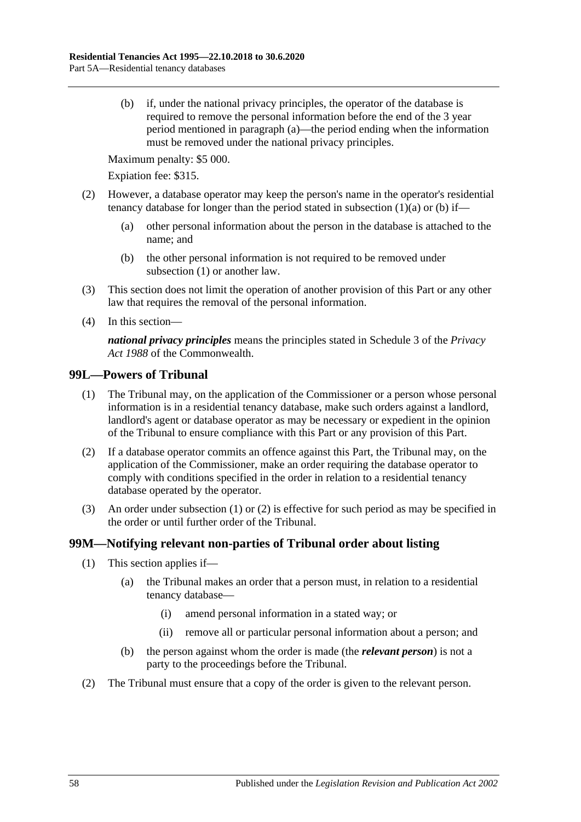<span id="page-57-0"></span>(b) if, under the national privacy principles, the operator of the database is required to remove the personal information before the end of the 3 year period mentioned in [paragraph](#page-56-2) (a)—the period ending when the information must be removed under the national privacy principles.

Maximum penalty: \$5 000.

Expiation fee: \$315.

- (2) However, a database operator may keep the person's name in the operator's residential tenancy database for longer than the period stated in [subsection](#page-56-2)  $(1)(a)$  or  $(b)$  if—
	- (a) other personal information about the person in the database is attached to the name; and
	- (b) the other personal information is not required to be removed under [subsection](#page-56-3) (1) or another law.
- (3) This section does not limit the operation of another provision of this Part or any other law that requires the removal of the personal information.
- (4) In this section—

*national privacy principles* means the principles stated in Schedule 3 of the *Privacy Act 1988* of the Commonwealth.

#### <span id="page-57-1"></span>**99L—Powers of Tribunal**

- (1) The Tribunal may, on the application of the Commissioner or a person whose personal information is in a residential tenancy database, make such orders against a landlord, landlord's agent or database operator as may be necessary or expedient in the opinion of the Tribunal to ensure compliance with this Part or any provision of this Part.
- <span id="page-57-2"></span>(2) If a database operator commits an offence against this Part, the Tribunal may, on the application of the Commissioner, make an order requiring the database operator to comply with conditions specified in the order in relation to a residential tenancy database operated by the operator.
- (3) An order under [subsection](#page-57-1) (1) or [\(2\)](#page-57-2) is effective for such period as may be specified in the order or until further order of the Tribunal.

### **99M—Notifying relevant non-parties of Tribunal order about listing**

- (1) This section applies if—
	- (a) the Tribunal makes an order that a person must, in relation to a residential tenancy database—
		- (i) amend personal information in a stated way; or
		- (ii) remove all or particular personal information about a person; and
	- (b) the person against whom the order is made (the *relevant person*) is not a party to the proceedings before the Tribunal.
- (2) The Tribunal must ensure that a copy of the order is given to the relevant person.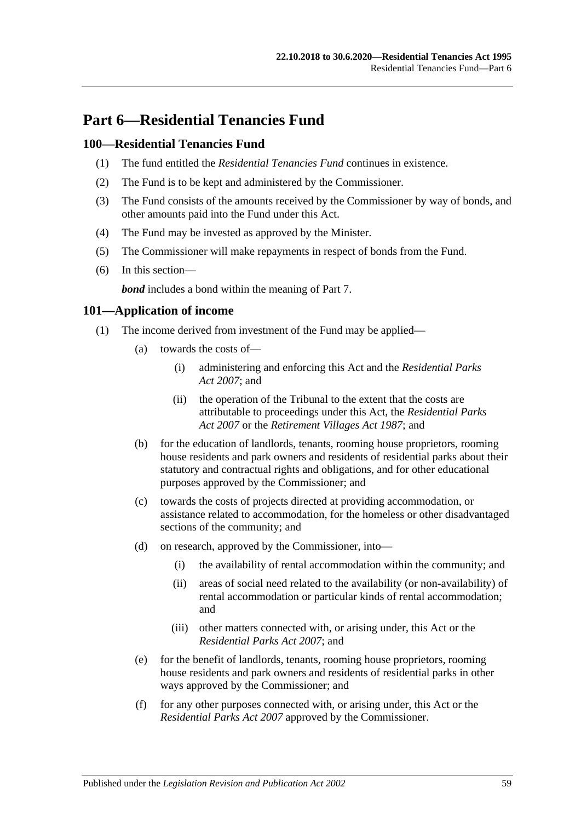# **Part 6—Residential Tenancies Fund**

## **100—Residential Tenancies Fund**

- (1) The fund entitled the *Residential Tenancies Fund* continues in existence.
- (2) The Fund is to be kept and administered by the Commissioner.
- (3) The Fund consists of the amounts received by the Commissioner by way of bonds, and other amounts paid into the Fund under this Act.
- (4) The Fund may be invested as approved by the Minister.
- (5) The Commissioner will make repayments in respect of bonds from the Fund.
- (6) In this section—

*bond* includes a bond within the meaning of [Part 7.](#page-59-0)

### **101—Application of income**

- (1) The income derived from investment of the Fund may be applied—
	- (a) towards the costs of—
		- (i) administering and enforcing this Act and the *[Residential Parks](http://www.legislation.sa.gov.au/index.aspx?action=legref&type=act&legtitle=Residential%20Parks%20Act%202007)  Act [2007](http://www.legislation.sa.gov.au/index.aspx?action=legref&type=act&legtitle=Residential%20Parks%20Act%202007)*; and
		- (ii) the operation of the Tribunal to the extent that the costs are attributable to proceedings under this Act, the *[Residential Parks](http://www.legislation.sa.gov.au/index.aspx?action=legref&type=act&legtitle=Residential%20Parks%20Act%202007)  Act [2007](http://www.legislation.sa.gov.au/index.aspx?action=legref&type=act&legtitle=Residential%20Parks%20Act%202007)* or the *[Retirement Villages Act](http://www.legislation.sa.gov.au/index.aspx?action=legref&type=act&legtitle=Retirement%20Villages%20Act%201987) 1987*; and
	- (b) for the education of landlords, tenants, rooming house proprietors, rooming house residents and park owners and residents of residential parks about their statutory and contractual rights and obligations, and for other educational purposes approved by the Commissioner; and
	- (c) towards the costs of projects directed at providing accommodation, or assistance related to accommodation, for the homeless or other disadvantaged sections of the community; and
	- (d) on research, approved by the Commissioner, into—
		- (i) the availability of rental accommodation within the community; and
		- (ii) areas of social need related to the availability (or non-availability) of rental accommodation or particular kinds of rental accommodation; and
		- (iii) other matters connected with, or arising under, this Act or the *[Residential Parks Act](http://www.legislation.sa.gov.au/index.aspx?action=legref&type=act&legtitle=Residential%20Parks%20Act%202007) 2007*; and
	- (e) for the benefit of landlords, tenants, rooming house proprietors, rooming house residents and park owners and residents of residential parks in other ways approved by the Commissioner; and
	- (f) for any other purposes connected with, or arising under, this Act or the *[Residential Parks Act](http://www.legislation.sa.gov.au/index.aspx?action=legref&type=act&legtitle=Residential%20Parks%20Act%202007) 2007* approved by the Commissioner.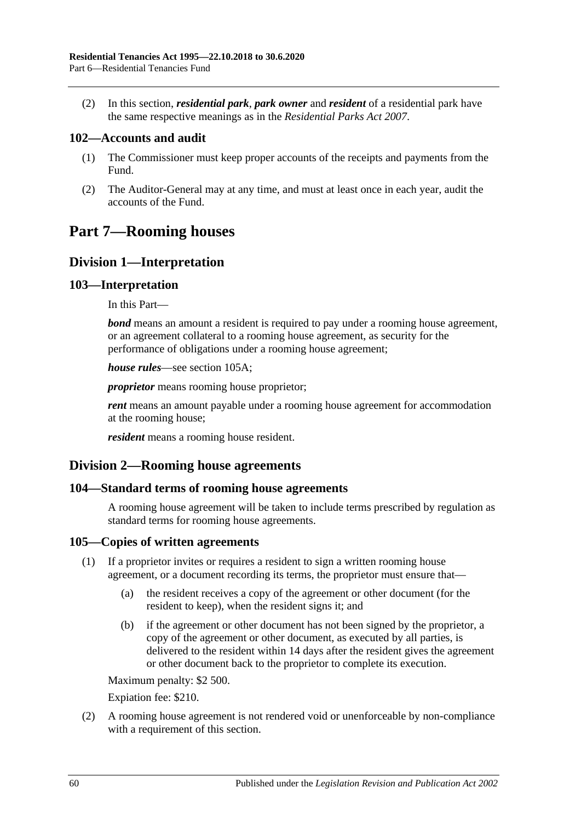(2) In this section, *residential park*, *park owner* and *resident* of a residential park have the same respective meanings as in the *[Residential Parks Act](http://www.legislation.sa.gov.au/index.aspx?action=legref&type=act&legtitle=Residential%20Parks%20Act%202007) 2007*.

## **102—Accounts and audit**

- (1) The Commissioner must keep proper accounts of the receipts and payments from the Fund.
- (2) The Auditor-General may at any time, and must at least once in each year, audit the accounts of the Fund.

# <span id="page-59-0"></span>**Part 7—Rooming houses**

## **Division 1—Interpretation**

## **103—Interpretation**

In this Part—

*bond* means an amount a resident is required to pay under a rooming house agreement, or an agreement collateral to a rooming house agreement, as security for the performance of obligations under a rooming house agreement;

*house rules*—see [section](#page-60-0) 105A;

*proprietor* means rooming house proprietor;

*rent* means an amount payable under a rooming house agreement for accommodation at the rooming house;

*resident* means a rooming house resident.

## **Division 2—Rooming house agreements**

## **104—Standard terms of rooming house agreements**

A rooming house agreement will be taken to include terms prescribed by regulation as standard terms for rooming house agreements.

## **105—Copies of written agreements**

- (1) If a proprietor invites or requires a resident to sign a written rooming house agreement, or a document recording its terms, the proprietor must ensure that—
	- (a) the resident receives a copy of the agreement or other document (for the resident to keep), when the resident signs it; and
	- (b) if the agreement or other document has not been signed by the proprietor, a copy of the agreement or other document, as executed by all parties, is delivered to the resident within 14 days after the resident gives the agreement or other document back to the proprietor to complete its execution.

Maximum penalty: \$2 500.

Expiation fee: \$210.

(2) A rooming house agreement is not rendered void or unenforceable by non-compliance with a requirement of this section.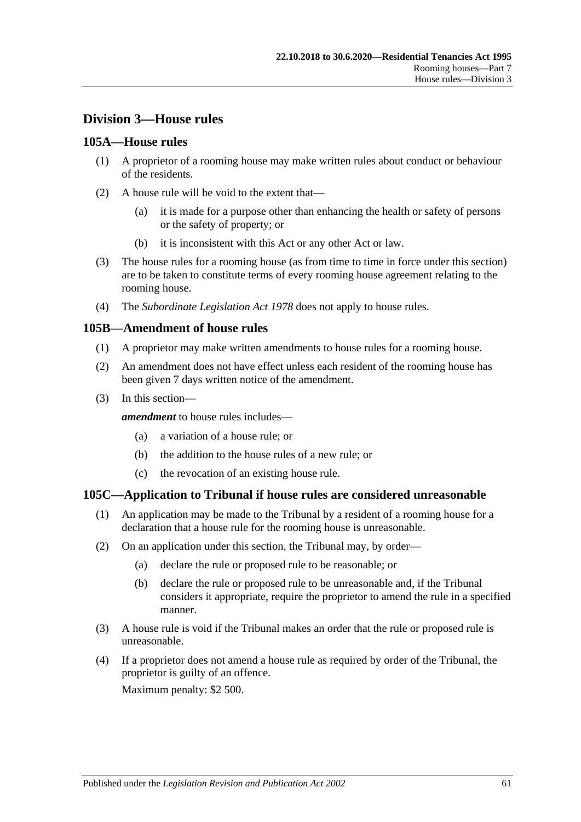## **Division 3—House rules**

### <span id="page-60-0"></span>**105A—House rules**

- (1) A proprietor of a rooming house may make written rules about conduct or behaviour of the residents.
- (2) A house rule will be void to the extent that—
	- (a) it is made for a purpose other than enhancing the health or safety of persons or the safety of property; or
	- (b) it is inconsistent with this Act or any other Act or law.
- (3) The house rules for a rooming house (as from time to time in force under this section) are to be taken to constitute terms of every rooming house agreement relating to the rooming house.
- (4) The *[Subordinate Legislation Act](http://www.legislation.sa.gov.au/index.aspx?action=legref&type=act&legtitle=Subordinate%20Legislation%20Act%201978) 1978* does not apply to house rules.

#### **105B—Amendment of house rules**

- (1) A proprietor may make written amendments to house rules for a rooming house.
- (2) An amendment does not have effect unless each resident of the rooming house has been given 7 days written notice of the amendment.
- (3) In this section—

*amendment* to house rules includes—

- (a) a variation of a house rule; or
- (b) the addition to the house rules of a new rule; or
- (c) the revocation of an existing house rule.

#### **105C—Application to Tribunal if house rules are considered unreasonable**

- (1) An application may be made to the Tribunal by a resident of a rooming house for a declaration that a house rule for the rooming house is unreasonable.
- (2) On an application under this section, the Tribunal may, by order—
	- (a) declare the rule or proposed rule to be reasonable; or
	- (b) declare the rule or proposed rule to be unreasonable and, if the Tribunal considers it appropriate, require the proprietor to amend the rule in a specified manner.
- (3) A house rule is void if the Tribunal makes an order that the rule or proposed rule is unreasonable.
- (4) If a proprietor does not amend a house rule as required by order of the Tribunal, the proprietor is guilty of an offence.

Maximum penalty: \$2 500.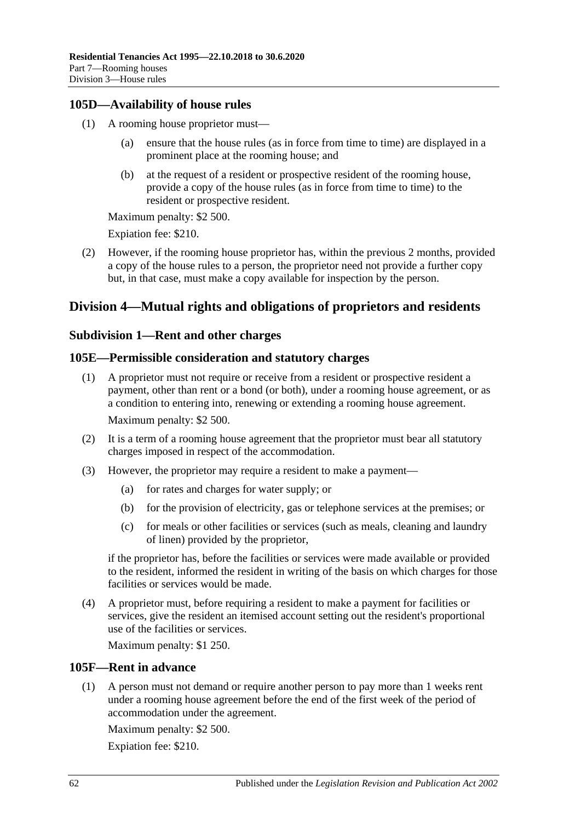## **105D—Availability of house rules**

- (1) A rooming house proprietor must
	- ensure that the house rules (as in force from time to time) are displayed in a prominent place at the rooming house; and
	- (b) at the request of a resident or prospective resident of the rooming house, provide a copy of the house rules (as in force from time to time) to the resident or prospective resident.

Maximum penalty: \$2 500.

Expiation fee: \$210.

(2) However, if the rooming house proprietor has, within the previous 2 months, provided a copy of the house rules to a person, the proprietor need not provide a further copy but, in that case, must make a copy available for inspection by the person.

## **Division 4—Mutual rights and obligations of proprietors and residents**

## **Subdivision 1—Rent and other charges**

## **105E—Permissible consideration and statutory charges**

- (1) A proprietor must not require or receive from a resident or prospective resident a payment, other than rent or a bond (or both), under a rooming house agreement, or as a condition to entering into, renewing or extending a rooming house agreement. Maximum penalty: \$2 500.
- (2) It is a term of a rooming house agreement that the proprietor must bear all statutory charges imposed in respect of the accommodation.
- (3) However, the proprietor may require a resident to make a payment—
	- (a) for rates and charges for water supply; or
	- (b) for the provision of electricity, gas or telephone services at the premises; or
	- (c) for meals or other facilities or services (such as meals, cleaning and laundry of linen) provided by the proprietor,

if the proprietor has, before the facilities or services were made available or provided to the resident, informed the resident in writing of the basis on which charges for those facilities or services would be made.

(4) A proprietor must, before requiring a resident to make a payment for facilities or services, give the resident an itemised account setting out the resident's proportional use of the facilities or services.

Maximum penalty: \$1 250.

## **105F—Rent in advance**

(1) A person must not demand or require another person to pay more than 1 weeks rent under a rooming house agreement before the end of the first week of the period of accommodation under the agreement.

Maximum penalty: \$2 500.

Expiation fee: \$210.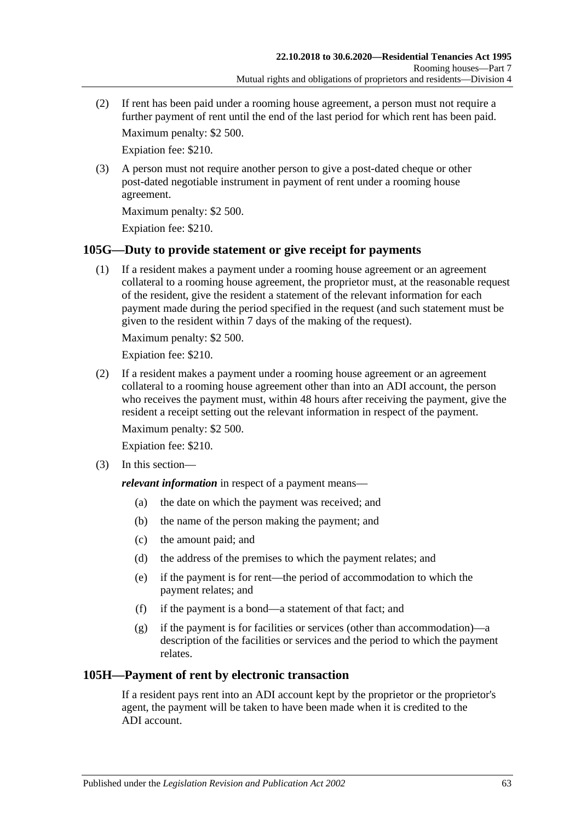(2) If rent has been paid under a rooming house agreement, a person must not require a further payment of rent until the end of the last period for which rent has been paid.

Maximum penalty: \$2 500.

Expiation fee: \$210.

(3) A person must not require another person to give a post-dated cheque or other post-dated negotiable instrument in payment of rent under a rooming house agreement.

Maximum penalty: \$2 500.

Expiation fee: \$210.

## **105G—Duty to provide statement or give receipt for payments**

(1) If a resident makes a payment under a rooming house agreement or an agreement collateral to a rooming house agreement, the proprietor must, at the reasonable request of the resident, give the resident a statement of the relevant information for each payment made during the period specified in the request (and such statement must be given to the resident within 7 days of the making of the request).

Maximum penalty: \$2 500.

Expiation fee: \$210.

(2) If a resident makes a payment under a rooming house agreement or an agreement collateral to a rooming house agreement other than into an ADI account, the person who receives the payment must, within 48 hours after receiving the payment, give the resident a receipt setting out the relevant information in respect of the payment.

Maximum penalty: \$2 500.

Expiation fee: \$210.

(3) In this section—

*relevant information* in respect of a payment means—

- (a) the date on which the payment was received; and
- (b) the name of the person making the payment; and
- (c) the amount paid; and
- (d) the address of the premises to which the payment relates; and
- (e) if the payment is for rent—the period of accommodation to which the payment relates; and
- (f) if the payment is a bond—a statement of that fact; and
- (g) if the payment is for facilities or services (other than accommodation)—a description of the facilities or services and the period to which the payment relates.

## **105H—Payment of rent by electronic transaction**

If a resident pays rent into an ADI account kept by the proprietor or the proprietor's agent, the payment will be taken to have been made when it is credited to the ADI account.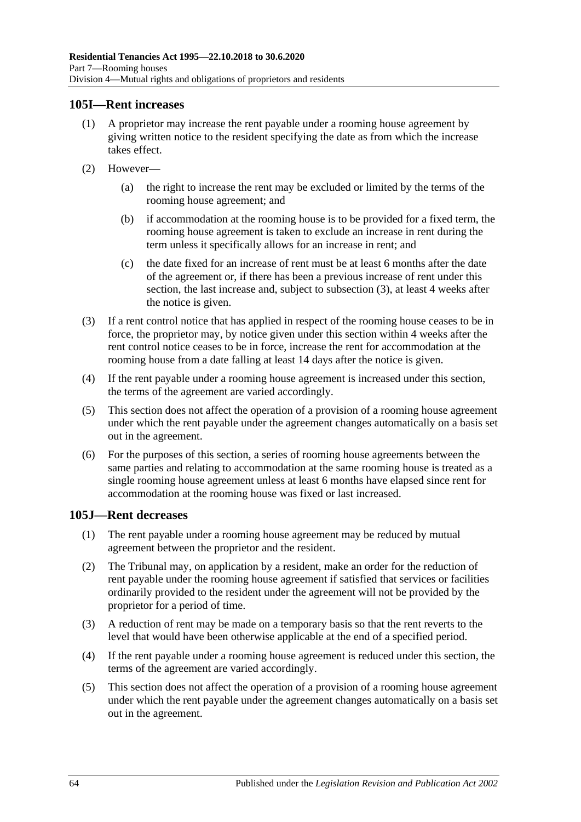## **105I—Rent increases**

- (1) A proprietor may increase the rent payable under a rooming house agreement by giving written notice to the resident specifying the date as from which the increase takes effect.
- (2) However—
	- (a) the right to increase the rent may be excluded or limited by the terms of the rooming house agreement; and
	- (b) if accommodation at the rooming house is to be provided for a fixed term, the rooming house agreement is taken to exclude an increase in rent during the term unless it specifically allows for an increase in rent; and
	- (c) the date fixed for an increase of rent must be at least 6 months after the date of the agreement or, if there has been a previous increase of rent under this section, the last increase and, subject to [subsection](#page-63-0) (3), at least 4 weeks after the notice is given.
- <span id="page-63-0"></span>(3) If a rent control notice that has applied in respect of the rooming house ceases to be in force, the proprietor may, by notice given under this section within 4 weeks after the rent control notice ceases to be in force, increase the rent for accommodation at the rooming house from a date falling at least 14 days after the notice is given.
- (4) If the rent payable under a rooming house agreement is increased under this section, the terms of the agreement are varied accordingly.
- (5) This section does not affect the operation of a provision of a rooming house agreement under which the rent payable under the agreement changes automatically on a basis set out in the agreement.
- (6) For the purposes of this section, a series of rooming house agreements between the same parties and relating to accommodation at the same rooming house is treated as a single rooming house agreement unless at least 6 months have elapsed since rent for accommodation at the rooming house was fixed or last increased.

## **105J—Rent decreases**

- (1) The rent payable under a rooming house agreement may be reduced by mutual agreement between the proprietor and the resident.
- (2) The Tribunal may, on application by a resident, make an order for the reduction of rent payable under the rooming house agreement if satisfied that services or facilities ordinarily provided to the resident under the agreement will not be provided by the proprietor for a period of time.
- (3) A reduction of rent may be made on a temporary basis so that the rent reverts to the level that would have been otherwise applicable at the end of a specified period.
- (4) If the rent payable under a rooming house agreement is reduced under this section, the terms of the agreement are varied accordingly.
- (5) This section does not affect the operation of a provision of a rooming house agreement under which the rent payable under the agreement changes automatically on a basis set out in the agreement.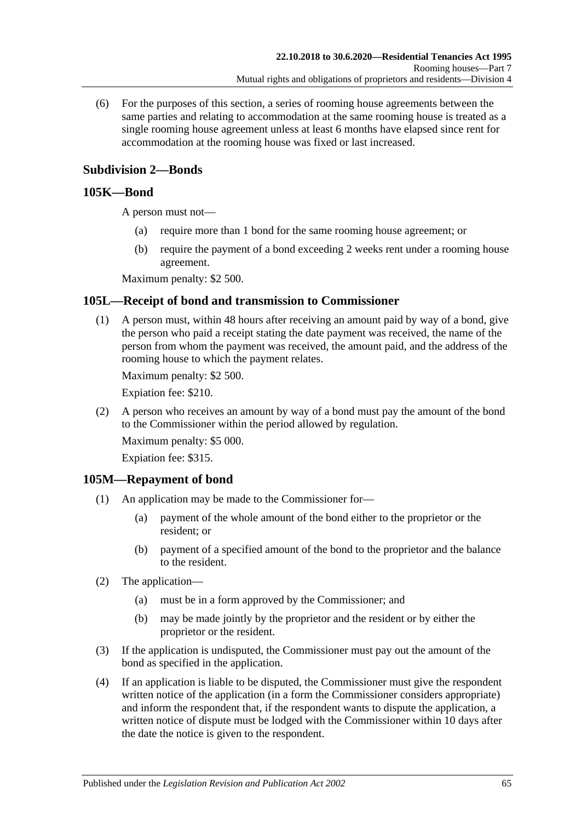(6) For the purposes of this section, a series of rooming house agreements between the same parties and relating to accommodation at the same rooming house is treated as a single rooming house agreement unless at least 6 months have elapsed since rent for accommodation at the rooming house was fixed or last increased.

## **Subdivision 2—Bonds**

## <span id="page-64-1"></span>**105K—Bond**

A person must not—

- (a) require more than 1 bond for the same rooming house agreement; or
- (b) require the payment of a bond exceeding 2 weeks rent under a rooming house agreement.

Maximum penalty: \$2 500.

## **105L—Receipt of bond and transmission to Commissioner**

(1) A person must, within 48 hours after receiving an amount paid by way of a bond, give the person who paid a receipt stating the date payment was received, the name of the person from whom the payment was received, the amount paid, and the address of the rooming house to which the payment relates.

Maximum penalty: \$2 500.

Expiation fee: \$210.

(2) A person who receives an amount by way of a bond must pay the amount of the bond to the Commissioner within the period allowed by regulation.

Maximum penalty: \$5 000.

Expiation fee: \$315.

#### **105M—Repayment of bond**

- (1) An application may be made to the Commissioner for—
	- (a) payment of the whole amount of the bond either to the proprietor or the resident; or
	- (b) payment of a specified amount of the bond to the proprietor and the balance to the resident.
- (2) The application—
	- (a) must be in a form approved by the Commissioner; and
	- (b) may be made jointly by the proprietor and the resident or by either the proprietor or the resident.
- (3) If the application is undisputed, the Commissioner must pay out the amount of the bond as specified in the application.
- <span id="page-64-0"></span>(4) If an application is liable to be disputed, the Commissioner must give the respondent written notice of the application (in a form the Commissioner considers appropriate) and inform the respondent that, if the respondent wants to dispute the application, a written notice of dispute must be lodged with the Commissioner within 10 days after the date the notice is given to the respondent.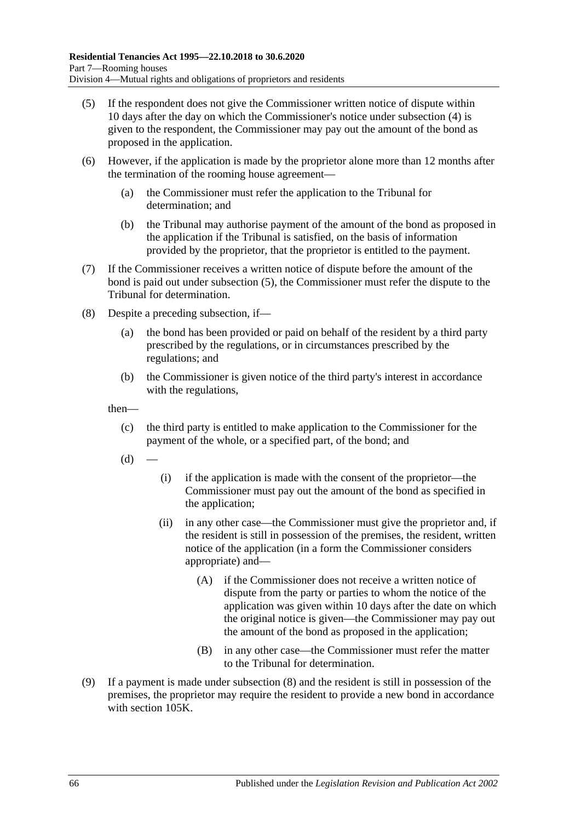- <span id="page-65-0"></span>(5) If the respondent does not give the Commissioner written notice of dispute within 10 days after the day on which the Commissioner's notice under [subsection](#page-64-0) (4) is given to the respondent, the Commissioner may pay out the amount of the bond as proposed in the application.
- (6) However, if the application is made by the proprietor alone more than 12 months after the termination of the rooming house agreement—
	- (a) the Commissioner must refer the application to the Tribunal for determination; and
	- (b) the Tribunal may authorise payment of the amount of the bond as proposed in the application if the Tribunal is satisfied, on the basis of information provided by the proprietor, that the proprietor is entitled to the payment.
- (7) If the Commissioner receives a written notice of dispute before the amount of the bond is paid out under [subsection](#page-65-0) (5), the Commissioner must refer the dispute to the Tribunal for determination.
- <span id="page-65-1"></span>(8) Despite a preceding subsection, if—
	- (a) the bond has been provided or paid on behalf of the resident by a third party prescribed by the regulations, or in circumstances prescribed by the regulations; and
	- (b) the Commissioner is given notice of the third party's interest in accordance with the regulations,

then—

- (c) the third party is entitled to make application to the Commissioner for the payment of the whole, or a specified part, of the bond; and
- $(d)$
- (i) if the application is made with the consent of the proprietor—the Commissioner must pay out the amount of the bond as specified in the application;
- (ii) in any other case—the Commissioner must give the proprietor and, if the resident is still in possession of the premises, the resident, written notice of the application (in a form the Commissioner considers appropriate) and—
	- (A) if the Commissioner does not receive a written notice of dispute from the party or parties to whom the notice of the application was given within 10 days after the date on which the original notice is given—the Commissioner may pay out the amount of the bond as proposed in the application;
	- (B) in any other case—the Commissioner must refer the matter to the Tribunal for determination.
- (9) If a payment is made under [subsection](#page-65-1) (8) and the resident is still in possession of the premises, the proprietor may require the resident to provide a new bond in accordance with [section](#page-64-1) 105K.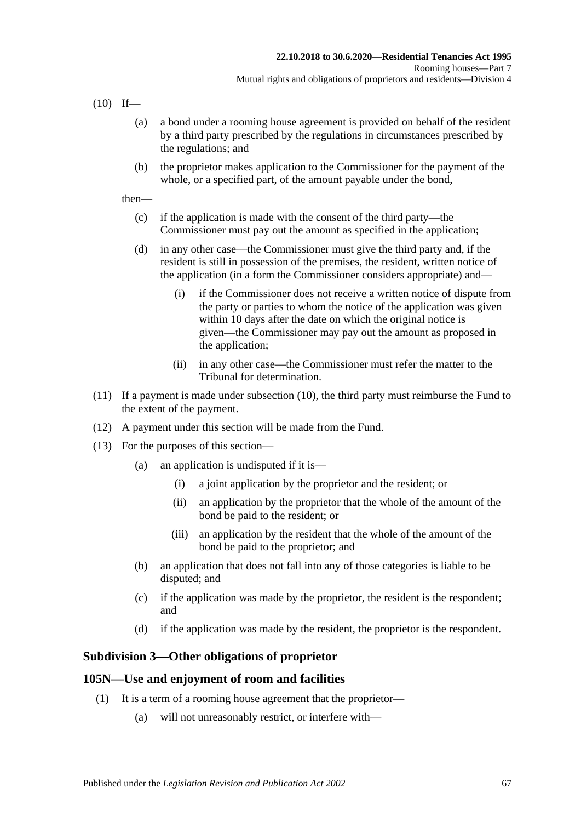<span id="page-66-0"></span> $(10)$  If—

- (a) a bond under a rooming house agreement is provided on behalf of the resident by a third party prescribed by the regulations in circumstances prescribed by the regulations; and
- (b) the proprietor makes application to the Commissioner for the payment of the whole, or a specified part, of the amount payable under the bond,

then—

- (c) if the application is made with the consent of the third party—the Commissioner must pay out the amount as specified in the application;
- (d) in any other case—the Commissioner must give the third party and, if the resident is still in possession of the premises, the resident, written notice of the application (in a form the Commissioner considers appropriate) and—
	- (i) if the Commissioner does not receive a written notice of dispute from the party or parties to whom the notice of the application was given within 10 days after the date on which the original notice is given—the Commissioner may pay out the amount as proposed in the application;
	- (ii) in any other case—the Commissioner must refer the matter to the Tribunal for determination.
- (11) If a payment is made under [subsection](#page-66-0) (10), the third party must reimburse the Fund to the extent of the payment.
- (12) A payment under this section will be made from the Fund.
- (13) For the purposes of this section—
	- (a) an application is undisputed if it is—
		- (i) a joint application by the proprietor and the resident; or
		- (ii) an application by the proprietor that the whole of the amount of the bond be paid to the resident; or
		- (iii) an application by the resident that the whole of the amount of the bond be paid to the proprietor; and
	- (b) an application that does not fall into any of those categories is liable to be disputed; and
	- (c) if the application was made by the proprietor, the resident is the respondent; and
	- (d) if the application was made by the resident, the proprietor is the respondent.

## **Subdivision 3—Other obligations of proprietor**

## <span id="page-66-1"></span>**105N—Use and enjoyment of room and facilities**

- (1) It is a term of a rooming house agreement that the proprietor—
	- (a) will not unreasonably restrict, or interfere with—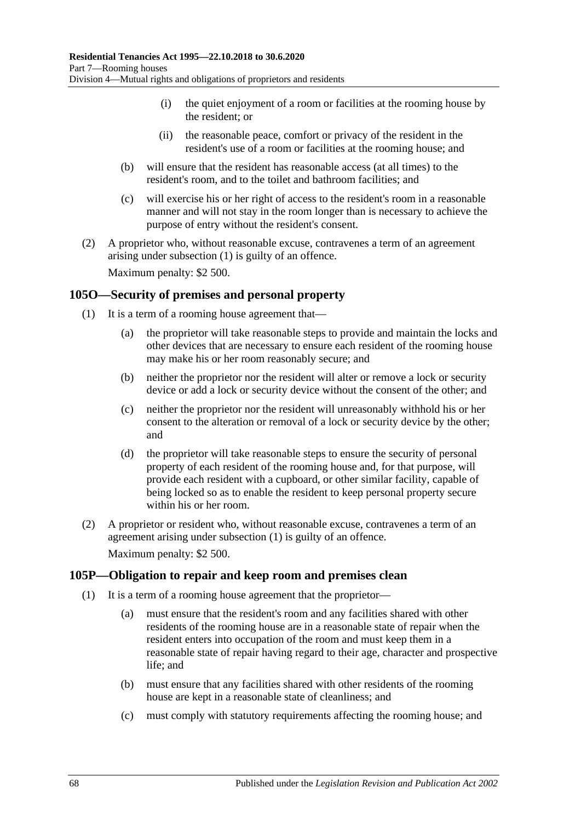- (i) the quiet enjoyment of a room or facilities at the rooming house by the resident; or
- (ii) the reasonable peace, comfort or privacy of the resident in the resident's use of a room or facilities at the rooming house; and
- (b) will ensure that the resident has reasonable access (at all times) to the resident's room, and to the toilet and bathroom facilities; and
- (c) will exercise his or her right of access to the resident's room in a reasonable manner and will not stay in the room longer than is necessary to achieve the purpose of entry without the resident's consent.
- (2) A proprietor who, without reasonable excuse, contravenes a term of an agreement arising under [subsection](#page-66-1) (1) is guilty of an offence. Maximum penalty: \$2 500.

<span id="page-67-0"></span>**105O—Security of premises and personal property**

- (1) It is a term of a rooming house agreement that—
	- (a) the proprietor will take reasonable steps to provide and maintain the locks and other devices that are necessary to ensure each resident of the rooming house may make his or her room reasonably secure; and
	- (b) neither the proprietor nor the resident will alter or remove a lock or security device or add a lock or security device without the consent of the other; and
	- (c) neither the proprietor nor the resident will unreasonably withhold his or her consent to the alteration or removal of a lock or security device by the other; and
	- (d) the proprietor will take reasonable steps to ensure the security of personal property of each resident of the rooming house and, for that purpose, will provide each resident with a cupboard, or other similar facility, capable of being locked so as to enable the resident to keep personal property secure within his or her room.
- (2) A proprietor or resident who, without reasonable excuse, contravenes a term of an agreement arising under [subsection](#page-67-0) (1) is guilty of an offence. Maximum penalty: \$2 500.

## **105P—Obligation to repair and keep room and premises clean**

- (1) It is a term of a rooming house agreement that the proprietor—
	- (a) must ensure that the resident's room and any facilities shared with other residents of the rooming house are in a reasonable state of repair when the resident enters into occupation of the room and must keep them in a reasonable state of repair having regard to their age, character and prospective life; and
	- (b) must ensure that any facilities shared with other residents of the rooming house are kept in a reasonable state of cleanliness; and
	- (c) must comply with statutory requirements affecting the rooming house; and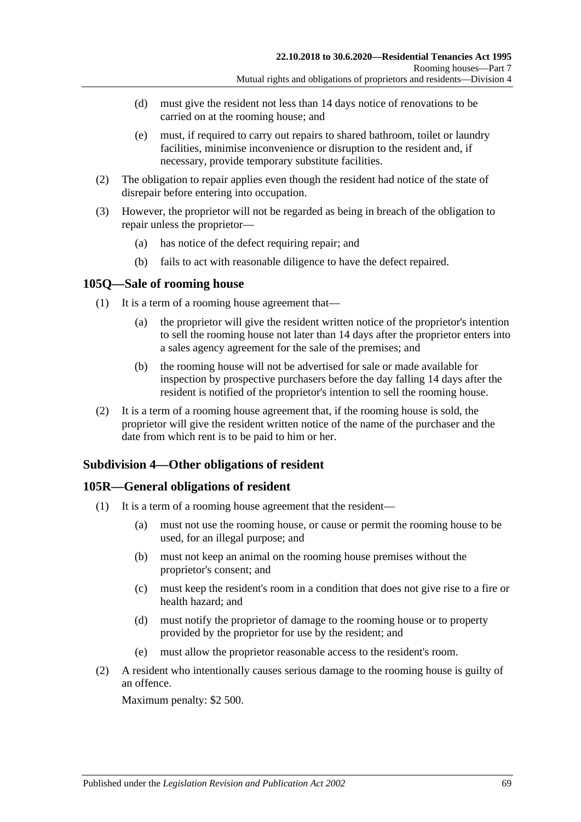- (d) must give the resident not less than 14 days notice of renovations to be carried on at the rooming house; and
- (e) must, if required to carry out repairs to shared bathroom, toilet or laundry facilities, minimise inconvenience or disruption to the resident and, if necessary, provide temporary substitute facilities.
- (2) The obligation to repair applies even though the resident had notice of the state of disrepair before entering into occupation.
- (3) However, the proprietor will not be regarded as being in breach of the obligation to repair unless the proprietor—
	- (a) has notice of the defect requiring repair; and
	- (b) fails to act with reasonable diligence to have the defect repaired.

### **105Q—Sale of rooming house**

- (1) It is a term of a rooming house agreement that—
	- (a) the proprietor will give the resident written notice of the proprietor's intention to sell the rooming house not later than 14 days after the proprietor enters into a sales agency agreement for the sale of the premises; and
	- (b) the rooming house will not be advertised for sale or made available for inspection by prospective purchasers before the day falling 14 days after the resident is notified of the proprietor's intention to sell the rooming house.
- (2) It is a term of a rooming house agreement that, if the rooming house is sold, the proprietor will give the resident written notice of the name of the purchaser and the date from which rent is to be paid to him or her.

## **Subdivision 4—Other obligations of resident**

## **105R—General obligations of resident**

- (1) It is a term of a rooming house agreement that the resident—
	- (a) must not use the rooming house, or cause or permit the rooming house to be used, for an illegal purpose; and
	- (b) must not keep an animal on the rooming house premises without the proprietor's consent; and
	- (c) must keep the resident's room in a condition that does not give rise to a fire or health hazard; and
	- (d) must notify the proprietor of damage to the rooming house or to property provided by the proprietor for use by the resident; and
	- (e) must allow the proprietor reasonable access to the resident's room.
- (2) A resident who intentionally causes serious damage to the rooming house is guilty of an offence.

Maximum penalty: \$2 500.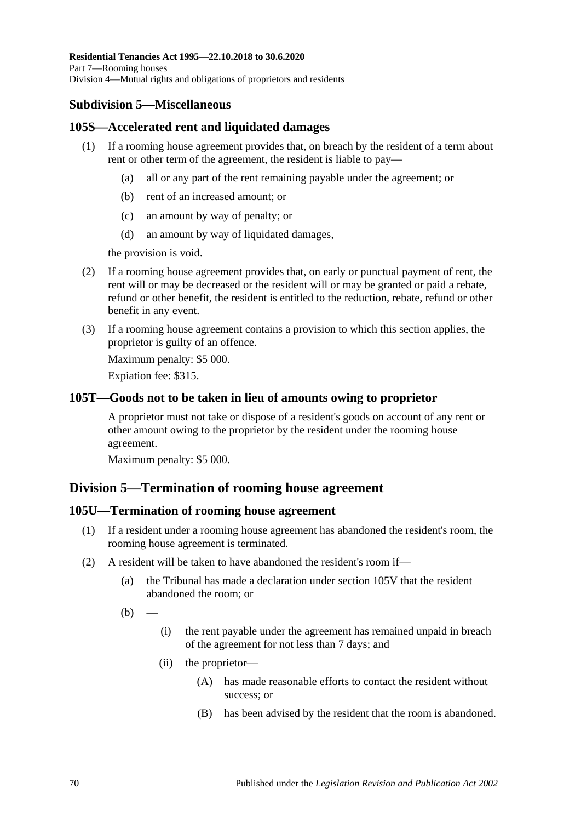## **Subdivision 5—Miscellaneous**

## **105S—Accelerated rent and liquidated damages**

- (1) If a rooming house agreement provides that, on breach by the resident of a term about rent or other term of the agreement, the resident is liable to pay—
	- (a) all or any part of the rent remaining payable under the agreement; or
	- (b) rent of an increased amount; or
	- (c) an amount by way of penalty; or
	- (d) an amount by way of liquidated damages,

the provision is void.

- (2) If a rooming house agreement provides that, on early or punctual payment of rent, the rent will or may be decreased or the resident will or may be granted or paid a rebate, refund or other benefit, the resident is entitled to the reduction, rebate, refund or other benefit in any event.
- (3) If a rooming house agreement contains a provision to which this section applies, the proprietor is guilty of an offence.

Maximum penalty: \$5 000.

Expiation fee: \$315.

### **105T—Goods not to be taken in lieu of amounts owing to proprietor**

A proprietor must not take or dispose of a resident's goods on account of any rent or other amount owing to the proprietor by the resident under the rooming house agreement.

Maximum penalty: \$5 000.

## **Division 5—Termination of rooming house agreement**

#### **105U—Termination of rooming house agreement**

- (1) If a resident under a rooming house agreement has abandoned the resident's room, the rooming house agreement is terminated.
- (2) A resident will be taken to have abandoned the resident's room if—
	- (a) the Tribunal has made a declaration under [section](#page-72-0) 105V that the resident abandoned the room; or
	- $(b)$
- (i) the rent payable under the agreement has remained unpaid in breach of the agreement for not less than 7 days; and
- (ii) the proprietor—
	- (A) has made reasonable efforts to contact the resident without success; or
	- (B) has been advised by the resident that the room is abandoned.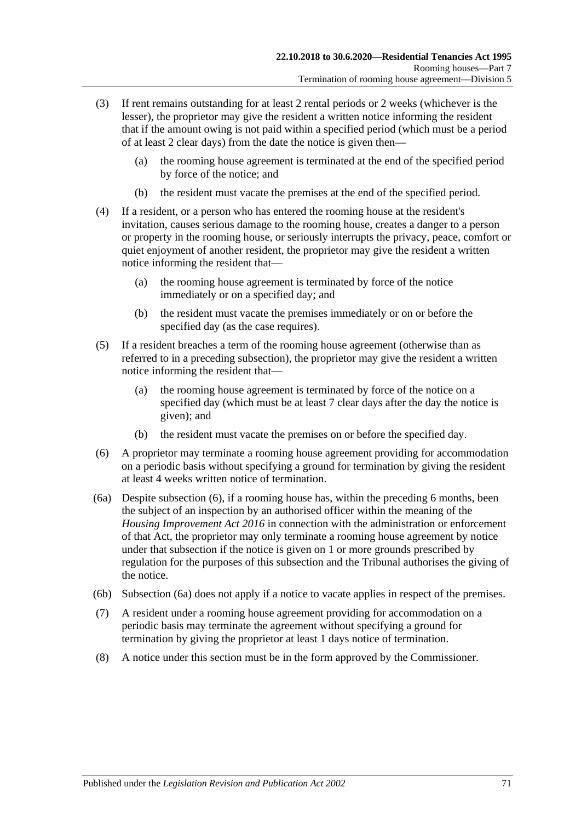- (3) If rent remains outstanding for at least 2 rental periods or 2 weeks (whichever is the lesser), the proprietor may give the resident a written notice informing the resident that if the amount owing is not paid within a specified period (which must be a period of at least 2 clear days) from the date the notice is given then—
	- (a) the rooming house agreement is terminated at the end of the specified period by force of the notice; and
	- (b) the resident must vacate the premises at the end of the specified period.
- (4) If a resident, or a person who has entered the rooming house at the resident's invitation, causes serious damage to the rooming house, creates a danger to a person or property in the rooming house, or seriously interrupts the privacy, peace, comfort or quiet enjoyment of another resident, the proprietor may give the resident a written notice informing the resident that—
	- (a) the rooming house agreement is terminated by force of the notice immediately or on a specified day; and
	- (b) the resident must vacate the premises immediately or on or before the specified day (as the case requires).
- (5) If a resident breaches a term of the rooming house agreement (otherwise than as referred to in a preceding subsection), the proprietor may give the resident a written notice informing the resident that—
	- (a) the rooming house agreement is terminated by force of the notice on a specified day (which must be at least 7 clear days after the day the notice is given); and
	- (b) the resident must vacate the premises on or before the specified day.
- <span id="page-70-0"></span>(6) A proprietor may terminate a rooming house agreement providing for accommodation on a periodic basis without specifying a ground for termination by giving the resident at least 4 weeks written notice of termination.
- <span id="page-70-1"></span>(6a) Despite [subsection](#page-70-0) (6), if a rooming house has, within the preceding 6 months, been the subject of an inspection by an authorised officer within the meaning of the *[Housing Improvement Act](http://www.legislation.sa.gov.au/index.aspx?action=legref&type=act&legtitle=Housing%20Improvement%20Act%202016) 2016* in connection with the administration or enforcement of that Act, the proprietor may only terminate a rooming house agreement by notice under that subsection if the notice is given on 1 or more grounds prescribed by regulation for the purposes of this subsection and the Tribunal authorises the giving of the notice.
- (6b) [Subsection](#page-70-1) (6a) does not apply if a notice to vacate applies in respect of the premises.
- (7) A resident under a rooming house agreement providing for accommodation on a periodic basis may terminate the agreement without specifying a ground for termination by giving the proprietor at least 1 days notice of termination.
- (8) A notice under this section must be in the form approved by the Commissioner.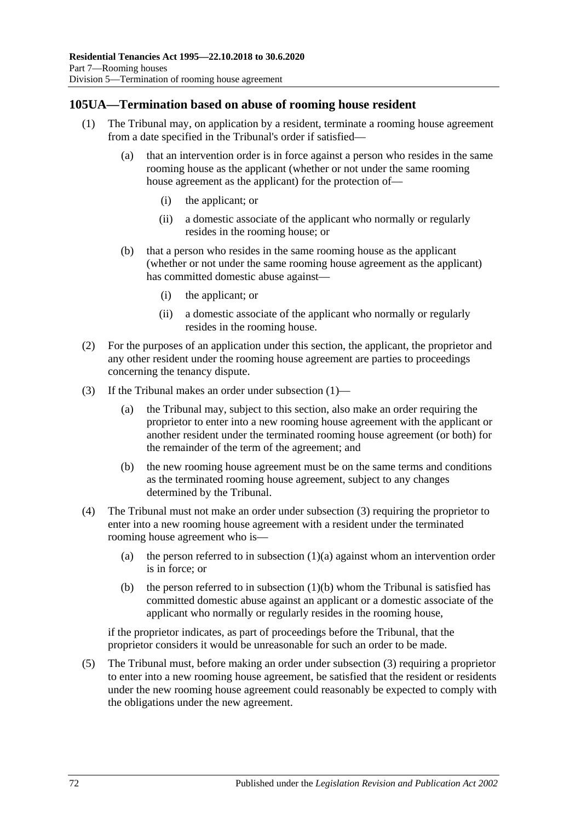## <span id="page-71-0"></span>**105UA—Termination based on abuse of rooming house resident**

- <span id="page-71-2"></span>(1) The Tribunal may, on application by a resident, terminate a rooming house agreement from a date specified in the Tribunal's order if satisfied—
	- (a) that an intervention order is in force against a person who resides in the same rooming house as the applicant (whether or not under the same rooming house agreement as the applicant) for the protection of—
		- (i) the applicant; or
		- (ii) a domestic associate of the applicant who normally or regularly resides in the rooming house; or
	- (b) that a person who resides in the same rooming house as the applicant (whether or not under the same rooming house agreement as the applicant) has committed domestic abuse against—
		- (i) the applicant; or
		- (ii) a domestic associate of the applicant who normally or regularly resides in the rooming house.
- <span id="page-71-3"></span>(2) For the purposes of an application under this section, the applicant, the proprietor and any other resident under the rooming house agreement are parties to proceedings concerning the tenancy dispute.
- <span id="page-71-1"></span>(3) If the Tribunal makes an order under [subsection](#page-71-0) (1)—
	- (a) the Tribunal may, subject to this section, also make an order requiring the proprietor to enter into a new rooming house agreement with the applicant or another resident under the terminated rooming house agreement (or both) for the remainder of the term of the agreement; and
	- (b) the new rooming house agreement must be on the same terms and conditions as the terminated rooming house agreement, subject to any changes determined by the Tribunal.
- (4) The Tribunal must not make an order under [subsection](#page-71-1) (3) requiring the proprietor to enter into a new rooming house agreement with a resident under the terminated rooming house agreement who is
	- (a) the person referred to in [subsection](#page-71-2)  $(1)(a)$  against whom an intervention order is in force; or
	- (b) the person referred to in [subsection](#page-71-3)  $(1)(b)$  whom the Tribunal is satisfied has committed domestic abuse against an applicant or a domestic associate of the applicant who normally or regularly resides in the rooming house,

if the proprietor indicates, as part of proceedings before the Tribunal, that the proprietor considers it would be unreasonable for such an order to be made.

(5) The Tribunal must, before making an order under [subsection](#page-71-1) (3) requiring a proprietor to enter into a new rooming house agreement, be satisfied that the resident or residents under the new rooming house agreement could reasonably be expected to comply with the obligations under the new agreement.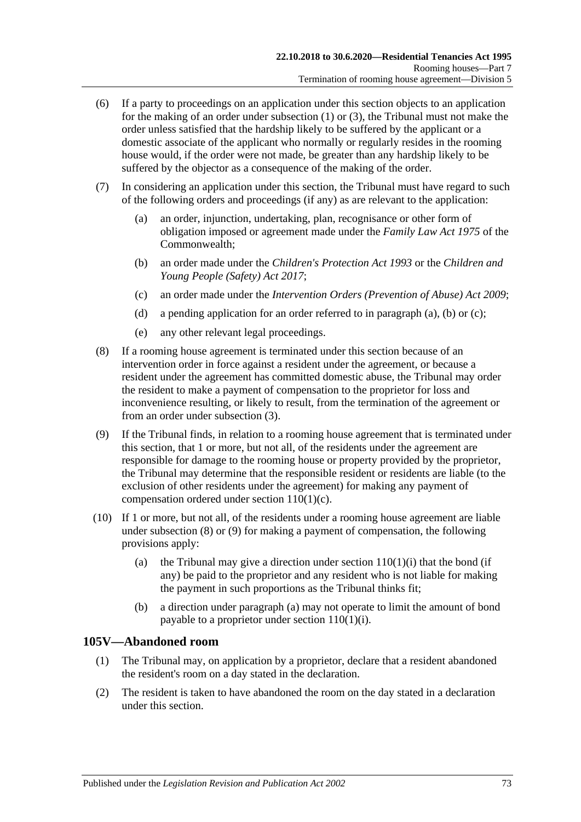- (6) If a party to proceedings on an application under this section objects to an application for the making of an order under [subsection](#page-71-0) (1) or [\(3\),](#page-71-1) the Tribunal must not make the order unless satisfied that the hardship likely to be suffered by the applicant or a domestic associate of the applicant who normally or regularly resides in the rooming house would, if the order were not made, be greater than any hardship likely to be suffered by the objector as a consequence of the making of the order.
- <span id="page-72-1"></span><span id="page-72-0"></span>(7) In considering an application under this section, the Tribunal must have regard to such of the following orders and proceedings (if any) as are relevant to the application:
	- (a) an order, injunction, undertaking, plan, recognisance or other form of obligation imposed or agreement made under the *Family Law Act 1975* of the Commonwealth;
	- (b) an order made under the *[Children's Protection Act](http://www.legislation.sa.gov.au/index.aspx?action=legref&type=act&legtitle=Childrens%20Protection%20Act%201993) 1993* or the *[Children and](http://www.legislation.sa.gov.au/index.aspx?action=legref&type=act&legtitle=Children%20and%20Young%20People%20(Safety)%20Act%202017)  [Young People \(Safety\) Act](http://www.legislation.sa.gov.au/index.aspx?action=legref&type=act&legtitle=Children%20and%20Young%20People%20(Safety)%20Act%202017) 2017*;
	- (c) an order made under the *[Intervention Orders \(Prevention of Abuse\) Act](http://www.legislation.sa.gov.au/index.aspx?action=legref&type=act&legtitle=Intervention%20Orders%20(Prevention%20of%20Abuse)%20Act%202009) 2009*;
	- (d) a pending application for an order referred to in [paragraph](#page-72-0) (a), [\(b\)](#page-72-1) or [\(c\);](#page-72-2)
	- (e) any other relevant legal proceedings.
- <span id="page-72-3"></span><span id="page-72-2"></span>(8) If a rooming house agreement is terminated under this section because of an intervention order in force against a resident under the agreement, or because a resident under the agreement has committed domestic abuse, the Tribunal may order the resident to make a payment of compensation to the proprietor for loss and inconvenience resulting, or likely to result, from the termination of the agreement or from an order under [subsection](#page-71-1) (3).
- <span id="page-72-4"></span>(9) If the Tribunal finds, in relation to a rooming house agreement that is terminated under this section, that 1 or more, but not all, of the residents under the agreement are responsible for damage to the rooming house or property provided by the proprietor, the Tribunal may determine that the responsible resident or residents are liable (to the exclusion of other residents under the agreement) for making any payment of compensation ordered under section [110\(1\)\(c\).](#page-76-0)
- <span id="page-72-5"></span>(10) If 1 or more, but not all, of the residents under a rooming house agreement are liable under [subsection](#page-72-3) (8) or [\(9\)](#page-72-4) for making a payment of compensation, the following provisions apply:
	- (a) the Tribunal may give a direction under section  $110(1)(i)$  that the bond (if any) be paid to the proprietor and any resident who is not liable for making the payment in such proportions as the Tribunal thinks fit;
	- (b) a direction under [paragraph](#page-72-5) (a) may not operate to limit the amount of bond payable to a proprietor under section [110\(1\)\(i\).](#page-76-1)

#### **105V—Abandoned room**

- (1) The Tribunal may, on application by a proprietor, declare that a resident abandoned the resident's room on a day stated in the declaration.
- (2) The resident is taken to have abandoned the room on the day stated in a declaration under this section.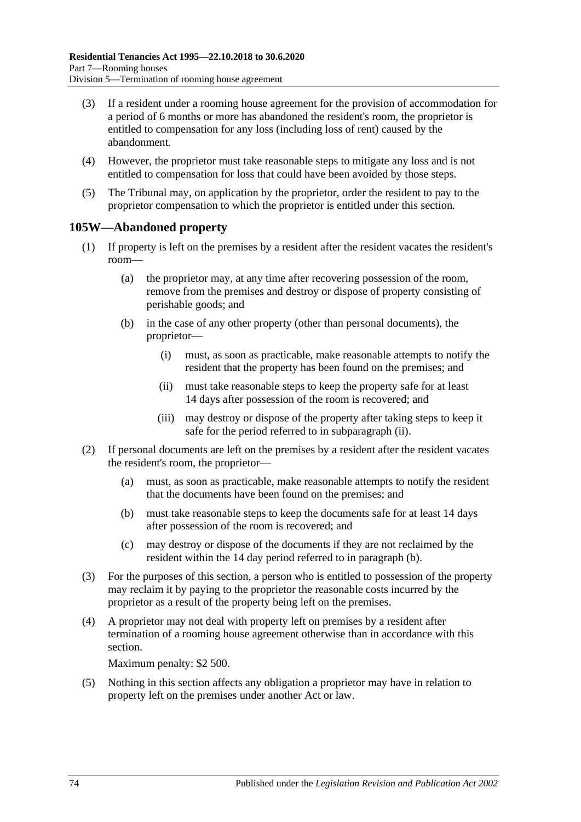- (3) If a resident under a rooming house agreement for the provision of accommodation for a period of 6 months or more has abandoned the resident's room, the proprietor is entitled to compensation for any loss (including loss of rent) caused by the abandonment.
- (4) However, the proprietor must take reasonable steps to mitigate any loss and is not entitled to compensation for loss that could have been avoided by those steps.
- (5) The Tribunal may, on application by the proprietor, order the resident to pay to the proprietor compensation to which the proprietor is entitled under this section.

### <span id="page-73-2"></span>**105W—Abandoned property**

- (1) If property is left on the premises by a resident after the resident vacates the resident's room—
	- (a) the proprietor may, at any time after recovering possession of the room, remove from the premises and destroy or dispose of property consisting of perishable goods; and
	- (b) in the case of any other property (other than personal documents), the proprietor—
		- (i) must, as soon as practicable, make reasonable attempts to notify the resident that the property has been found on the premises; and
		- (ii) must take reasonable steps to keep the property safe for at least 14 days after possession of the room is recovered; and
		- (iii) may destroy or dispose of the property after taking steps to keep it safe for the period referred to in [subparagraph](#page-73-0) (ii).
- <span id="page-73-1"></span><span id="page-73-0"></span>(2) If personal documents are left on the premises by a resident after the resident vacates the resident's room, the proprietor—
	- (a) must, as soon as practicable, make reasonable attempts to notify the resident that the documents have been found on the premises; and
	- (b) must take reasonable steps to keep the documents safe for at least 14 days after possession of the room is recovered; and
	- (c) may destroy or dispose of the documents if they are not reclaimed by the resident within the 14 day period referred to in [paragraph](#page-73-1) (b).
- (3) For the purposes of this section, a person who is entitled to possession of the property may reclaim it by paying to the proprietor the reasonable costs incurred by the proprietor as a result of the property being left on the premises.
- (4) A proprietor may not deal with property left on premises by a resident after termination of a rooming house agreement otherwise than in accordance with this section.

Maximum penalty: \$2 500.

(5) Nothing in this section affects any obligation a proprietor may have in relation to property left on the premises under another Act or law.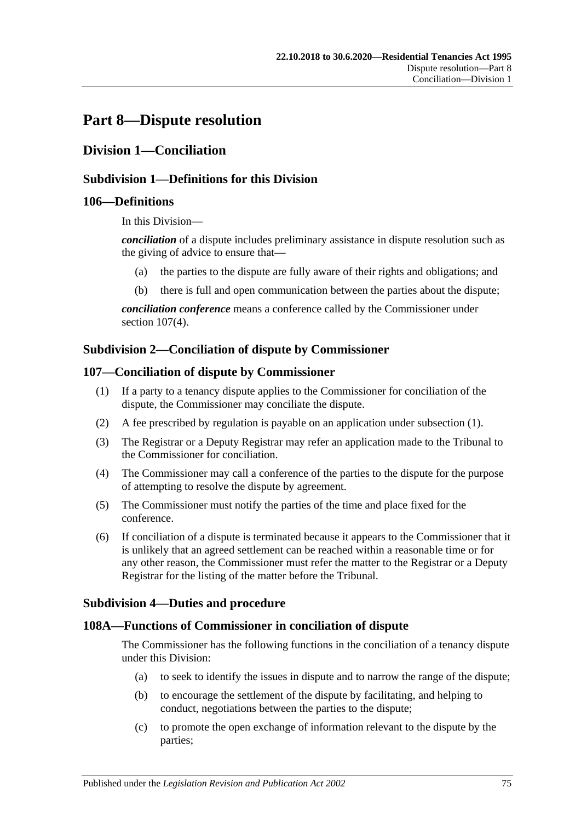# **Part 8—Dispute resolution**

# **Division 1—Conciliation**

### **Subdivision 1—Definitions for this Division**

#### **106—Definitions**

In this Division—

*conciliation* of a dispute includes preliminary assistance in dispute resolution such as the giving of advice to ensure that—

- (a) the parties to the dispute are fully aware of their rights and obligations; and
- (b) there is full and open communication between the parties about the dispute;

*conciliation conference* means a conference called by the Commissioner under section [107\(4\).](#page-74-0)

#### **Subdivision 2—Conciliation of dispute by Commissioner**

#### <span id="page-74-1"></span>**107—Conciliation of dispute by Commissioner**

- (1) If a party to a tenancy dispute applies to the Commissioner for conciliation of the dispute, the Commissioner may conciliate the dispute.
- (2) A fee prescribed by regulation is payable on an application under [subsection](#page-74-1) (1).
- (3) The Registrar or a Deputy Registrar may refer an application made to the Tribunal to the Commissioner for conciliation.
- <span id="page-74-0"></span>(4) The Commissioner may call a conference of the parties to the dispute for the purpose of attempting to resolve the dispute by agreement.
- (5) The Commissioner must notify the parties of the time and place fixed for the conference.
- (6) If conciliation of a dispute is terminated because it appears to the Commissioner that it is unlikely that an agreed settlement can be reached within a reasonable time or for any other reason, the Commissioner must refer the matter to the Registrar or a Deputy Registrar for the listing of the matter before the Tribunal.

#### **Subdivision 4—Duties and procedure**

#### **108A—Functions of Commissioner in conciliation of dispute**

The Commissioner has the following functions in the conciliation of a tenancy dispute under this Division:

- (a) to seek to identify the issues in dispute and to narrow the range of the dispute;
- (b) to encourage the settlement of the dispute by facilitating, and helping to conduct, negotiations between the parties to the dispute;
- (c) to promote the open exchange of information relevant to the dispute by the parties;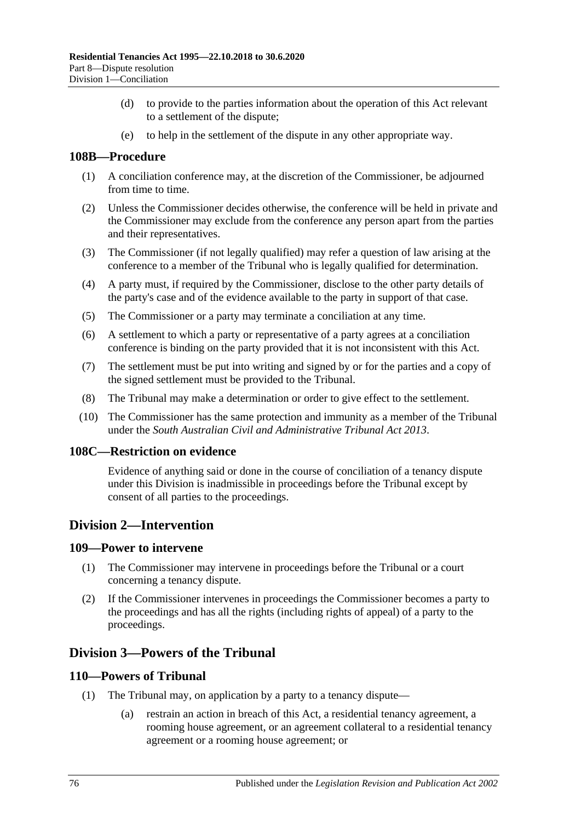- (d) to provide to the parties information about the operation of this Act relevant to a settlement of the dispute;
- (e) to help in the settlement of the dispute in any other appropriate way.

#### **108B—Procedure**

- (1) A conciliation conference may, at the discretion of the Commissioner, be adjourned from time to time.
- (2) Unless the Commissioner decides otherwise, the conference will be held in private and the Commissioner may exclude from the conference any person apart from the parties and their representatives.
- (3) The Commissioner (if not legally qualified) may refer a question of law arising at the conference to a member of the Tribunal who is legally qualified for determination.
- (4) A party must, if required by the Commissioner, disclose to the other party details of the party's case and of the evidence available to the party in support of that case.
- (5) The Commissioner or a party may terminate a conciliation at any time.
- (6) A settlement to which a party or representative of a party agrees at a conciliation conference is binding on the party provided that it is not inconsistent with this Act.
- (7) The settlement must be put into writing and signed by or for the parties and a copy of the signed settlement must be provided to the Tribunal.
- (8) The Tribunal may make a determination or order to give effect to the settlement.
- (10) The Commissioner has the same protection and immunity as a member of the Tribunal under the *[South Australian Civil and Administrative Tribunal](http://www.legislation.sa.gov.au/index.aspx?action=legref&type=act&legtitle=South%20Australian%20Civil%20and%20Administrative%20Tribunal%20Act%202013) Act 2013*.

#### **108C—Restriction on evidence**

Evidence of anything said or done in the course of conciliation of a tenancy dispute under this Division is inadmissible in proceedings before the Tribunal except by consent of all parties to the proceedings.

## **Division 2—Intervention**

#### **109—Power to intervene**

- (1) The Commissioner may intervene in proceedings before the Tribunal or a court concerning a tenancy dispute.
- (2) If the Commissioner intervenes in proceedings the Commissioner becomes a party to the proceedings and has all the rights (including rights of appeal) of a party to the proceedings.

## **Division 3—Powers of the Tribunal**

#### **110—Powers of Tribunal**

- (1) The Tribunal may, on application by a party to a tenancy dispute—
	- (a) restrain an action in breach of this Act, a residential tenancy agreement, a rooming house agreement, or an agreement collateral to a residential tenancy agreement or a rooming house agreement; or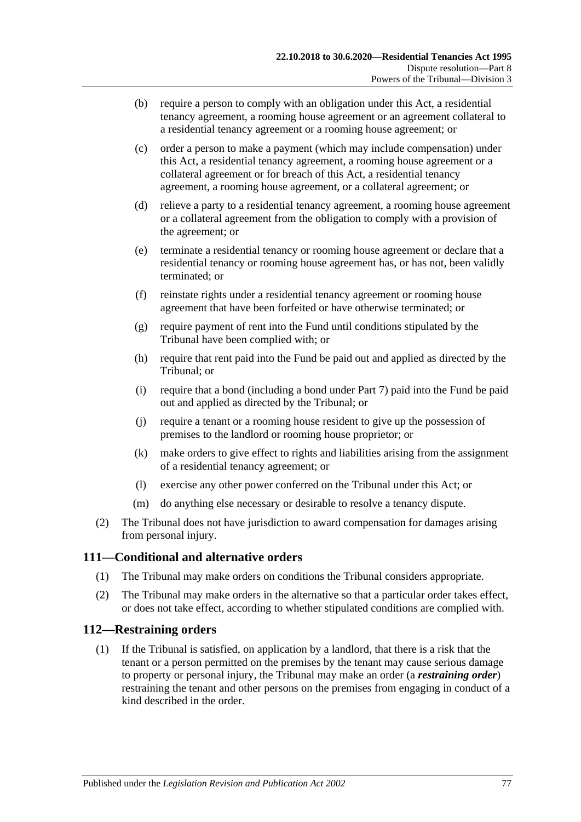- (b) require a person to comply with an obligation under this Act, a residential tenancy agreement, a rooming house agreement or an agreement collateral to a residential tenancy agreement or a rooming house agreement; or
- <span id="page-76-0"></span>(c) order a person to make a payment (which may include compensation) under this Act, a residential tenancy agreement, a rooming house agreement or a collateral agreement or for breach of this Act, a residential tenancy agreement, a rooming house agreement, or a collateral agreement; or
- (d) relieve a party to a residential tenancy agreement, a rooming house agreement or a collateral agreement from the obligation to comply with a provision of the agreement; or
- (e) terminate a residential tenancy or rooming house agreement or declare that a residential tenancy or rooming house agreement has, or has not, been validly terminated; or
- (f) reinstate rights under a residential tenancy agreement or rooming house agreement that have been forfeited or have otherwise terminated; or
- (g) require payment of rent into the Fund until conditions stipulated by the Tribunal have been complied with; or
- (h) require that rent paid into the Fund be paid out and applied as directed by the Tribunal; or
- <span id="page-76-1"></span>(i) require that a bond (including a bond under [Part 7\)](#page-59-0) paid into the Fund be paid out and applied as directed by the Tribunal; or
- (j) require a tenant or a rooming house resident to give up the possession of premises to the landlord or rooming house proprietor; or
- (k) make orders to give effect to rights and liabilities arising from the assignment of a residential tenancy agreement; or
- (l) exercise any other power conferred on the Tribunal under this Act; or
- (m) do anything else necessary or desirable to resolve a tenancy dispute.
- (2) The Tribunal does not have jurisdiction to award compensation for damages arising from personal injury.

#### **111—Conditional and alternative orders**

- (1) The Tribunal may make orders on conditions the Tribunal considers appropriate.
- (2) The Tribunal may make orders in the alternative so that a particular order takes effect, or does not take effect, according to whether stipulated conditions are complied with.

#### **112—Restraining orders**

(1) If the Tribunal is satisfied, on application by a landlord, that there is a risk that the tenant or a person permitted on the premises by the tenant may cause serious damage to property or personal injury, the Tribunal may make an order (a *restraining order*) restraining the tenant and other persons on the premises from engaging in conduct of a kind described in the order.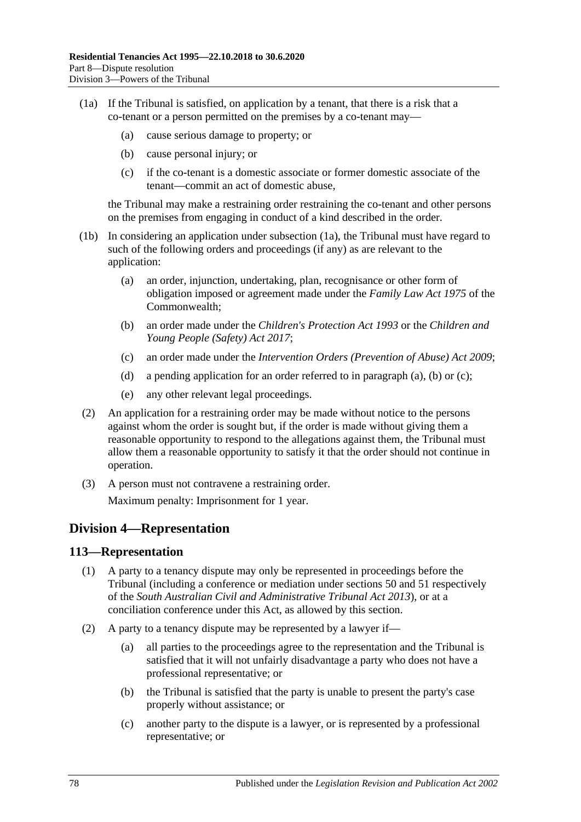- (1a) If the Tribunal is satisfied, on application by a tenant, that there is a risk that a co-tenant or a person permitted on the premises by a co-tenant may—
	- (a) cause serious damage to property; or
	- (b) cause personal injury; or
	- (c) if the co-tenant is a domestic associate or former domestic associate of the tenant—commit an act of domestic abuse,

the Tribunal may make a restraining order restraining the co-tenant and other persons on the premises from engaging in conduct of a kind described in the order.

- <span id="page-77-1"></span><span id="page-77-0"></span>(1b) In considering an application under subsection (1a), the Tribunal must have regard to such of the following orders and proceedings (if any) as are relevant to the application:
	- (a) an order, injunction, undertaking, plan, recognisance or other form of obligation imposed or agreement made under the *Family Law Act 1975* of the Commonwealth;
	- (b) an order made under the *[Children's Protection Act](http://www.legislation.sa.gov.au/index.aspx?action=legref&type=act&legtitle=Childrens%20Protection%20Act%201993) 1993* or the *[Children and](http://www.legislation.sa.gov.au/index.aspx?action=legref&type=act&legtitle=Children%20and%20Young%20People%20(Safety)%20Act%202017)  [Young People \(Safety\) Act](http://www.legislation.sa.gov.au/index.aspx?action=legref&type=act&legtitle=Children%20and%20Young%20People%20(Safety)%20Act%202017) 2017*;
	- (c) an order made under the *[Intervention Orders \(Prevention of Abuse\) Act](http://www.legislation.sa.gov.au/index.aspx?action=legref&type=act&legtitle=Intervention%20Orders%20(Prevention%20of%20Abuse)%20Act%202009) 2009*;
	- (d) a pending application for an order referred to in [paragraph](#page-77-0) (a), [\(b\)](#page-77-1) or [\(c\);](#page-77-2)
	- (e) any other relevant legal proceedings.
- <span id="page-77-2"></span>(2) An application for a restraining order may be made without notice to the persons against whom the order is sought but, if the order is made without giving them a reasonable opportunity to respond to the allegations against them, the Tribunal must allow them a reasonable opportunity to satisfy it that the order should not continue in operation.
- (3) A person must not contravene a restraining order. Maximum penalty: Imprisonment for 1 year.

# **Division 4—Representation**

#### **113—Representation**

- (1) A party to a tenancy dispute may only be represented in proceedings before the Tribunal (including a conference or mediation under sections 50 and 51 respectively of the *[South Australian Civil and Administrative Tribunal Act](http://www.legislation.sa.gov.au/index.aspx?action=legref&type=act&legtitle=South%20Australian%20Civil%20and%20Administrative%20Tribunal%20Act%202013) 2013*), or at a conciliation conference under this Act, as allowed by this section.
- (2) A party to a tenancy dispute may be represented by a lawyer if—
	- (a) all parties to the proceedings agree to the representation and the Tribunal is satisfied that it will not unfairly disadvantage a party who does not have a professional representative; or
	- (b) the Tribunal is satisfied that the party is unable to present the party's case properly without assistance; or
	- (c) another party to the dispute is a lawyer, or is represented by a professional representative; or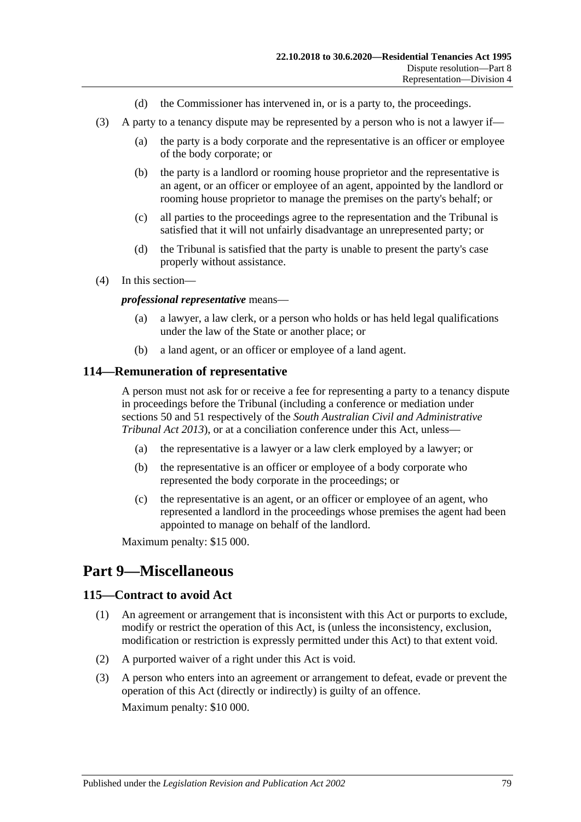- (d) the Commissioner has intervened in, or is a party to, the proceedings.
- (3) A party to a tenancy dispute may be represented by a person who is not a lawyer if—
	- (a) the party is a body corporate and the representative is an officer or employee of the body corporate; or
	- (b) the party is a landlord or rooming house proprietor and the representative is an agent, or an officer or employee of an agent, appointed by the landlord or rooming house proprietor to manage the premises on the party's behalf; or
	- (c) all parties to the proceedings agree to the representation and the Tribunal is satisfied that it will not unfairly disadvantage an unrepresented party; or
	- (d) the Tribunal is satisfied that the party is unable to present the party's case properly without assistance.
- (4) In this section—

#### *professional representative* means—

- (a) a lawyer, a law clerk, or a person who holds or has held legal qualifications under the law of the State or another place; or
- (b) a land agent, or an officer or employee of a land agent.

#### **114—Remuneration of representative**

A person must not ask for or receive a fee for representing a party to a tenancy dispute in proceedings before the Tribunal (including a conference or mediation under sections 50 and 51 respectively of the *[South Australian Civil and Administrative](http://www.legislation.sa.gov.au/index.aspx?action=legref&type=act&legtitle=South%20Australian%20Civil%20and%20Administrative%20Tribunal%20Act%202013)  [Tribunal Act](http://www.legislation.sa.gov.au/index.aspx?action=legref&type=act&legtitle=South%20Australian%20Civil%20and%20Administrative%20Tribunal%20Act%202013) 2013*), or at a conciliation conference under this Act, unless—

- (a) the representative is a lawyer or a law clerk employed by a lawyer; or
- (b) the representative is an officer or employee of a body corporate who represented the body corporate in the proceedings; or
- (c) the representative is an agent, or an officer or employee of an agent, who represented a landlord in the proceedings whose premises the agent had been appointed to manage on behalf of the landlord.

Maximum penalty: \$15 000.

# **Part 9—Miscellaneous**

#### **115—Contract to avoid Act**

- (1) An agreement or arrangement that is inconsistent with this Act or purports to exclude, modify or restrict the operation of this Act, is (unless the inconsistency, exclusion, modification or restriction is expressly permitted under this Act) to that extent void.
- (2) A purported waiver of a right under this Act is void.
- (3) A person who enters into an agreement or arrangement to defeat, evade or prevent the operation of this Act (directly or indirectly) is guilty of an offence. Maximum penalty: \$10 000.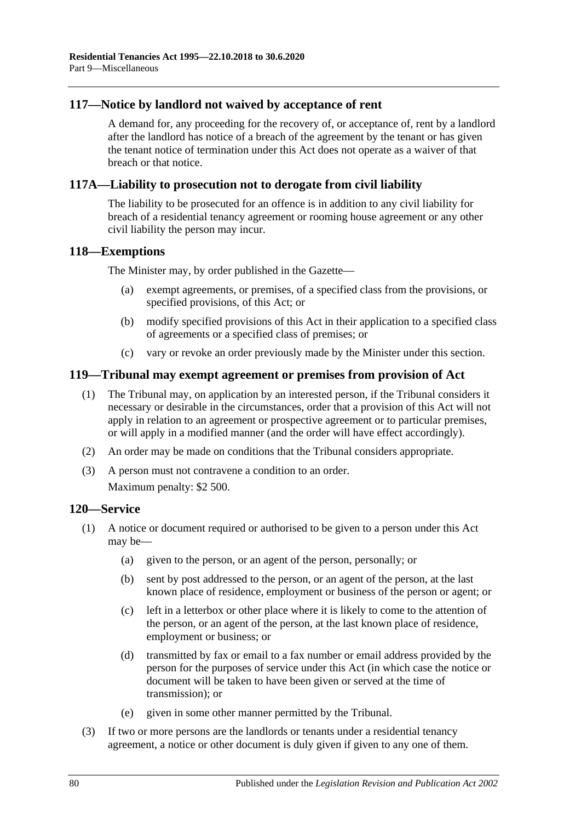#### **117—Notice by landlord not waived by acceptance of rent**

A demand for, any proceeding for the recovery of, or acceptance of, rent by a landlord after the landlord has notice of a breach of the agreement by the tenant or has given the tenant notice of termination under this Act does not operate as a waiver of that breach or that notice.

#### **117A—Liability to prosecution not to derogate from civil liability**

The liability to be prosecuted for an offence is in addition to any civil liability for breach of a residential tenancy agreement or rooming house agreement or any other civil liability the person may incur.

#### **118—Exemptions**

The Minister may, by order published in the Gazette—

- (a) exempt agreements, or premises, of a specified class from the provisions, or specified provisions, of this Act; or
- (b) modify specified provisions of this Act in their application to a specified class of agreements or a specified class of premises; or
- (c) vary or revoke an order previously made by the Minister under this section.

### **119—Tribunal may exempt agreement or premises from provision of Act**

- (1) The Tribunal may, on application by an interested person, if the Tribunal considers it necessary or desirable in the circumstances, order that a provision of this Act will not apply in relation to an agreement or prospective agreement or to particular premises, or will apply in a modified manner (and the order will have effect accordingly).
- (2) An order may be made on conditions that the Tribunal considers appropriate.
- (3) A person must not contravene a condition to an order.

Maximum penalty: \$2 500.

#### **120—Service**

- (1) A notice or document required or authorised to be given to a person under this Act may be—
	- (a) given to the person, or an agent of the person, personally; or
	- (b) sent by post addressed to the person, or an agent of the person, at the last known place of residence, employment or business of the person or agent; or
	- (c) left in a letterbox or other place where it is likely to come to the attention of the person, or an agent of the person, at the last known place of residence, employment or business; or
	- (d) transmitted by fax or email to a fax number or email address provided by the person for the purposes of service under this Act (in which case the notice or document will be taken to have been given or served at the time of transmission); or
	- (e) given in some other manner permitted by the Tribunal.
- (3) If two or more persons are the landlords or tenants under a residential tenancy agreement, a notice or other document is duly given if given to any one of them.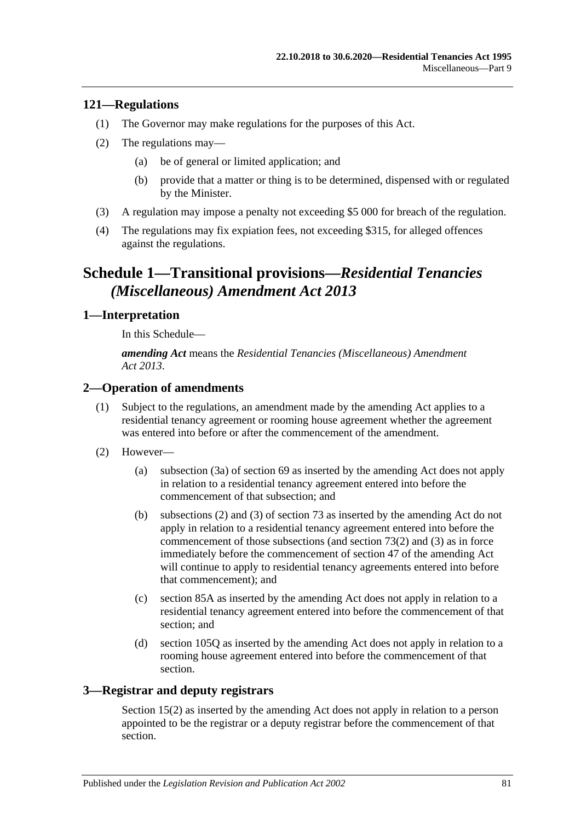#### **121—Regulations**

- (1) The Governor may make regulations for the purposes of this Act.
- (2) The regulations may—
	- (a) be of general or limited application; and
	- (b) provide that a matter or thing is to be determined, dispensed with or regulated by the Minister.
- (3) A regulation may impose a penalty not exceeding \$5 000 for breach of the regulation.
- (4) The regulations may fix expiation fees, not exceeding \$315, for alleged offences against the regulations.

# **Schedule 1—Transitional provisions—***Residential Tenancies (Miscellaneous) Amendment Act 2013*

#### **1—Interpretation**

In this Schedule—

*amending Act* means the *[Residential Tenancies \(Miscellaneous\) Amendment](http://www.legislation.sa.gov.au/index.aspx?action=legref&type=act&legtitle=Residential%20Tenancies%20(Miscellaneous)%20Amendment%20Act%202013)  Act [2013](http://www.legislation.sa.gov.au/index.aspx?action=legref&type=act&legtitle=Residential%20Tenancies%20(Miscellaneous)%20Amendment%20Act%202013)*.

### **2—Operation of amendments**

- (1) Subject to the regulations, an amendment made by the amending Act applies to a residential tenancy agreement or rooming house agreement whether the agreement was entered into before or after the commencement of the amendment.
- (2) However—
	- (a) [subsection](#page-28-0) (3a) of [section](#page-27-0) 69 as inserted by the amending Act does not apply in relation to a residential tenancy agreement entered into before the commencement of that subsection; and
	- (b) [subsections](#page-31-0) (2) and [\(3\)](#page-31-1) of [section](#page-31-2) 73 as inserted by the amending Act do not apply in relation to a residential tenancy agreement entered into before the commencement of those subsections (and [section](#page-31-0) 73(2) and [\(3\)](#page-31-1) as in force immediately before the commencement of section 47 of the amending Act will continue to apply to residential tenancy agreements entered into before that commencement); and
	- (c) [section](#page-40-0) 85A as inserted by the amending Act does not apply in relation to a residential tenancy agreement entered into before the commencement of that section; and
	- (d) [section](#page-68-0) 105Q as inserted by the amending Act does not apply in relation to a rooming house agreement entered into before the commencement of that section.

## **3—Registrar and deputy registrars**

Section 15(2) as inserted by the amending Act does not apply in relation to a person appointed to be the registrar or a deputy registrar before the commencement of that section.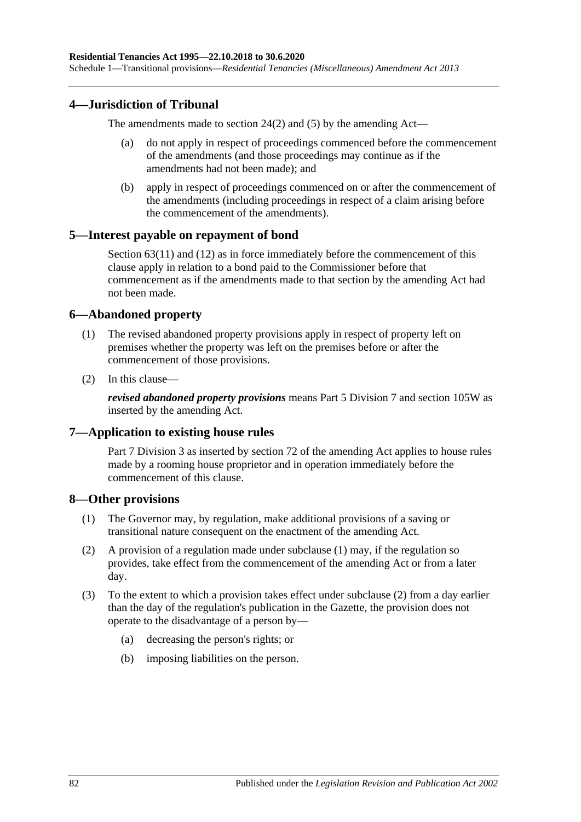### **4—Jurisdiction of Tribunal**

The amendments made to [section](#page-12-0) 24(2) and [\(5\)](#page-12-1) by the amending Act—

- (a) do not apply in respect of proceedings commenced before the commencement of the amendments (and those proceedings may continue as if the amendments had not been made); and
- (b) apply in respect of proceedings commenced on or after the commencement of the amendments (including proceedings in respect of a claim arising before the commencement of the amendments).

#### **5—Interest payable on repayment of bond**

[Section](#page-25-0) 63(11) and (12) as in force immediately before the commencement of this clause apply in relation to a bond paid to the Commissioner before that commencement as if the amendments made to that section by the amending Act had not been made.

#### **6—Abandoned property**

- (1) The revised abandoned property provisions apply in respect of property left on premises whether the property was left on the premises before or after the commencement of those provisions.
- (2) In this clause—

*revised abandoned property provisions* means [Part 5 Division 7](#page-49-0) and [section](#page-73-2) 105W as inserted by the amending Act.

#### **7—Application to existing house rules**

[Part 7 Division](#page-60-0) 3 as inserted by section 72 of the amending Act applies to house rules made by a rooming house proprietor and in operation immediately before the commencement of this clause.

#### <span id="page-81-0"></span>**8—Other provisions**

- (1) The Governor may, by regulation, make additional provisions of a saving or transitional nature consequent on the enactment of the amending Act.
- <span id="page-81-1"></span>(2) A provision of a regulation made under [subclause](#page-81-0) (1) may, if the regulation so provides, take effect from the commencement of the amending Act or from a later day.
- (3) To the extent to which a provision takes effect under [subclause](#page-81-1) (2) from a day earlier than the day of the regulation's publication in the Gazette, the provision does not operate to the disadvantage of a person by—
	- (a) decreasing the person's rights; or
	- (b) imposing liabilities on the person.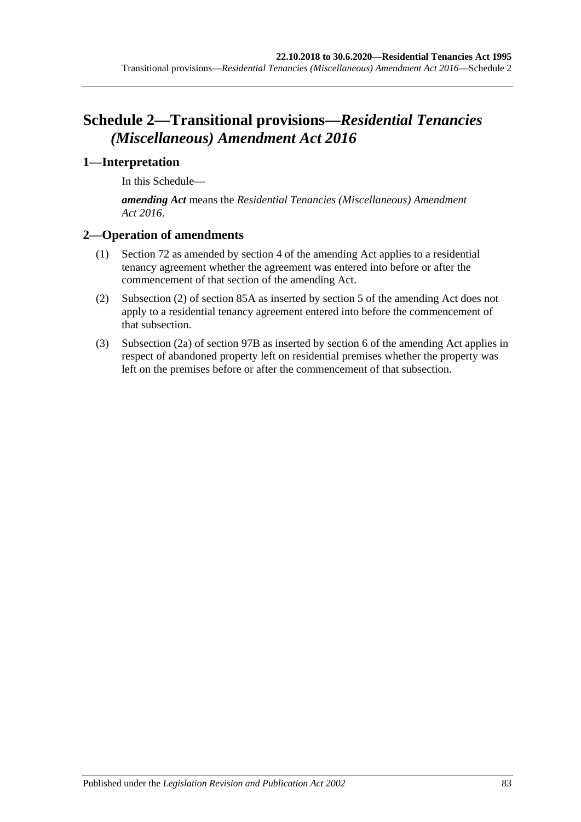# **Schedule 2—Transitional provisions—***Residential Tenancies (Miscellaneous) Amendment Act 2016*

### **1—Interpretation**

In this Schedule—

*amending Act* means the *[Residential Tenancies \(Miscellaneous\) Amendment](http://www.legislation.sa.gov.au/index.aspx?action=legref&type=act&legtitle=Residential%20Tenancies%20(Miscellaneous)%20Amendment%20Act%202016)  Act [2016](http://www.legislation.sa.gov.au/index.aspx?action=legref&type=act&legtitle=Residential%20Tenancies%20(Miscellaneous)%20Amendment%20Act%202016)*.

## **2—Operation of amendments**

- (1) [Section](#page-29-0) 72 as amended by section 4 of the amending Act applies to a residential tenancy agreement whether the agreement was entered into before or after the commencement of that section of the amending Act.
- (2) [Subsection](#page-40-1) (2) of [section](#page-40-0) 85A as inserted by section 5 of the amending Act does not apply to a residential tenancy agreement entered into before the commencement of that subsection.
- (3) [Subsection](#page-49-1) (2a) of [section](#page-49-2) 97B as inserted by section 6 of the amending Act applies in respect of abandoned property left on residential premises whether the property was left on the premises before or after the commencement of that subsection.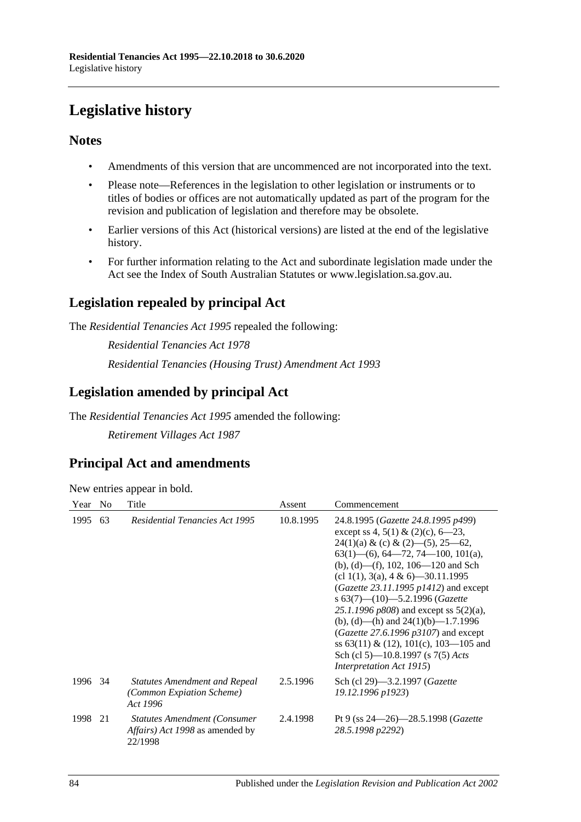# **Legislative history**

# **Notes**

- Amendments of this version that are uncommenced are not incorporated into the text.
- Please note—References in the legislation to other legislation or instruments or to titles of bodies or offices are not automatically updated as part of the program for the revision and publication of legislation and therefore may be obsolete.
- Earlier versions of this Act (historical versions) are listed at the end of the legislative history.
- For further information relating to the Act and subordinate legislation made under the Act see the Index of South Australian Statutes or www.legislation.sa.gov.au.

# **Legislation repealed by principal Act**

The *Residential Tenancies Act 1995* repealed the following:

*Residential Tenancies Act 1978 Residential Tenancies (Housing Trust) Amendment Act 1993*

# **Legislation amended by principal Act**

The *Residential Tenancies Act 1995* amended the following:

*Retirement Villages Act 1987*

# **Principal Act and amendments**

#### New entries appear in bold.

| Year | N <sub>0</sub> | Title                                                                                             | Assent    | Commencement                                                                                                                                                                                                                                                                                                                                                                                                                                                                                                                                                                     |
|------|----------------|---------------------------------------------------------------------------------------------------|-----------|----------------------------------------------------------------------------------------------------------------------------------------------------------------------------------------------------------------------------------------------------------------------------------------------------------------------------------------------------------------------------------------------------------------------------------------------------------------------------------------------------------------------------------------------------------------------------------|
| 1995 | 63             | <b>Residential Tenancies Act 1995</b>                                                             | 10.8.1995 | 24.8.1995 (Gazette 24.8.1995 p499)<br>except ss 4, 5(1) & (2)(c), 6–23,<br>$24(1)(a) & (c) & (2) - (5), 25 - 62,$<br>$63(1)$ —(6), 64—72, 74—100, 101(a),<br>(b), (d)—(f), 102, 106—120 and Sch<br>(cl 1(1), 3(a), 4 & 6)–30.11.1995<br>$(Gazette 23.11.1995 p1412)$ and except<br>s $63(7)$ - $(10)$ - 5.2.1996 (Gazette<br>25.1.1996 $p808$ ) and except ss $5(2)(a)$ ,<br>(b), (d)—(h) and $24(1)(b)$ —1.7.1996<br>(Gazette 27.6.1996 $p3107$ ) and except<br>ss $63(11) \& (12)$ , $101(c)$ , $103-105$ and<br>Sch (cl 5)—10.8.1997 (s 7(5) Acts<br>Interpretation Act 1915) |
| 1996 | 34             | <b>Statutes Amendment and Repeal</b><br>(Common Expiation Scheme)<br>Act 1996                     | 2.5.1996  | Sch (cl 29)-3.2.1997 (Gazette<br>19.12.1996 p1923)                                                                                                                                                                                                                                                                                                                                                                                                                                                                                                                               |
| 1998 | 21             | <b>Statutes Amendment (Consumer)</b><br><i>Affairs</i> ) <i>Act 1998</i> as amended by<br>22/1998 | 2.4.1998  | Pt 9 (ss $24 - 26$ ) $- 28.5.1998$ ( <i>Gazette</i><br>28.5.1998 p2292)                                                                                                                                                                                                                                                                                                                                                                                                                                                                                                          |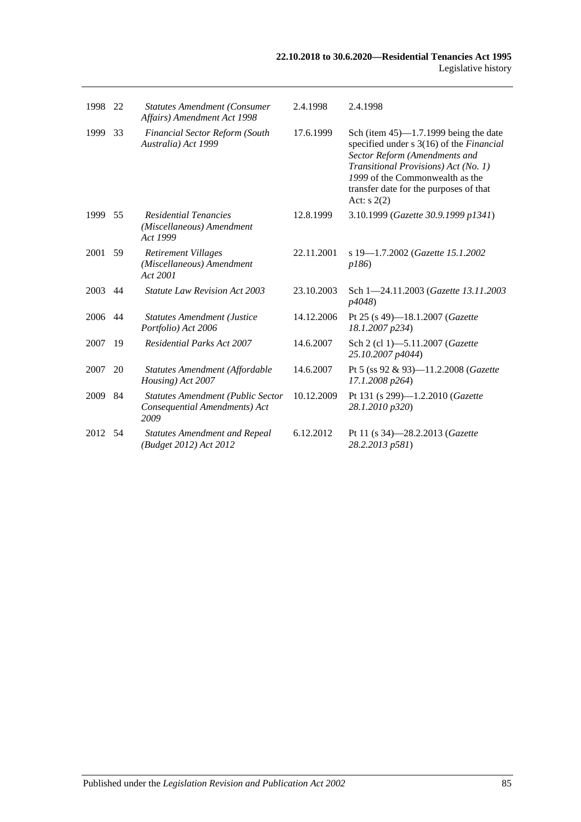| 1998 | 22 | <b>Statutes Amendment (Consumer</b><br>Affairs) Amendment Act 1998                | 2.4.1998   | 2.4.1998                                                                                                                                                                                                                                                  |
|------|----|-----------------------------------------------------------------------------------|------------|-----------------------------------------------------------------------------------------------------------------------------------------------------------------------------------------------------------------------------------------------------------|
| 1999 | 33 | <b>Financial Sector Reform (South</b><br>Australia) Act 1999                      | 17.6.1999  | Sch (item $45$ )—1.7.1999 being the date<br>specified under s 3(16) of the Financial<br>Sector Reform (Amendments and<br>Transitional Provisions) Act (No. 1)<br>1999 of the Commonwealth as the<br>transfer date for the purposes of that<br>Act: $s(2)$ |
| 1999 | 55 | <b>Residential Tenancies</b><br>(Miscellaneous) Amendment<br>Act 1999             | 12.8.1999  | 3.10.1999 (Gazette 30.9.1999 p1341)                                                                                                                                                                                                                       |
| 2001 | 59 | <b>Retirement Villages</b><br>(Miscellaneous) Amendment<br>Act 2001               | 22.11.2001 | s 19-1.7.2002 (Gazette 15.1.2002<br>p186                                                                                                                                                                                                                  |
| 2003 | 44 | <b>Statute Law Revision Act 2003</b>                                              | 23.10.2003 | Sch 1-24.11.2003 (Gazette 13.11.2003)<br>p4048)                                                                                                                                                                                                           |
| 2006 | 44 | <b>Statutes Amendment (Justice</b><br>Portfolio) Act 2006                         | 14.12.2006 | Pt 25 (s 49)-18.1.2007 ( <i>Gazette</i><br>18.1.2007 p234)                                                                                                                                                                                                |
| 2007 | 19 | <b>Residential Parks Act 2007</b>                                                 | 14.6.2007  | Sch 2 (cl 1)-5.11.2007 (Gazette<br>25.10.2007 p4044)                                                                                                                                                                                                      |
| 2007 | 20 | Statutes Amendment (Affordable<br>Housing) Act 2007                               | 14.6.2007  | Pt 5 (ss 92 & 93)-11.2.2008 (Gazette<br>17.1.2008 p264)                                                                                                                                                                                                   |
| 2009 | 84 | <b>Statutes Amendment (Public Sector</b><br>Consequential Amendments) Act<br>2009 | 10.12.2009 | Pt 131 (s 299)-1.2.2010 ( <i>Gazette</i><br>28.1.2010 p320)                                                                                                                                                                                               |
| 2012 | 54 | <b>Statutes Amendment and Repeal</b><br>(Budget 2012) Act 2012                    | 6.12.2012  | Pt 11 (s 34)-28.2.2013 (Gazette<br>28.2.2013 p581)                                                                                                                                                                                                        |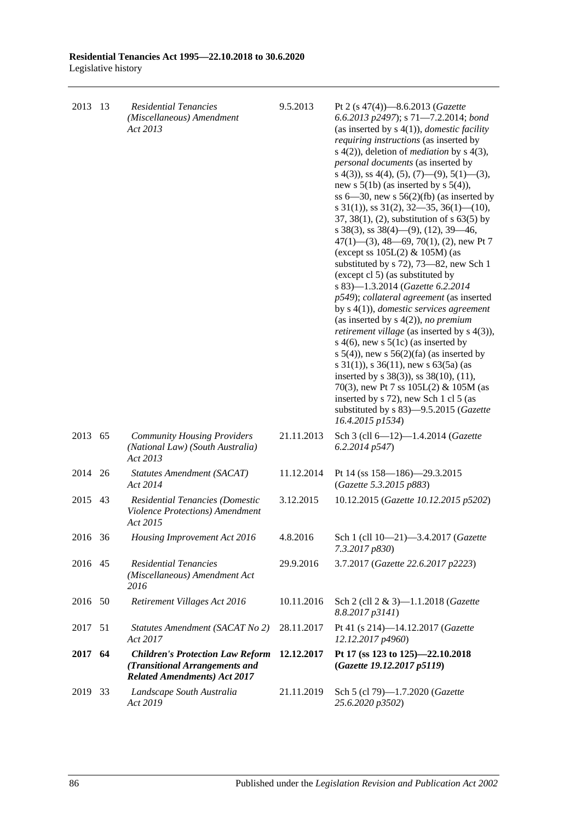| 2013    | 13 | <b>Residential Tenancies</b><br>(Miscellaneous) Amendment<br>Act 2013                                            | 9.5.2013   | Pt 2 (s 47(4))-8.6.2013 (Gazette<br>6.6.2013 p2497); s 71-7.2.2014; bond<br>(as inserted by $s(4(1))$ , <i>domestic facility</i><br><i>requiring instructions</i> (as inserted by<br>s $4(2)$ ), deletion of <i>mediation</i> by s $4(3)$ ,<br>personal documents (as inserted by<br>s 4(3), ss 4(4), (5), (7)—(9), 5(1)—(3),<br>new s $5(1b)$ (as inserted by s $5(4)$ ),<br>ss $6-30$ , new s $56(2)(fb)$ (as inserted by<br>s $31(1)$ , ss $31(2)$ , $32-35$ , $36(1)$ (10),<br>37, 38(1), (2), substitution of $s$ 63(5) by<br>s 38(3), ss 38(4)–(9), (12), 39–46,<br>$47(1)$ — $(3)$ , 48—69, 70(1), (2), new Pt 7<br>(except ss 105L(2) & 105M) (as<br>substituted by s 72), 73–82, new Sch 1<br>(except cl 5) (as substituted by<br>s 83)-1.3.2014 (Gazette 6.2.2014<br>p549); collateral agreement (as inserted<br>by $s(1)$ , <i>domestic services agreement</i><br>(as inserted by $s(4(2))$ , no premium<br>retirement village (as inserted by s 4(3)),<br>s 4(6), new s $5(1c)$ (as inserted by<br>s $5(4)$ , new s $56(2)(fa)$ (as inserted by<br>s $31(1)$ , s $36(11)$ , new s $63(5a)$ (as<br>inserted by s 38(3)), ss 38(10), (11),<br>70(3), new Pt 7 ss $105L(2)$ & $105M$ (as<br>inserted by s 72), new Sch 1 cl 5 (as<br>substituted by s 83)-9.5.2015 (Gazette<br>16.4.2015 p1534) |
|---------|----|------------------------------------------------------------------------------------------------------------------|------------|----------------------------------------------------------------------------------------------------------------------------------------------------------------------------------------------------------------------------------------------------------------------------------------------------------------------------------------------------------------------------------------------------------------------------------------------------------------------------------------------------------------------------------------------------------------------------------------------------------------------------------------------------------------------------------------------------------------------------------------------------------------------------------------------------------------------------------------------------------------------------------------------------------------------------------------------------------------------------------------------------------------------------------------------------------------------------------------------------------------------------------------------------------------------------------------------------------------------------------------------------------------------------------------------------------|
| 2013    | 65 | <b>Community Housing Providers</b><br>(National Law) (South Australia)<br>Act 2013                               | 21.11.2013 | Sch 3 (cll 6-12)-1.4.2014 (Gazette<br>6.2.2014 p547)                                                                                                                                                                                                                                                                                                                                                                                                                                                                                                                                                                                                                                                                                                                                                                                                                                                                                                                                                                                                                                                                                                                                                                                                                                                     |
| 2014    | 26 | Statutes Amendment (SACAT)<br>Act 2014                                                                           | 11.12.2014 | Pt 14 (ss 158-186)-29.3.2015<br>(Gazette 5.3.2015 p883)                                                                                                                                                                                                                                                                                                                                                                                                                                                                                                                                                                                                                                                                                                                                                                                                                                                                                                                                                                                                                                                                                                                                                                                                                                                  |
| 2015    | 43 | Residential Tenancies (Domestic<br>Violence Protections) Amendment<br>Act 2015                                   | 3.12.2015  | 10.12.2015 (Gazette 10.12.2015 p5202)                                                                                                                                                                                                                                                                                                                                                                                                                                                                                                                                                                                                                                                                                                                                                                                                                                                                                                                                                                                                                                                                                                                                                                                                                                                                    |
| 2016    | 36 | Housing Improvement Act 2016                                                                                     | 4.8.2016   | Sch 1 (cll 10-21)-3.4.2017 (Gazette<br>7.3.2017 p830)                                                                                                                                                                                                                                                                                                                                                                                                                                                                                                                                                                                                                                                                                                                                                                                                                                                                                                                                                                                                                                                                                                                                                                                                                                                    |
| 2016 45 |    | Residential Tenancies<br>(Miscellaneous) Amendment Act<br>2016                                                   | 29.9.2016  | 3.7.2017 (Gazette 22.6.2017 p2223)                                                                                                                                                                                                                                                                                                                                                                                                                                                                                                                                                                                                                                                                                                                                                                                                                                                                                                                                                                                                                                                                                                                                                                                                                                                                       |
| 2016    | 50 | Retirement Villages Act 2016                                                                                     | 10.11.2016 | Sch 2 (cll 2 & 3)-1.1.2018 (Gazette<br>8.8.2017 p3141)                                                                                                                                                                                                                                                                                                                                                                                                                                                                                                                                                                                                                                                                                                                                                                                                                                                                                                                                                                                                                                                                                                                                                                                                                                                   |
| 2017    | 51 | Statutes Amendment (SACAT No 2)<br>Act 2017                                                                      | 28.11.2017 | Pt 41 (s 214)-14.12.2017 (Gazette<br>12.12.2017 p4960)                                                                                                                                                                                                                                                                                                                                                                                                                                                                                                                                                                                                                                                                                                                                                                                                                                                                                                                                                                                                                                                                                                                                                                                                                                                   |
| 2017    | 64 | <b>Children's Protection Law Reform</b><br>(Transitional Arrangements and<br><b>Related Amendments) Act 2017</b> | 12.12.2017 | Pt 17 (ss 123 to 125)-22.10.2018<br>(Gazette 19.12.2017 p5119)                                                                                                                                                                                                                                                                                                                                                                                                                                                                                                                                                                                                                                                                                                                                                                                                                                                                                                                                                                                                                                                                                                                                                                                                                                           |
| 2019    | 33 | Landscape South Australia<br>Act 2019                                                                            | 21.11.2019 | Sch 5 (cl 79)-1.7.2020 (Gazette<br>25.6.2020 p3502)                                                                                                                                                                                                                                                                                                                                                                                                                                                                                                                                                                                                                                                                                                                                                                                                                                                                                                                                                                                                                                                                                                                                                                                                                                                      |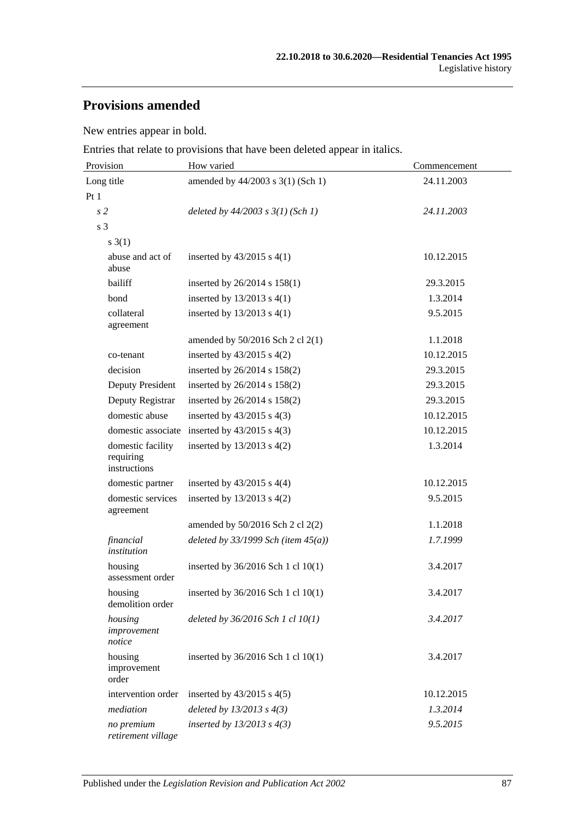# **Provisions amended**

New entries appear in bold.

Entries that relate to provisions that have been deleted appear in italics.

| Provision                                      | How varied                               | Commencement |  |
|------------------------------------------------|------------------------------------------|--------------|--|
| Long title                                     | amended by 44/2003 s 3(1) (Sch 1)        | 24.11.2003   |  |
| Pt1                                            |                                          |              |  |
| s <sub>2</sub>                                 | deleted by $44/2003$ s $3(1)$ (Sch 1)    | 24.11.2003   |  |
| s 3                                            |                                          |              |  |
| $s \; 3(1)$                                    |                                          |              |  |
| abuse and act of<br>abuse                      | inserted by $43/2015$ s $4(1)$           | 10.12.2015   |  |
| bailiff                                        | inserted by $26/2014$ s $158(1)$         | 29.3.2015    |  |
| bond                                           | inserted by $13/2013$ s $4(1)$           | 1.3.2014     |  |
| collateral<br>agreement                        | inserted by $13/2013$ s $4(1)$           | 9.5.2015     |  |
|                                                | amended by $50/2016$ Sch 2 cl 2(1)       | 1.1.2018     |  |
| co-tenant                                      | inserted by $43/2015$ s $4(2)$           | 10.12.2015   |  |
| decision                                       | inserted by 26/2014 s 158(2)             | 29.3.2015    |  |
| Deputy President                               | inserted by 26/2014 s 158(2)             | 29.3.2015    |  |
| Deputy Registrar                               | inserted by 26/2014 s 158(2)             | 29.3.2015    |  |
| domestic abuse                                 | inserted by $43/2015$ s $4(3)$           | 10.12.2015   |  |
| domestic associate                             | inserted by $43/2015$ s $4(3)$           | 10.12.2015   |  |
| domestic facility<br>requiring<br>instructions | inserted by $13/2013$ s $4(2)$           | 1.3.2014     |  |
| domestic partner                               | inserted by $43/2015$ s $4(4)$           | 10.12.2015   |  |
| domestic services<br>agreement                 | inserted by $13/2013$ s $4(2)$           | 9.5.2015     |  |
|                                                | amended by 50/2016 Sch 2 cl 2(2)         | 1.1.2018     |  |
| financial<br>institution                       | deleted by $33/1999$ Sch (item $45(a)$ ) | 1.7.1999     |  |
| housing<br>assessment order                    | inserted by 36/2016 Sch 1 cl 10(1)       | 3.4.2017     |  |
| housing<br>demolition order                    | inserted by 36/2016 Sch 1 cl 10(1)       | 3.4.2017     |  |
| housing<br>improvement<br>notice               | deleted by $36/2016$ Sch 1 cl $10(1)$    | 3.4.2017     |  |
| housing<br>improvement<br>order                | inserted by 36/2016 Sch 1 cl 10(1)       | 3.4.2017     |  |
| intervention order                             | inserted by $43/2015$ s $4(5)$           | 10.12.2015   |  |
| mediation                                      | deleted by $13/2013$ s $4(3)$            | 1.3.2014     |  |
| no premium<br>retirement village               | inserted by $13/2013$ s $4(3)$           | 9.5.2015     |  |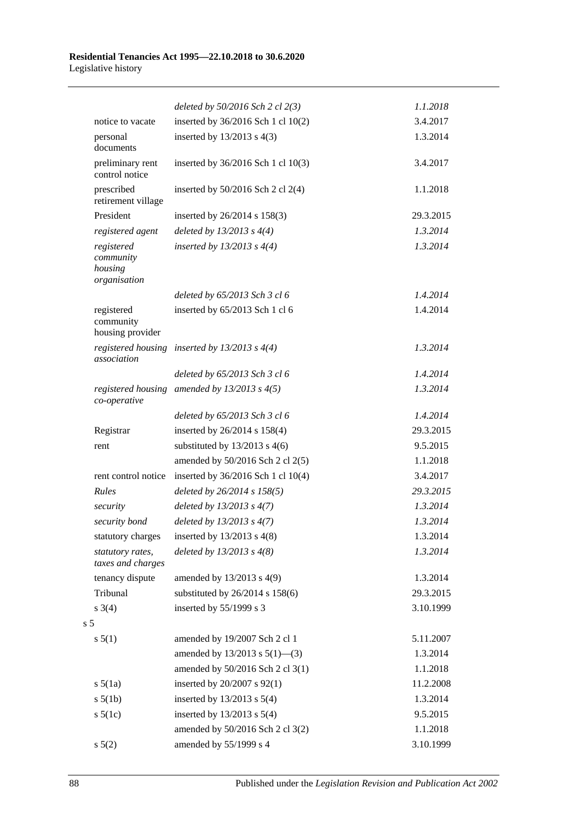|                |                                                    | deleted by $50/2016$ Sch 2 cl $2(3)$              | 1.1.2018  |
|----------------|----------------------------------------------------|---------------------------------------------------|-----------|
|                | notice to vacate                                   | inserted by 36/2016 Sch 1 cl 10(2)                | 3.4.2017  |
|                | personal<br>documents                              | inserted by $13/2013$ s $4(3)$                    | 1.3.2014  |
|                | preliminary rent<br>control notice                 | inserted by 36/2016 Sch 1 cl 10(3)                | 3.4.2017  |
|                | prescribed<br>retirement village                   | inserted by $50/2016$ Sch 2 cl 2(4)               | 1.1.2018  |
|                | President                                          | inserted by 26/2014 s 158(3)                      | 29.3.2015 |
|                | registered agent                                   | deleted by $13/2013$ s $4(4)$                     | 1.3.2014  |
|                | registered<br>community<br>housing<br>organisation | inserted by $13/2013$ s $4(4)$                    | 1.3.2014  |
|                |                                                    | deleted by 65/2013 Sch 3 cl 6                     | 1.4.2014  |
|                | registered<br>community<br>housing provider        | inserted by 65/2013 Sch 1 cl 6                    | 1.4.2014  |
|                | association                                        | registered housing inserted by $13/2013$ s $4(4)$ | 1.3.2014  |
|                |                                                    | deleted by 65/2013 Sch 3 cl 6                     | 1.4.2014  |
|                | co-operative                                       | registered housing amended by $13/2013$ s $4(5)$  | 1.3.2014  |
|                |                                                    | deleted by 65/2013 Sch 3 cl 6                     | 1.4.2014  |
|                | Registrar                                          | inserted by 26/2014 s 158(4)                      | 29.3.2015 |
|                | rent                                               | substituted by $13/2013$ s 4(6)                   | 9.5.2015  |
|                |                                                    | amended by 50/2016 Sch 2 cl 2(5)                  | 1.1.2018  |
|                | rent control notice                                | inserted by 36/2016 Sch 1 cl 10(4)                | 3.4.2017  |
|                | Rules                                              | deleted by 26/2014 s 158(5)                       | 29.3.2015 |
|                | security                                           | deleted by $13/2013$ s $4(7)$                     | 1.3.2014  |
|                | security bond                                      | deleted by $13/2013$ s $4(7)$                     | 1.3.2014  |
|                | statutory charges                                  | inserted by 13/2013 s 4(8)                        | 1.3.2014  |
|                | statutory rates,<br>taxes and charges              | deleted by $13/2013$ s $4(8)$                     | 1.3.2014  |
|                | tenancy dispute                                    | amended by 13/2013 s 4(9)                         | 1.3.2014  |
|                | Tribunal                                           | substituted by 26/2014 s 158(6)                   | 29.3.2015 |
|                | $s \; 3(4)$                                        | inserted by $55/1999$ s 3                         | 3.10.1999 |
| s <sub>5</sub> |                                                    |                                                   |           |
|                | s 5(1)                                             | amended by 19/2007 Sch 2 cl 1                     | 5.11.2007 |
|                |                                                    | amended by $13/2013$ s $5(1)$ —(3)                | 1.3.2014  |
|                |                                                    | amended by 50/2016 Sch 2 cl 3(1)                  | 1.1.2018  |
|                | $s\ 5(1a)$                                         | inserted by 20/2007 s 92(1)                       | 11.2.2008 |
|                | $s\ 5(1b)$                                         | inserted by $13/2013$ s $5(4)$                    | 1.3.2014  |
|                | $s\ 5(1c)$                                         | inserted by $13/2013$ s $5(4)$                    | 9.5.2015  |
|                |                                                    | amended by 50/2016 Sch 2 cl 3(2)                  | 1.1.2018  |
|                | $s\ 5(2)$                                          | amended by 55/1999 s 4                            | 3.10.1999 |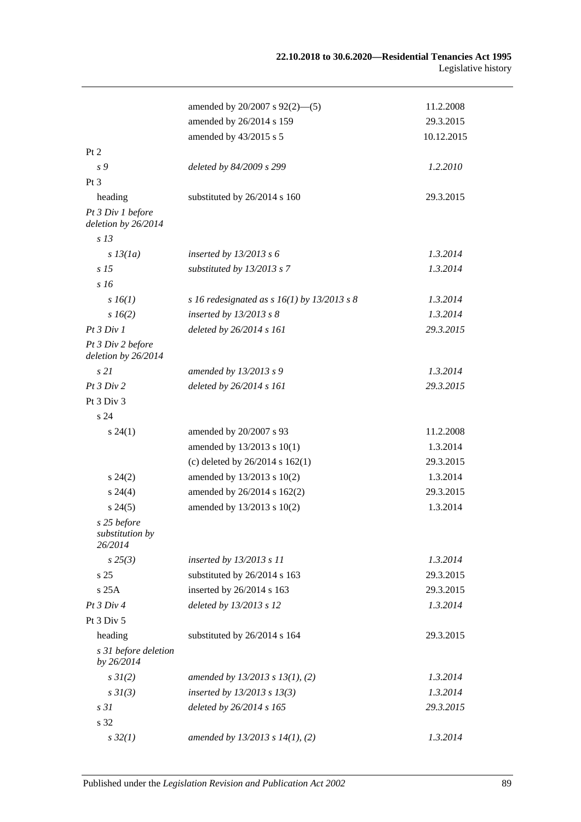|                                           | amended by $20/2007$ s $92(2)$ —(5)           | 11.2.2008  |
|-------------------------------------------|-----------------------------------------------|------------|
|                                           | amended by 26/2014 s 159                      | 29.3.2015  |
|                                           | amended by 43/2015 s 5                        | 10.12.2015 |
| Pt 2                                      |                                               |            |
| s 9                                       | deleted by 84/2009 s 299                      | 1.2.2010   |
| Pt 3                                      |                                               |            |
| heading                                   | substituted by 26/2014 s 160                  | 29.3.2015  |
| Pt 3 Div 1 before<br>deletion by 26/2014  |                                               |            |
| s <sub>13</sub>                           |                                               |            |
| $s$ 13(1a)                                | inserted by $13/2013$ s 6                     | 1.3.2014   |
| s <sub>15</sub>                           | substituted by $13/2013$ s 7                  | 1.3.2014   |
| s <sub>16</sub>                           |                                               |            |
| $s\,16(1)$                                | s 16 redesignated as s $16(1)$ by 13/2013 s 8 | 1.3.2014   |
| $s\,16(2)$                                | inserted by $13/2013$ s 8                     | 1.3.2014   |
| Pt 3 Div 1                                | deleted by 26/2014 s 161                      | 29.3.2015  |
| Pt 3 Div 2 before<br>deletion by 26/2014  |                                               |            |
| s21                                       | amended by 13/2013 s 9                        | 1.3.2014   |
| Pt 3 Div 2                                | deleted by 26/2014 s 161                      | 29.3.2015  |
| Pt 3 Div 3                                |                                               |            |
| s 24                                      |                                               |            |
| $s\,24(1)$                                | amended by 20/2007 s 93                       | 11.2.2008  |
|                                           | amended by 13/2013 s 10(1)                    | 1.3.2014   |
|                                           | (c) deleted by 26/2014 s 162(1)               | 29.3.2015  |
| $s\,24(2)$                                | amended by 13/2013 s 10(2)                    | 1.3.2014   |
| $s\,24(4)$                                | amended by 26/2014 s 162(2)                   | 29.3.2015  |
| $s\,24(5)$                                | amended by 13/2013 s 10(2)                    | 1.3.2014   |
| s 25 before<br>substitution by<br>26/2014 |                                               |            |
| $s\,25(3)$                                | inserted by 13/2013 s 11                      | 1.3.2014   |
| s 25                                      | substituted by 26/2014 s 163                  | 29.3.2015  |
| s25A                                      | inserted by 26/2014 s 163                     | 29.3.2015  |
| Pt 3 Div 4                                | deleted by 13/2013 s 12                       | 1.3.2014   |
| Pt 3 Div 5                                |                                               |            |
| heading                                   | substituted by 26/2014 s 164                  | 29.3.2015  |
| s 31 before deletion<br>by 26/2014        |                                               |            |
| $s \, 3I(2)$                              | amended by $13/2013$ s $13(1)$ , (2)          | 1.3.2014   |
| $s \frac{3I(3)}{3}$                       | inserted by $13/2013$ s $13(3)$               | 1.3.2014   |
| s31                                       | deleted by 26/2014 s 165                      | 29.3.2015  |
| s 32                                      |                                               |            |
| $s\,32(1)$                                | amended by $13/2013$ s $14(1)$ , (2)          | 1.3.2014   |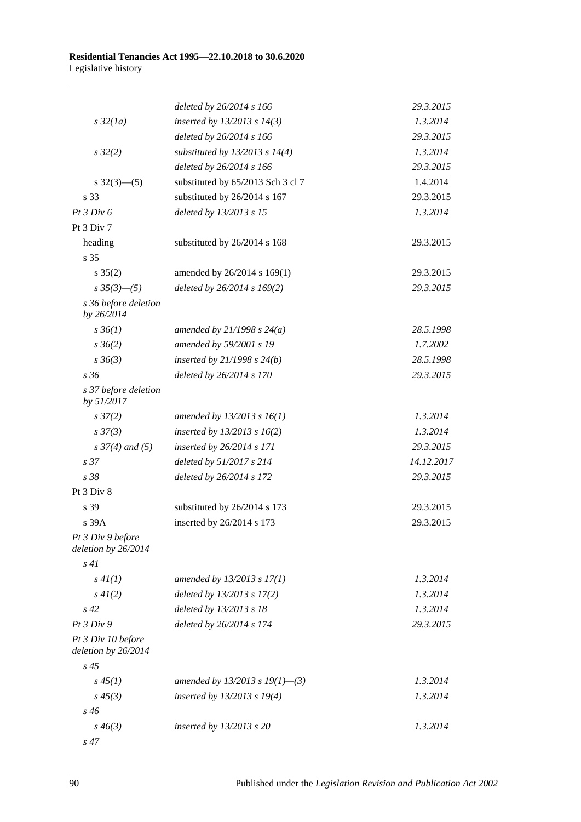|                                           | deleted by 26/2014 s 166           | 29.3.2015  |
|-------------------------------------------|------------------------------------|------------|
| $s\,32(1a)$                               | inserted by $13/2013$ s $14(3)$    | 1.3.2014   |
|                                           | deleted by 26/2014 s 166           | 29.3.2015  |
| $s\,32(2)$                                | substituted by $13/2013$ s $14(4)$ | 1.3.2014   |
|                                           | deleted by 26/2014 s 166           | 29.3.2015  |
| $s \frac{32(3) - (5)}{2}$                 | substituted by 65/2013 Sch 3 cl 7  | 1.4.2014   |
| s 33                                      | substituted by 26/2014 s 167       | 29.3.2015  |
| Pt 3 Div 6                                | deleted by 13/2013 s 15            | 1.3.2014   |
| Pt 3 Div 7                                |                                    |            |
| heading                                   | substituted by 26/2014 s 168       | 29.3.2015  |
| s 35                                      |                                    |            |
| $s \; 35(2)$                              | amended by 26/2014 s 169(1)        | 29.3.2015  |
| $s \frac{35(3)-(5)}{s}$                   | deleted by 26/2014 s 169(2)        | 29.3.2015  |
| s 36 before deletion<br>by 26/2014        |                                    |            |
| $s \, 36(1)$                              | amended by $21/1998 s 24(a)$       | 28.5.1998  |
| $s \, 36(2)$                              | amended by 59/2001 s 19            | 1.7.2002   |
| $s \, 36(3)$                              | inserted by $21/1998 s 24(b)$      | 28.5.1998  |
| s36                                       | deleted by 26/2014 s 170           | 29.3.2015  |
| s 37 before deletion<br>by 51/2017        |                                    |            |
| $s \frac{37}{2}$                          | amended by $13/2013$ s $16(1)$     | 1.3.2014   |
| $s \frac{37(3)}{3}$                       | inserted by $13/2013$ s $16(2)$    | 1.3.2014   |
| $s \frac{37}{4}$ and (5)                  | inserted by 26/2014 s 171          | 29.3.2015  |
| s <sub>37</sub>                           | deleted by 51/2017 s 214           | 14.12.2017 |
| s38                                       | deleted by 26/2014 s 172           | 29.3.2015  |
| Pt 3 Div 8                                |                                    |            |
| s 39                                      | substituted by 26/2014 s 173       | 29.3.2015  |
| s 39A                                     | inserted by 26/2014 s 173          | 29.3.2015  |
| Pt 3 Div 9 before<br>deletion by 26/2014  |                                    |            |
| s41                                       |                                    |            |
| s 4I(1)                                   | amended by 13/2013 s 17(1)         | 1.3.2014   |
| $s\,4I(2)$                                | deleted by 13/2013 s 17(2)         | 1.3.2014   |
| $s\,42$                                   | deleted by 13/2013 s 18            | 1.3.2014   |
| Pt3 Div9                                  | deleted by 26/2014 s 174           | 29.3.2015  |
| Pt 3 Div 10 before<br>deletion by 26/2014 |                                    |            |
| $s\,45$                                   |                                    |            |
| $s\,45(1)$                                | amended by 13/2013 s 19(1)–(3)     | 1.3.2014   |
| $s\,45(3)$                                | inserted by 13/2013 s 19(4)        | 1.3.2014   |
| $s\,46$                                   |                                    |            |
| $s\,46(3)$                                | inserted by 13/2013 s 20           | 1.3.2014   |
| $s\,47$                                   |                                    |            |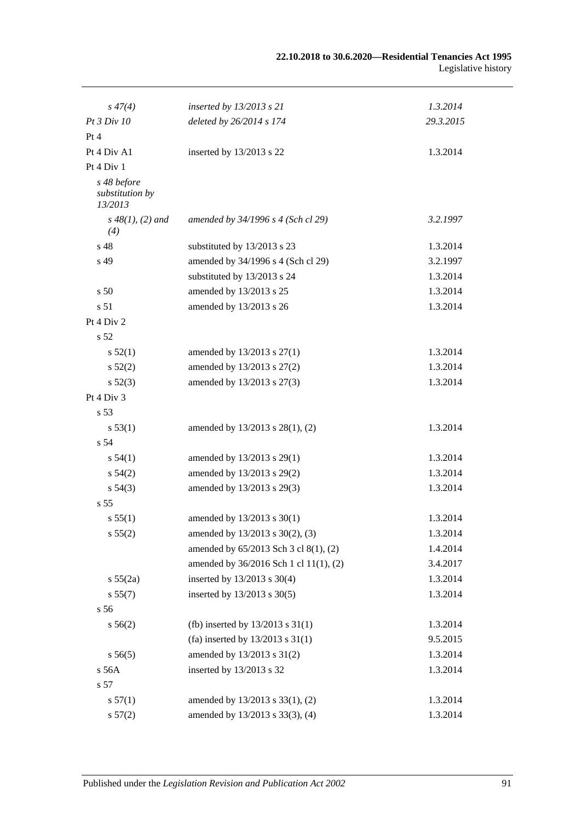| $s\,47(4)$                                | inserted by 13/2013 s 21               | 1.3.2014  |
|-------------------------------------------|----------------------------------------|-----------|
| Pt 3 Div 10                               | deleted by 26/2014 s 174               | 29.3.2015 |
| Pt 4                                      |                                        |           |
| Pt 4 Div A1                               | inserted by 13/2013 s 22               | 1.3.2014  |
| Pt 4 Div 1                                |                                        |           |
| s 48 before<br>substitution by<br>13/2013 |                                        |           |
| $s\,48(1), (2)$ and<br>(4)                | amended by 34/1996 s 4 (Sch cl 29)     | 3.2.1997  |
| s 48                                      | substituted by 13/2013 s 23            | 1.3.2014  |
| s 49                                      | amended by 34/1996 s 4 (Sch cl 29)     | 3.2.1997  |
|                                           | substituted by 13/2013 s 24            | 1.3.2014  |
| s 50                                      | amended by 13/2013 s 25                | 1.3.2014  |
| s 51                                      | amended by 13/2013 s 26                | 1.3.2014  |
| Pt 4 Div 2                                |                                        |           |
| s 52                                      |                                        |           |
| s 52(1)                                   | amended by 13/2013 s 27(1)             | 1.3.2014  |
| $s\,52(2)$                                | amended by 13/2013 s 27(2)             | 1.3.2014  |
| $s\,52(3)$                                | amended by 13/2013 s 27(3)             | 1.3.2014  |
| Pt 4 Div 3                                |                                        |           |
| s 53                                      |                                        |           |
| s 53(1)                                   | amended by 13/2013 s 28(1), (2)        | 1.3.2014  |
| s 54                                      |                                        |           |
| s 54(1)                                   | amended by 13/2013 s 29(1)             | 1.3.2014  |
| $s\,54(2)$                                | amended by 13/2013 s 29(2)             | 1.3.2014  |
| $s\,54(3)$                                | amended by 13/2013 s 29(3)             | 1.3.2014  |
| s <sub>55</sub>                           |                                        |           |
| s 55(1)                                   | amended by 13/2013 s 30(1)             | 1.3.2014  |
| s 55(2)                                   | amended by 13/2013 s 30(2), (3)        | 1.3.2014  |
|                                           | amended by 65/2013 Sch 3 cl 8(1), (2)  | 1.4.2014  |
|                                           | amended by 36/2016 Sch 1 cl 11(1), (2) | 3.4.2017  |
| s 55(2a)                                  | inserted by 13/2013 s 30(4)            | 1.3.2014  |
| s 55(7)                                   | inserted by 13/2013 s 30(5)            | 1.3.2014  |
| s 56                                      |                                        |           |
| $s\,56(2)$                                | (fb) inserted by $13/2013$ s $31(1)$   | 1.3.2014  |
|                                           | (fa) inserted by $13/2013$ s $31(1)$   | 9.5.2015  |
| $s\,56(5)$                                | amended by 13/2013 s 31(2)             | 1.3.2014  |
| s 56A                                     | inserted by 13/2013 s 32               | 1.3.2014  |
| s 57                                      |                                        |           |
| s 57(1)                                   | amended by 13/2013 s 33(1), (2)        | 1.3.2014  |
| s 57(2)                                   | amended by 13/2013 s 33(3), (4)        | 1.3.2014  |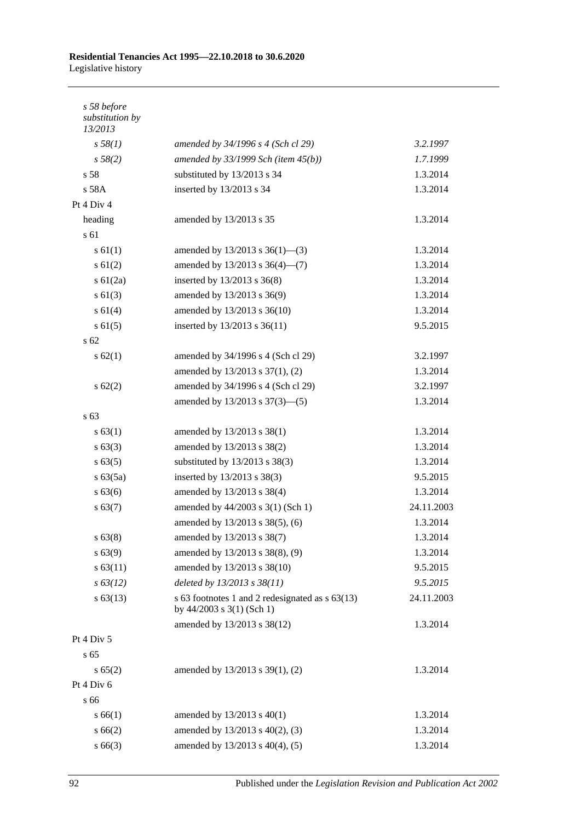| s 58 before<br>substitution by<br>13/2013 |                                                                                  |            |
|-------------------------------------------|----------------------------------------------------------------------------------|------------|
| s 58(1)                                   | amended by 34/1996 s 4 (Sch cl 29)                                               | 3.2.1997   |
| s 58(2)                                   | amended by $33/1999$ Sch (item $45(b)$ )                                         | 1.7.1999   |
| s <sub>58</sub>                           | substituted by 13/2013 s 34                                                      | 1.3.2014   |
| s 58A                                     | inserted by 13/2013 s 34                                                         | 1.3.2014   |
| Pt 4 Div 4                                |                                                                                  |            |
| heading                                   | amended by 13/2013 s 35                                                          | 1.3.2014   |
| s 61                                      |                                                                                  |            |
| s 61(1)                                   | amended by $13/2013$ s $36(1)$ —(3)                                              | 1.3.2014   |
| $s \ 61(2)$                               | amended by $13/2013$ s $36(4)$ — $(7)$                                           | 1.3.2014   |
| $s \ 61(2a)$                              | inserted by 13/2013 s 36(8)                                                      | 1.3.2014   |
| $s \ 61(3)$                               | amended by 13/2013 s 36(9)                                                       | 1.3.2014   |
| $s \ 61(4)$                               | amended by 13/2013 s 36(10)                                                      | 1.3.2014   |
| $s \ 61(5)$                               | inserted by 13/2013 s 36(11)                                                     | 9.5.2015   |
| s 62                                      |                                                                                  |            |
| $s \, 62(1)$                              | amended by 34/1996 s 4 (Sch cl 29)                                               | 3.2.1997   |
|                                           | amended by 13/2013 s 37(1), (2)                                                  | 1.3.2014   |
| $s \, 62(2)$                              | amended by 34/1996 s 4 (Sch cl 29)                                               | 3.2.1997   |
|                                           | amended by 13/2013 s 37(3)–(5)                                                   | 1.3.2014   |
| s 63                                      |                                                                                  |            |
| s 63(1)                                   | amended by 13/2013 s 38(1)                                                       | 1.3.2014   |
| $s \, 63(3)$                              | amended by 13/2013 s 38(2)                                                       | 1.3.2014   |
| s 63(5)                                   | substituted by 13/2013 s 38(3)                                                   | 1.3.2014   |
| $s\,63(5a)$                               | inserted by 13/2013 s 38(3)                                                      | 9.5.2015   |
| s 63(6)                                   | amended by 13/2013 s 38(4)                                                       | 1.3.2014   |
| s 63(7)                                   | amended by 44/2003 s 3(1) (Sch 1)                                                | 24.11.2003 |
|                                           | amended by 13/2013 s 38(5), (6)                                                  | 1.3.2014   |
| $s\,63(8)$                                | amended by 13/2013 s 38(7)                                                       | 1.3.2014   |
| $s\,63(9)$                                | amended by 13/2013 s 38(8), (9)                                                  | 1.3.2014   |
| s 63(11)                                  | amended by 13/2013 s 38(10)                                                      | 9.5.2015   |
| $s\,63(12)$                               | deleted by 13/2013 s 38(11)                                                      | 9.5.2015   |
| $s\,63(13)$                               | s 63 footnotes 1 and 2 redesignated as s 63(13)<br>by $44/2003$ s $3(1)$ (Sch 1) | 24.11.2003 |
|                                           | amended by 13/2013 s 38(12)                                                      | 1.3.2014   |
| Pt 4 Div 5                                |                                                                                  |            |
| s 65                                      |                                                                                  |            |
| s 65(2)                                   | amended by 13/2013 s 39(1), (2)                                                  | 1.3.2014   |
| Pt 4 Div 6                                |                                                                                  |            |
| s 66                                      |                                                                                  |            |
| s 66(1)                                   | amended by $13/2013$ s $40(1)$                                                   | 1.3.2014   |
| s 66(2)                                   | amended by 13/2013 s 40(2), (3)                                                  | 1.3.2014   |
| $s\,66(3)$                                | amended by 13/2013 s 40(4), (5)                                                  | 1.3.2014   |
|                                           |                                                                                  |            |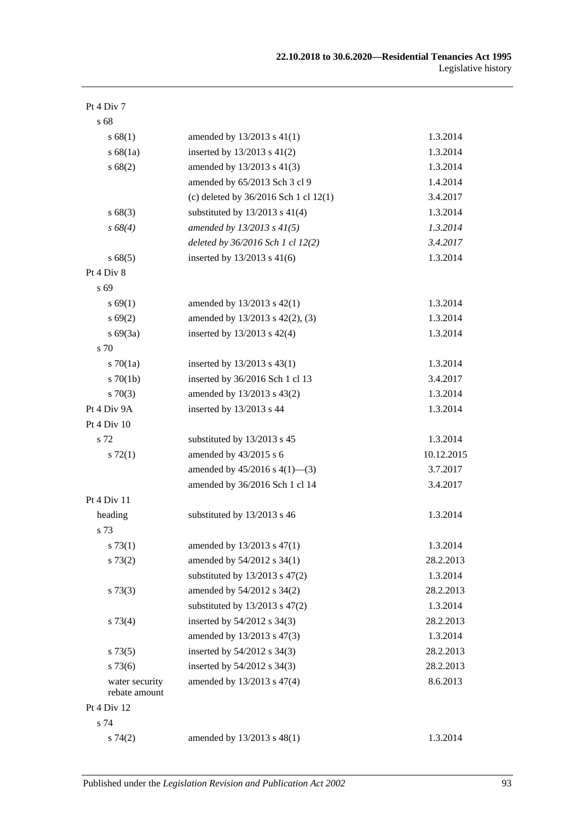| Pt 4 Div 7                      |                                           |            |
|---------------------------------|-------------------------------------------|------------|
| s 68                            |                                           |            |
| s 68(1)                         | amended by 13/2013 s 41(1)                | 1.3.2014   |
| s 68(1a)                        | inserted by $13/2013$ s $41(2)$           | 1.3.2014   |
| s68(2)                          | amended by 13/2013 s 41(3)                | 1.3.2014   |
|                                 | amended by 65/2013 Sch 3 cl 9             | 1.4.2014   |
|                                 | (c) deleted by $36/2016$ Sch 1 cl $12(1)$ | 3.4.2017   |
| s68(3)                          | substituted by $13/2013$ s $41(4)$        | 1.3.2014   |
| $s\,68(4)$                      | amended by 13/2013 s 41(5)                | 1.3.2014   |
|                                 | deleted by 36/2016 Sch 1 cl 12(2)         | 3.4.2017   |
| s 68(5)                         | inserted by 13/2013 s 41(6)               | 1.3.2014   |
| Pt 4 Div 8                      |                                           |            |
| s 69                            |                                           |            |
| s 69(1)                         | amended by 13/2013 s 42(1)                | 1.3.2014   |
| s 69(2)                         | amended by 13/2013 s 42(2), (3)           | 1.3.2014   |
| $s\ 69(3a)$                     | inserted by 13/2013 s 42(4)               | 1.3.2014   |
| s 70                            |                                           |            |
| $s \, 70(1a)$                   | inserted by 13/2013 s 43(1)               | 1.3.2014   |
| $s \, 70(1b)$                   | inserted by 36/2016 Sch 1 cl 13           | 3.4.2017   |
| $s \, 70(3)$                    | amended by 13/2013 s 43(2)                | 1.3.2014   |
| Pt 4 Div 9A                     | inserted by 13/2013 s 44                  | 1.3.2014   |
| Pt $4$ Div $10$                 |                                           |            |
| s 72                            | substituted by 13/2013 s 45               | 1.3.2014   |
| $s \, 72(1)$                    | amended by 43/2015 s 6                    | 10.12.2015 |
|                                 | amended by $45/2016$ s $4(1)$ —(3)        | 3.7.2017   |
|                                 | amended by 36/2016 Sch 1 cl 14            | 3.4.2017   |
| Pt 4 Div 11                     |                                           |            |
| heading                         | substituted by 13/2013 s 46               | 1.3.2014   |
| s 73                            |                                           |            |
| s 73(1)                         | amended by 13/2013 s 47(1)                | 1.3.2014   |
| s 73(2)                         | amended by 54/2012 s 34(1)                | 28.2.2013  |
|                                 | substituted by $13/2013$ s $47(2)$        | 1.3.2014   |
| $s \, 73(3)$                    | amended by 54/2012 s 34(2)                | 28.2.2013  |
|                                 | substituted by $13/2013$ s $47(2)$        | 1.3.2014   |
| $s\,73(4)$                      | inserted by 54/2012 s 34(3)               | 28.2.2013  |
|                                 | amended by 13/2013 s 47(3)                | 1.3.2014   |
| $s\,73(5)$                      | inserted by 54/2012 s 34(3)               | 28.2.2013  |
| s73(6)                          | inserted by 54/2012 s 34(3)               | 28.2.2013  |
| water security<br>rebate amount | amended by 13/2013 s 47(4)                | 8.6.2013   |
| Pt 4 Div 12                     |                                           |            |
| s 74                            |                                           |            |
| s74(2)                          | amended by 13/2013 s 48(1)                | 1.3.2014   |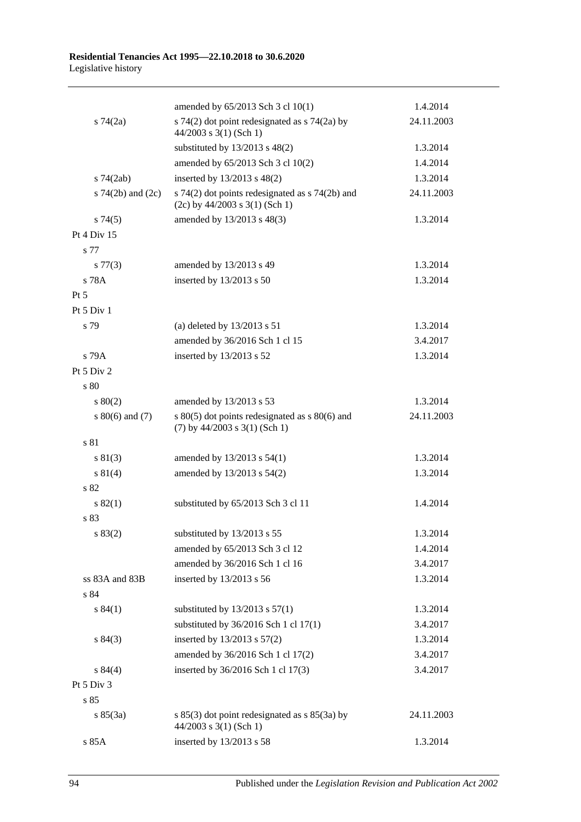|                       | amended by 65/2013 Sch 3 cl 10(1)                                                     | 1.4.2014   |
|-----------------------|---------------------------------------------------------------------------------------|------------|
| $s \, 74(2a)$         | s 74(2) dot point redesignated as $\frac{5}{4}$ (2a) by<br>$44/2003$ s 3(1) (Sch 1)   | 24.11.2003 |
|                       | substituted by $13/2013$ s $48(2)$                                                    | 1.3.2014   |
|                       | amended by 65/2013 Sch 3 cl 10(2)                                                     | 1.4.2014   |
| $s$ 74 $(2ab)$        | inserted by 13/2013 s 48(2)                                                           | 1.3.2014   |
| s $74(2b)$ and $(2c)$ | s 74(2) dot points redesignated as s 74(2b) and<br>$(2c)$ by 44/2003 s 3(1) (Sch 1)   | 24.11.2003 |
| s74(5)                | amended by 13/2013 s 48(3)                                                            | 1.3.2014   |
| Pt 4 Div 15           |                                                                                       |            |
| s 77                  |                                                                                       |            |
| $s\,77(3)$            | amended by 13/2013 s 49                                                               | 1.3.2014   |
| s 78A                 | inserted by 13/2013 s 50                                                              | 1.3.2014   |
| $Pt\,5$               |                                                                                       |            |
| Pt 5 Div 1            |                                                                                       |            |
| s 79                  | (a) deleted by $13/2013$ s $51$                                                       | 1.3.2014   |
|                       | amended by 36/2016 Sch 1 cl 15                                                        | 3.4.2017   |
| s 79A                 | inserted by 13/2013 s 52                                                              | 1.3.2014   |
| Pt 5 Div 2            |                                                                                       |            |
| s 80                  |                                                                                       |            |
| 80(2)                 | amended by 13/2013 s 53                                                               | 1.3.2014   |
| s $80(6)$ and $(7)$   | s $80(5)$ dot points redesignated as s $80(6)$ and<br>$(7)$ by 44/2003 s 3(1) (Sch 1) | 24.11.2003 |
| s 81                  |                                                                                       |            |
| s 81(3)               | amended by 13/2013 s 54(1)                                                            | 1.3.2014   |
| s 81(4)               | amended by 13/2013 s 54(2)                                                            | 1.3.2014   |
| s 82                  |                                                                                       |            |
| s 82(1)               | substituted by 65/2013 Sch 3 cl 11                                                    | 1.4.2014   |
| s 83                  |                                                                                       |            |
| s 83(2)               | substituted by 13/2013 s 55                                                           | 1.3.2014   |
|                       | amended by 65/2013 Sch 3 cl 12                                                        | 1.4.2014   |
|                       | amended by 36/2016 Sch 1 cl 16                                                        | 3.4.2017   |
| ss 83A and 83B        | inserted by 13/2013 s 56                                                              | 1.3.2014   |
| s 84                  |                                                                                       |            |
| s 84(1)               | substituted by $13/2013$ s $57(1)$                                                    | 1.3.2014   |
|                       | substituted by $36/2016$ Sch 1 cl $17(1)$                                             | 3.4.2017   |
| s 84(3)               | inserted by 13/2013 s 57(2)                                                           | 1.3.2014   |
|                       | amended by 36/2016 Sch 1 cl 17(2)                                                     | 3.4.2017   |
| s 84(4)               | inserted by 36/2016 Sch 1 cl 17(3)                                                    | 3.4.2017   |
| Pt 5 Div 3            |                                                                                       |            |
| s 85                  |                                                                                       |            |
| s 85(3a)              | s 85(3) dot point redesignated as s 85(3a) by<br>44/2003 s 3(1) (Sch 1)               | 24.11.2003 |
| s 85A                 | inserted by 13/2013 s 58                                                              | 1.3.2014   |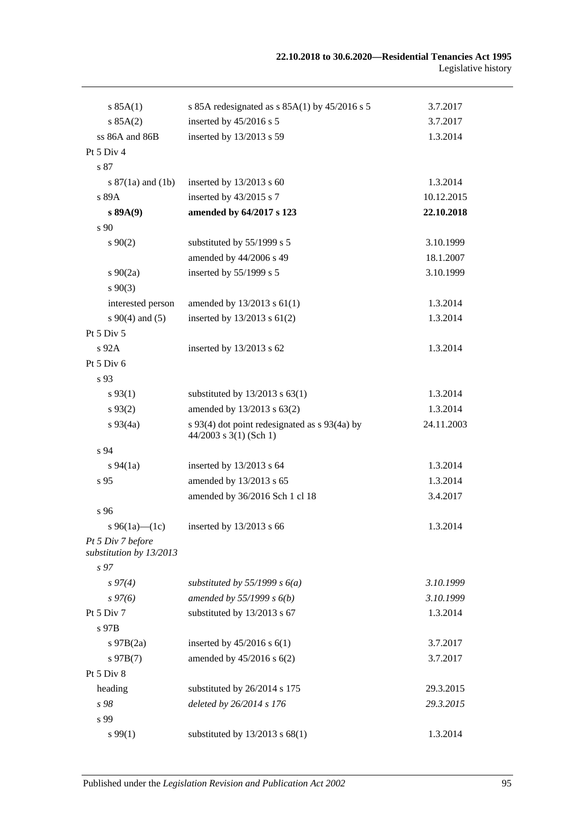| s 85A(1)                                     | s 85A redesignated as $s$ 85A(1) by 45/2016 s 5                           | 3.7.2017   |
|----------------------------------------------|---------------------------------------------------------------------------|------------|
| s 85A(2)                                     | inserted by 45/2016 s 5                                                   | 3.7.2017   |
| ss 86A and 86B                               | inserted by 13/2013 s 59                                                  | 1.3.2014   |
| Pt 5 Div 4                                   |                                                                           |            |
| s 87                                         |                                                                           |            |
| s $87(1a)$ and $(1b)$                        | inserted by $13/2013$ s 60                                                | 1.3.2014   |
| s 89A                                        | inserted by 43/2015 s 7                                                   | 10.12.2015 |
| s 89A(9)                                     | amended by 64/2017 s 123                                                  | 22.10.2018 |
| s 90                                         |                                                                           |            |
| $s\,90(2)$                                   | substituted by 55/1999 s 5                                                | 3.10.1999  |
|                                              | amended by 44/2006 s 49                                                   | 18.1.2007  |
| $s\ 90(2a)$                                  | inserted by 55/1999 s 5                                                   | 3.10.1999  |
| $s\,90(3)$                                   |                                                                           |            |
| interested person                            | amended by $13/2013$ s $61(1)$                                            | 1.3.2014   |
| $s\ 90(4)$ and (5)                           | inserted by $13/2013$ s $61(2)$                                           | 1.3.2014   |
| Pt $5$ Div $5$                               |                                                                           |            |
| $s\,92A$                                     | inserted by 13/2013 s 62                                                  | 1.3.2014   |
| Pt 5 Div 6                                   |                                                                           |            |
| s 93                                         |                                                                           |            |
| $s\,93(1)$                                   | substituted by $13/2013$ s $63(1)$                                        | 1.3.2014   |
| $s\,93(2)$                                   | amended by 13/2013 s 63(2)                                                | 1.3.2014   |
| $s\,93(4a)$                                  | s 93(4) dot point redesignated as s 93(4a) by<br>$44/2003$ s 3(1) (Sch 1) | 24.11.2003 |
| s 94                                         |                                                                           |            |
| $s\,94(1a)$                                  | inserted by 13/2013 s 64                                                  | 1.3.2014   |
| s 95                                         | amended by 13/2013 s 65                                                   | 1.3.2014   |
|                                              | amended by 36/2016 Sch 1 cl 18                                            | 3.4.2017   |
| s 96                                         |                                                                           |            |
| s 96(1a)—(1c)                                | inserted by 13/2013 s 66                                                  | 1.3.2014   |
| Pt 5 Div 7 before<br>substitution by 13/2013 |                                                                           |            |
| s <sub>97</sub>                              |                                                                           |            |
| $s\,97(4)$                                   | substituted by $55/1999$ s $6(a)$                                         | 3.10.1999  |
| $s\,97(6)$                                   | amended by $55/1999 s 6(b)$                                               | 3.10.1999  |
| Pt $5$ Div $7$                               | substituted by 13/2013 s 67                                               | 1.3.2014   |
| s 97B                                        |                                                                           |            |
| $s$ 97B $(2a)$                               | inserted by $45/2016$ s $6(1)$                                            | 3.7.2017   |
| $s\,97B(7)$                                  | amended by 45/2016 s 6(2)                                                 | 3.7.2017   |
| Pt 5 Div 8                                   |                                                                           |            |
| heading                                      | substituted by 26/2014 s 175                                              | 29.3.2015  |
| s 98                                         | deleted by 26/2014 s 176                                                  | 29.3.2015  |
| s 99                                         |                                                                           |            |
| s 99(1)                                      | substituted by $13/2013$ s $68(1)$                                        | 1.3.2014   |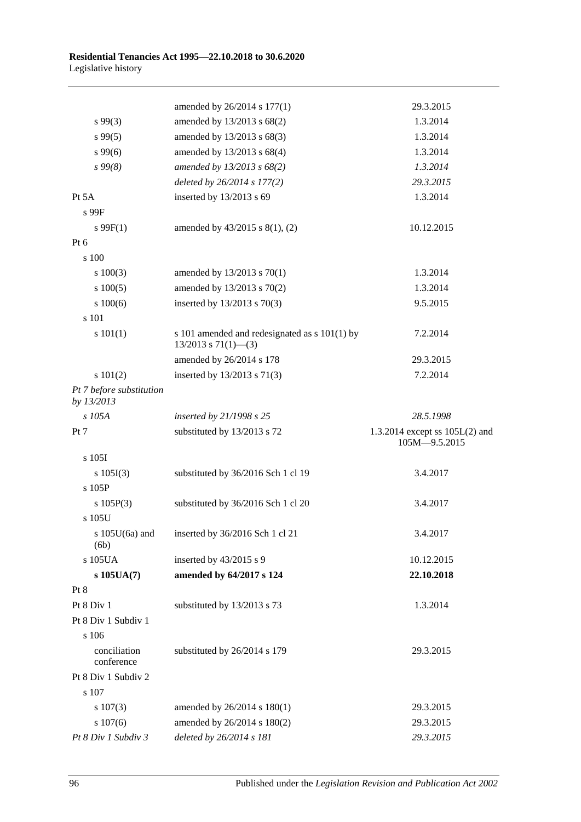|                                        | amended by 26/2014 s 177(1)                                                | 29.3.2015                                         |
|----------------------------------------|----------------------------------------------------------------------------|---------------------------------------------------|
| $s\,99(3)$                             | amended by 13/2013 s 68(2)                                                 | 1.3.2014                                          |
| $s\,99(5)$                             | amended by 13/2013 s 68(3)                                                 | 1.3.2014                                          |
| $s\,99(6)$                             | amended by 13/2013 s 68(4)                                                 | 1.3.2014                                          |
| s99(8)                                 | amended by 13/2013 s 68(2)                                                 | 1.3.2014                                          |
|                                        | deleted by 26/2014 s 177(2)                                                | 29.3.2015                                         |
| Pt 5A                                  | inserted by 13/2013 s 69                                                   | 1.3.2014                                          |
| s 99F                                  |                                                                            |                                                   |
| $s \, 99F(1)$                          | amended by 43/2015 s 8(1), (2)                                             | 10.12.2015                                        |
| Pt 6                                   |                                                                            |                                                   |
| s 100                                  |                                                                            |                                                   |
| 100(3)                                 | amended by 13/2013 s 70(1)                                                 | 1.3.2014                                          |
| 100(5)                                 | amended by 13/2013 s 70(2)                                                 | 1.3.2014                                          |
| 100(6)                                 | inserted by 13/2013 s 70(3)                                                | 9.5.2015                                          |
| s 101                                  |                                                                            |                                                   |
| s 101(1)                               | s 101 amended and redesignated as s 101(1) by<br>$13/2013$ s $71(1)$ - (3) | 7.2.2014                                          |
|                                        | amended by 26/2014 s 178                                                   | 29.3.2015                                         |
| s 101(2)                               | inserted by 13/2013 s 71(3)                                                | 7.2.2014                                          |
| Pt 7 before substitution<br>by 13/2013 |                                                                            |                                                   |
| s 105A                                 | inserted by 21/1998 s 25                                                   | 28.5.1998                                         |
| Pt 7                                   | substituted by 13/2013 s 72                                                | 1.3.2014 except ss $105L(2)$ and<br>105M-9.5.2015 |
| s 105I                                 |                                                                            |                                                   |
| s 105I(3)                              | substituted by 36/2016 Sch 1 cl 19                                         | 3.4.2017                                          |
| s 105P                                 |                                                                            |                                                   |
| s $105P(3)$                            | substituted by 36/2016 Sch 1 cl 20                                         | 3.4.2017                                          |
| s 105U                                 |                                                                            |                                                   |
| (6b)                                   | s 105U(6a) and inserted by 36/2016 Sch 1 cl 21                             | 3.4.2017                                          |
| s 105UA                                | inserted by 43/2015 s 9                                                    | 10.12.2015                                        |
| $s$ 105UA $(7)$                        | amended by 64/2017 s 124                                                   | 22.10.2018                                        |
| Pt 8                                   |                                                                            |                                                   |
| Pt 8 Div 1                             | substituted by 13/2013 s 73                                                | 1.3.2014                                          |
| Pt 8 Div 1 Subdiv 1                    |                                                                            |                                                   |
| s 106                                  |                                                                            |                                                   |
| conciliation<br>conference             | substituted by 26/2014 s 179                                               | 29.3.2015                                         |
| Pt 8 Div 1 Subdiv 2                    |                                                                            |                                                   |
| s 107                                  |                                                                            |                                                   |
| $s\ 107(3)$                            | amended by 26/2014 s 180(1)                                                | 29.3.2015                                         |
| $s\ 107(6)$                            | amended by 26/2014 s 180(2)                                                | 29.3.2015                                         |
| Pt 8 Div 1 Subdiv 3                    | deleted by 26/2014 s 181                                                   | 29.3.2015                                         |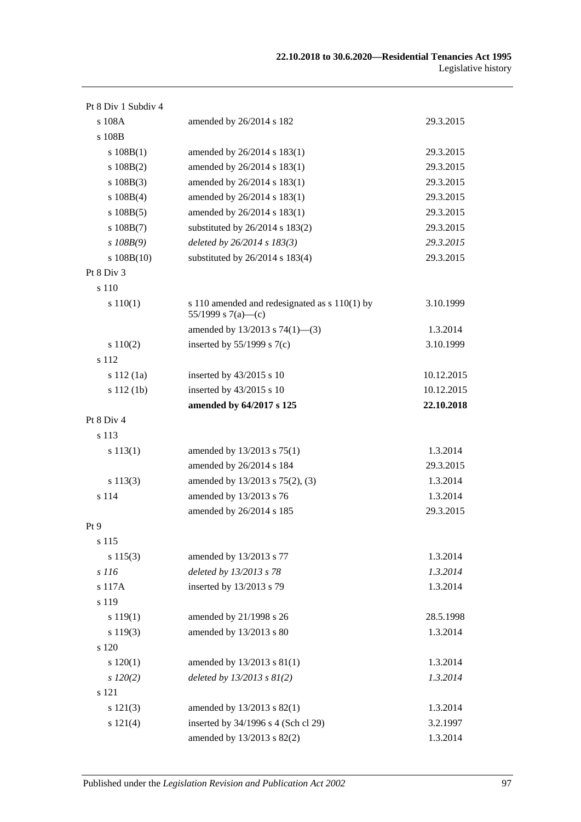| Pt 8 Div 1 Subdiv 4 |                                                                     |            |
|---------------------|---------------------------------------------------------------------|------------|
| s 108A              | amended by 26/2014 s 182                                            | 29.3.2015  |
| s 108B              |                                                                     |            |
| s 108B(1)           | amended by 26/2014 s 183(1)                                         | 29.3.2015  |
| $s\ 108B(2)$        | amended by 26/2014 s 183(1)                                         | 29.3.2015  |
| $s\ 108B(3)$        | amended by 26/2014 s 183(1)                                         | 29.3.2015  |
| $s\ 108B(4)$        | amended by 26/2014 s 183(1)                                         | 29.3.2015  |
| $s\ 108B(5)$        | amended by 26/2014 s 183(1)                                         | 29.3.2015  |
| $s\ 108B(7)$        | substituted by 26/2014 s 183(2)                                     | 29.3.2015  |
| $s$ 108B(9)         | deleted by 26/2014 s 183(3)                                         | 29.3.2015  |
| $s\ 108B(10)$       | substituted by $26/2014$ s $183(4)$                                 | 29.3.2015  |
| Pt 8 Div 3          |                                                                     |            |
| s 110               |                                                                     |            |
| s 110(1)            | s 110 amended and redesignated as s 110(1) by<br>55/1999 s 7(a)—(c) | 3.10.1999  |
|                     | amended by 13/2013 s 74(1)-(3)                                      | 1.3.2014   |
| 110(2)              | inserted by $55/1999$ s $7(c)$                                      | 3.10.1999  |
| s 112               |                                                                     |            |
| s 112(1a)           | inserted by 43/2015 s 10                                            | 10.12.2015 |
| s 112 (1b)          | inserted by 43/2015 s 10                                            | 10.12.2015 |
|                     | amended by 64/2017 s 125                                            | 22.10.2018 |
| Pt 8 Div 4          |                                                                     |            |
| s 113               |                                                                     |            |
| s 113(1)            | amended by 13/2013 s 75(1)                                          | 1.3.2014   |
|                     | amended by 26/2014 s 184                                            | 29.3.2015  |
| s 113(3)            | amended by 13/2013 s 75(2), (3)                                     | 1.3.2014   |
| s 114               | amended by 13/2013 s 76                                             | 1.3.2014   |
|                     | amended by 26/2014 s 185                                            | 29.3.2015  |
| Pt 9                |                                                                     |            |
| s 115               |                                                                     |            |
| s 115(3)            | amended by 13/2013 s 77                                             | 1.3.2014   |
| s 116               | deleted by 13/2013 s 78                                             | 1.3.2014   |
| s 117A              | inserted by 13/2013 s 79                                            | 1.3.2014   |
| s 119               |                                                                     |            |
| s 119(1)            | amended by 21/1998 s 26                                             | 28.5.1998  |
| s 119(3)            | amended by 13/2013 s 80                                             | 1.3.2014   |
| s 120               |                                                                     |            |
| 120(1)              | amended by 13/2013 s 81(1)                                          | 1.3.2014   |
| $s\,120(2)$         | deleted by $13/2013$ s $81(2)$                                      | 1.3.2014   |
| s 121               |                                                                     |            |
| s 121(3)            | amended by 13/2013 s 82(1)                                          | 1.3.2014   |
| s 121(4)            | inserted by 34/1996 s 4 (Sch cl 29)                                 | 3.2.1997   |
|                     | amended by 13/2013 s 82(2)                                          | 1.3.2014   |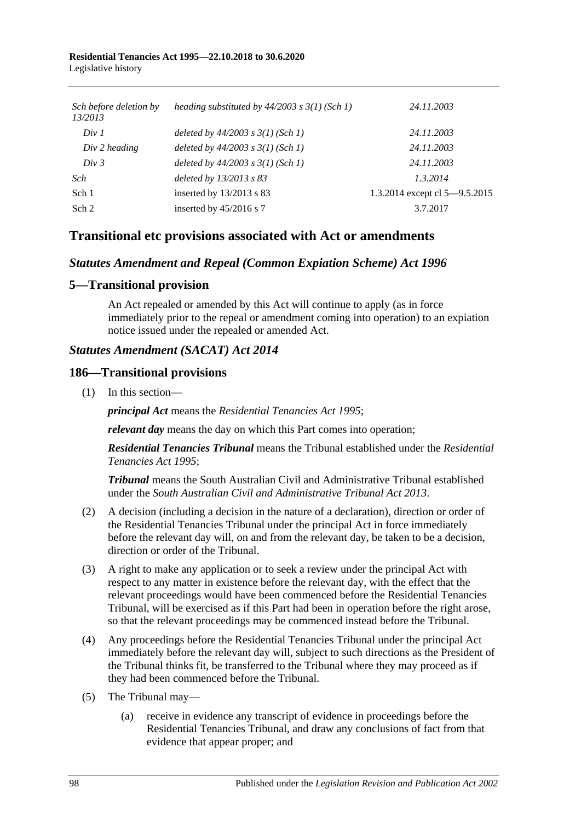| Sch before deletion by<br>13/2013 | heading substituted by $44/2003$ s $3(1)$ (Sch 1) | 24.11.2003                    |
|-----------------------------------|---------------------------------------------------|-------------------------------|
| Div 1                             | deleted by $44/2003$ s $3(1)$ (Sch 1)             | 24.11.2003                    |
| Div 2 heading                     | deleted by $44/2003$ s $3(1)$ (Sch 1)             | 24.11.2003                    |
| Div 3                             | deleted by $44/2003$ s $3(1)$ (Sch 1)             | 24.11.2003                    |
| Sch                               | deleted by 13/2013 s 83                           | 1.3.2014                      |
| Sch 1                             | inserted by $13/2013$ s 83                        | 1.3.2014 except cl 5-9.5.2015 |
| Sch 2                             | inserted by $45/2016$ s 7                         | 3.7.2017                      |

## **Transitional etc provisions associated with Act or amendments**

#### *Statutes Amendment and Repeal (Common Expiation Scheme) Act 1996*

#### **5—Transitional provision**

An Act repealed or amended by this Act will continue to apply (as in force immediately prior to the repeal or amendment coming into operation) to an expiation notice issued under the repealed or amended Act.

### *Statutes Amendment (SACAT) Act 2014*

#### **186—Transitional provisions**

(1) In this section—

*principal Act* means the *[Residential Tenancies Act](http://www.legislation.sa.gov.au/index.aspx?action=legref&type=act&legtitle=Residential%20Tenancies%20Act%201995) 1995*;

*relevant day* means the day on which this Part comes into operation;

*Residential Tenancies Tribunal* means the Tribunal established under the *[Residential](http://www.legislation.sa.gov.au/index.aspx?action=legref&type=act&legtitle=Residential%20Tenancies%20Act%201995)  [Tenancies Act](http://www.legislation.sa.gov.au/index.aspx?action=legref&type=act&legtitle=Residential%20Tenancies%20Act%201995) 1995*;

*Tribunal* means the South Australian Civil and Administrative Tribunal established under the *[South Australian Civil and Administrative Tribunal Act](http://www.legislation.sa.gov.au/index.aspx?action=legref&type=act&legtitle=South%20Australian%20Civil%20and%20Administrative%20Tribunal%20Act%202013) 2013*.

- (2) A decision (including a decision in the nature of a declaration), direction or order of the Residential Tenancies Tribunal under the principal Act in force immediately before the relevant day will, on and from the relevant day, be taken to be a decision, direction or order of the Tribunal.
- (3) A right to make any application or to seek a review under the principal Act with respect to any matter in existence before the relevant day, with the effect that the relevant proceedings would have been commenced before the Residential Tenancies Tribunal, will be exercised as if this Part had been in operation before the right arose, so that the relevant proceedings may be commenced instead before the Tribunal.
- (4) Any proceedings before the Residential Tenancies Tribunal under the principal Act immediately before the relevant day will, subject to such directions as the President of the Tribunal thinks fit, be transferred to the Tribunal where they may proceed as if they had been commenced before the Tribunal.
- (5) The Tribunal may—
	- (a) receive in evidence any transcript of evidence in proceedings before the Residential Tenancies Tribunal, and draw any conclusions of fact from that evidence that appear proper; and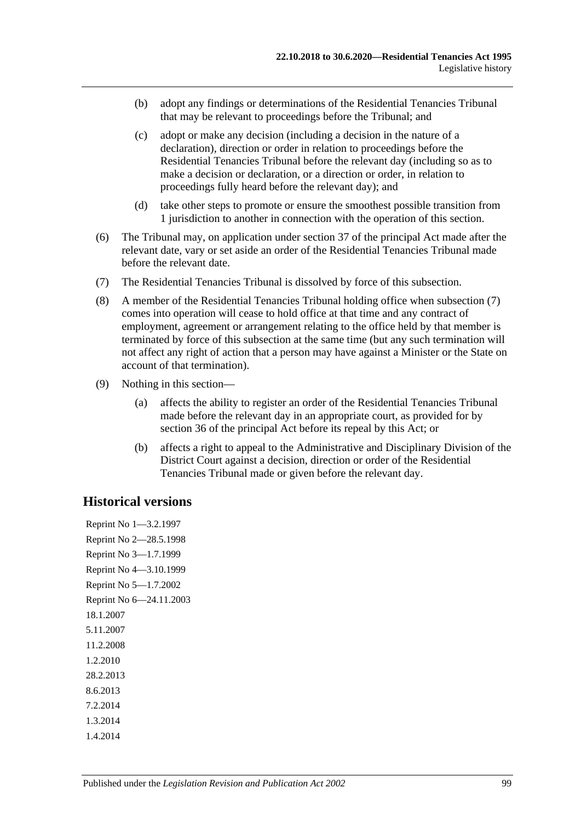- (b) adopt any findings or determinations of the Residential Tenancies Tribunal that may be relevant to proceedings before the Tribunal; and
- (c) adopt or make any decision (including a decision in the nature of a declaration), direction or order in relation to proceedings before the Residential Tenancies Tribunal before the relevant day (including so as to make a decision or declaration, or a direction or order, in relation to proceedings fully heard before the relevant day); and
- (d) take other steps to promote or ensure the smoothest possible transition from 1 jurisdiction to another in connection with the operation of this section.
- (6) The Tribunal may, on application under section 37 of the principal Act made after the relevant date, vary or set aside an order of the Residential Tenancies Tribunal made before the relevant date.
- <span id="page-98-0"></span>(7) The Residential Tenancies Tribunal is dissolved by force of this subsection.
- (8) A member of the Residential Tenancies Tribunal holding office when [subsection](#page-98-0) (7) comes into operation will cease to hold office at that time and any contract of employment, agreement or arrangement relating to the office held by that member is terminated by force of this subsection at the same time (but any such termination will not affect any right of action that a person may have against a Minister or the State on account of that termination).
- (9) Nothing in this section—
	- (a) affects the ability to register an order of the Residential Tenancies Tribunal made before the relevant day in an appropriate court, as provided for by section 36 of the principal Act before its repeal by this Act; or
	- (b) affects a right to appeal to the Administrative and Disciplinary Division of the District Court against a decision, direction or order of the Residential Tenancies Tribunal made or given before the relevant day.

#### **Historical versions**

Reprint No 1—3.2.1997 Reprint No 2—28.5.1998 Reprint No 3—1.7.1999 Reprint No 4—3.10.1999 Reprint No 5—1.7.2002 Reprint No 6—24.11.2003 18.1.2007 5.11.2007 11.2.2008 1.2.2010 28.2.2013 8.6.2013 7.2.2014 1.3.2014 1.4.2014